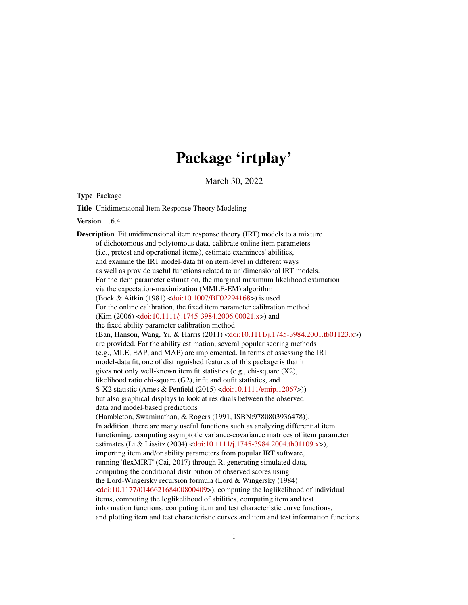# Package 'irtplay'

March 30, 2022

<span id="page-0-0"></span>Type Package

Title Unidimensional Item Response Theory Modeling

Version 1.6.4

Description Fit unidimensional item response theory (IRT) models to a mixture of dichotomous and polytomous data, calibrate online item parameters (i.e., pretest and operational items), estimate examinees' abilities, and examine the IRT model-data fit on item-level in different ways as well as provide useful functions related to unidimensional IRT models. For the item parameter estimation, the marginal maximum likelihood estimation via the expectation-maximization (MMLE-EM) algorithm (Bock & Aitkin (1981) [<doi:10.1007/BF02294168>](https://doi.org/10.1007/BF02294168)) is used. For the online calibration, the fixed item parameter calibration method  $(Kim (2006) <$ doi:10.1111/j.1745-3984.2006.00021.x>) and the fixed ability parameter calibration method (Ban, Hanson, Wang, Yi, & Harris (2011) [<doi:10.1111/j.1745-3984.2001.tb01123.x>](https://doi.org/10.1111/j.1745-3984.2001.tb01123.x)) are provided. For the ability estimation, several popular scoring methods (e.g., MLE, EAP, and MAP) are implemented. In terms of assessing the IRT model-data fit, one of distinguished features of this package is that it gives not only well-known item fit statistics (e.g., chi-square (X2), likelihood ratio chi-square (G2), infit and oufit statistics, and S-X2 statistic (Ames & Penfield (2015) [<doi:10.1111/emip.12067>](https://doi.org/10.1111/emip.12067))) but also graphical displays to look at residuals between the observed data and model-based predictions (Hambleton, Swaminathan, & Rogers (1991, ISBN:9780803936478)). In addition, there are many useful functions such as analyzing differential item functioning, computing asymptotic variance-covariance matrices of item parameter estimates (Li & Lissitz (2004) [<doi:10.1111/j.1745-3984.2004.tb01109.x>](https://doi.org/10.1111/j.1745-3984.2004.tb01109.x)), importing item and/or ability parameters from popular IRT software, running 'flexMIRT' (Cai, 2017) through R, generating simulated data, computing the conditional distribution of observed scores using the Lord-Wingersky recursion formula (Lord & Wingersky (1984)  $\leq$ doi:10.1177/014662168400800409>), computing the loglikelihood of individual items, computing the loglikelihood of abilities, computing item and test information functions, computing item and test characteristic curve functions, and plotting item and test characteristic curves and item and test information functions.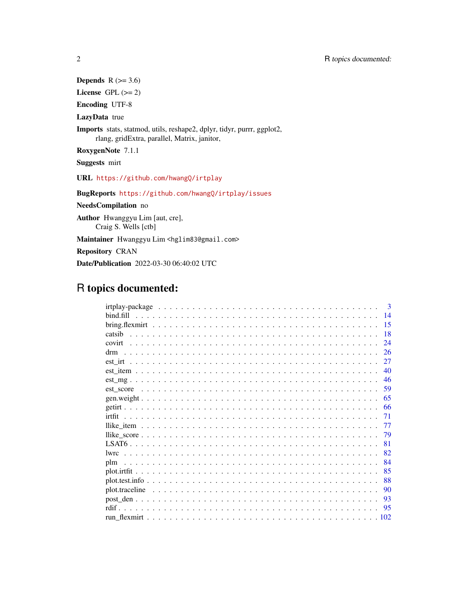Depends  $R$  ( $>= 3.6$ ) License GPL  $(>= 2)$ Encoding UTF-8 LazyData true Imports stats, statmod, utils, reshape2, dplyr, tidyr, purrr, ggplot2, rlang, gridExtra, parallel, Matrix, janitor, RoxygenNote 7.1.1 Suggests mirt URL <https://github.com/hwangQ/irtplay> BugReports <https://github.com/hwangQ/irtplay/issues> NeedsCompilation no Author Hwanggyu Lim [aut, cre], Craig S. Wells [ctb] Maintainer Hwanggyu Lim <hglim83@gmail.com> Repository CRAN

# R topics documented:

Date/Publication 2022-03-30 06:40:02 UTC

|               |  |  |  |  |  |  |  |  |  |  |  |  |  |  |  |  | $\mathbf{3}$ |
|---------------|--|--|--|--|--|--|--|--|--|--|--|--|--|--|--|--|--------------|
| bind fill     |  |  |  |  |  |  |  |  |  |  |  |  |  |  |  |  | 14           |
|               |  |  |  |  |  |  |  |  |  |  |  |  |  |  |  |  | 15           |
| catsib        |  |  |  |  |  |  |  |  |  |  |  |  |  |  |  |  | -18          |
|               |  |  |  |  |  |  |  |  |  |  |  |  |  |  |  |  | 24           |
|               |  |  |  |  |  |  |  |  |  |  |  |  |  |  |  |  | 26           |
|               |  |  |  |  |  |  |  |  |  |  |  |  |  |  |  |  |              |
|               |  |  |  |  |  |  |  |  |  |  |  |  |  |  |  |  | 27           |
|               |  |  |  |  |  |  |  |  |  |  |  |  |  |  |  |  | 40           |
|               |  |  |  |  |  |  |  |  |  |  |  |  |  |  |  |  | 46           |
|               |  |  |  |  |  |  |  |  |  |  |  |  |  |  |  |  |              |
|               |  |  |  |  |  |  |  |  |  |  |  |  |  |  |  |  | 65           |
|               |  |  |  |  |  |  |  |  |  |  |  |  |  |  |  |  |              |
| irtfit        |  |  |  |  |  |  |  |  |  |  |  |  |  |  |  |  | 71           |
|               |  |  |  |  |  |  |  |  |  |  |  |  |  |  |  |  | 77           |
|               |  |  |  |  |  |  |  |  |  |  |  |  |  |  |  |  |              |
|               |  |  |  |  |  |  |  |  |  |  |  |  |  |  |  |  | -79          |
|               |  |  |  |  |  |  |  |  |  |  |  |  |  |  |  |  | 81           |
| <i>s</i> lwrc |  |  |  |  |  |  |  |  |  |  |  |  |  |  |  |  |              |
| plm           |  |  |  |  |  |  |  |  |  |  |  |  |  |  |  |  | 84           |
|               |  |  |  |  |  |  |  |  |  |  |  |  |  |  |  |  |              |
|               |  |  |  |  |  |  |  |  |  |  |  |  |  |  |  |  | 88           |
|               |  |  |  |  |  |  |  |  |  |  |  |  |  |  |  |  |              |
|               |  |  |  |  |  |  |  |  |  |  |  |  |  |  |  |  | -90          |
|               |  |  |  |  |  |  |  |  |  |  |  |  |  |  |  |  | -93          |
|               |  |  |  |  |  |  |  |  |  |  |  |  |  |  |  |  |              |
|               |  |  |  |  |  |  |  |  |  |  |  |  |  |  |  |  |              |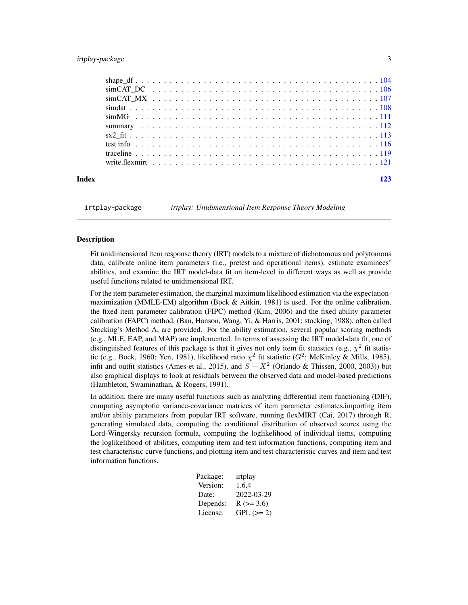# <span id="page-2-0"></span>irtplay-package 3

| Index |  |  |  |  |  |  |  |  |  |  |  |  |  |  |  |  |  |  |  |
|-------|--|--|--|--|--|--|--|--|--|--|--|--|--|--|--|--|--|--|--|
|       |  |  |  |  |  |  |  |  |  |  |  |  |  |  |  |  |  |  |  |
|       |  |  |  |  |  |  |  |  |  |  |  |  |  |  |  |  |  |  |  |
|       |  |  |  |  |  |  |  |  |  |  |  |  |  |  |  |  |  |  |  |
|       |  |  |  |  |  |  |  |  |  |  |  |  |  |  |  |  |  |  |  |
|       |  |  |  |  |  |  |  |  |  |  |  |  |  |  |  |  |  |  |  |
|       |  |  |  |  |  |  |  |  |  |  |  |  |  |  |  |  |  |  |  |
|       |  |  |  |  |  |  |  |  |  |  |  |  |  |  |  |  |  |  |  |
|       |  |  |  |  |  |  |  |  |  |  |  |  |  |  |  |  |  |  |  |
|       |  |  |  |  |  |  |  |  |  |  |  |  |  |  |  |  |  |  |  |
|       |  |  |  |  |  |  |  |  |  |  |  |  |  |  |  |  |  |  |  |
|       |  |  |  |  |  |  |  |  |  |  |  |  |  |  |  |  |  |  |  |

<span id="page-2-1"></span>irtplay-package *irtplay: Unidimensional Item Response Theory Modeling*

# Description

Fit unidimensional item response theory (IRT) models to a mixture of dichotomous and polytomous data, calibrate online item parameters (i.e., pretest and operational items), estimate examinees' abilities, and examine the IRT model-data fit on item-level in different ways as well as provide useful functions related to unidimensional IRT.

For the item parameter estimation, the marginal maximum likelihood estimation via the expectationmaximization (MMLE-EM) algorithm (Bock & Aitkin, 1981) is used. For the online calibration, the fixed item parameter calibration (FIPC) method (Kim, 2006) and the fixed ability parameter calibration (FAPC) method, (Ban, Hanson, Wang, Yi, & Harris, 2001; stocking, 1988), often called Stocking's Method A, are provided. For the ability estimation, several popular scoring methods (e.g., MLE, EAP, and MAP) are implemented. In terms of assessing the IRT model-data fit, one of distinguished features of this package is that it gives not only item fit statistics (e.g.,  $\chi^2$  fit statistic (e.g., Bock, 1960; Yen, 1981), likelihood ratio  $\chi^2$  fit statistic ( $G^2$ ; McKinley & Mills, 1985), infit and outfit statistics (Ames et al., 2015), and  $S - X^2$  (Orlando & Thissen, 2000, 2003)) but also graphical displays to look at residuals between the observed data and model-based predictions (Hambleton, Swaminathan, & Rogers, 1991).

In addition, there are many useful functions such as analyzing differential item functioning (DIF), computing asymptotic variance-covariance matrices of item parameter estimates,importing item and/or ability parameters from popular IRT software, running flexMIRT (Cai, 2017) through R, generating simulated data, computing the conditional distribution of observed scores using the Lord-Wingersky recursion formula, computing the loglikelihood of individual items, computing the loglikelihood of abilities, computing item and test information functions, computing item and test characteristic curve functions, and plotting item and test characteristic curves and item and test information functions.

| irtplay    |
|------------|
| 1.6.4      |
| 2022-03-29 |
| $R (=3.6)$ |
| $GPL (=2)$ |
|            |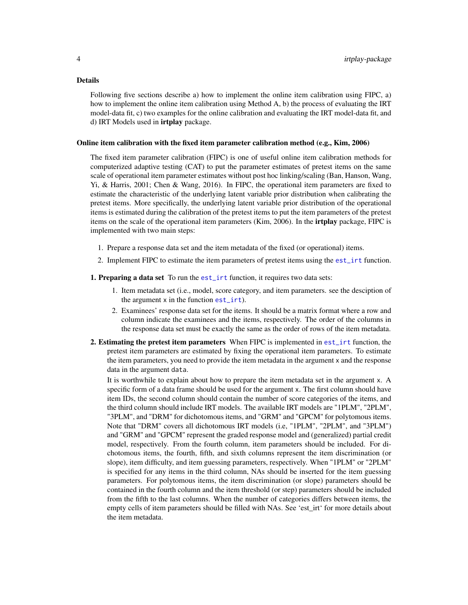### Details

Following five sections describe a) how to implement the online item calibration using FIPC, a) how to implement the online item calibration using Method A, b) the process of evaluating the IRT model-data fit, c) two examples for the online calibration and evaluating the IRT model-data fit, and d) IRT Models used in *irtplay* package.

### Online item calibration with the fixed item parameter calibration method (e.g., Kim, 2006)

The fixed item parameter calibration (FIPC) is one of useful online item calibration methods for computerized adaptive testing (CAT) to put the parameter estimates of pretest items on the same scale of operational item parameter estimates without post hoc linking/scaling (Ban, Hanson, Wang, Yi, & Harris, 2001; Chen & Wang, 2016). In FIPC, the operational item parameters are fixed to estimate the characteristic of the underlying latent variable prior distribution when calibrating the pretest items. More specifically, the underlying latent variable prior distribution of the operational items is estimated during the calibration of the pretest items to put the item parameters of the pretest items on the scale of the operational item parameters (Kim, 2006). In the irtplay package, FIPC is implemented with two main steps:

- 1. Prepare a response data set and the item metadata of the fixed (or operational) items.
- 2. Implement FIPC to estimate the item parameters of pretest items using the [est\\_irt](#page-26-1) function.

1. Preparing a data set To run the [est\\_irt](#page-26-1) function, it requires two data sets:

- 1. Item metadata set (i.e., model, score category, and item parameters. see the desciption of the argument x in the function [est\\_irt](#page-26-1)).
- 2. Examinees' response data set for the items. It should be a matrix format where a row and column indicate the examinees and the items, respectively. The order of the columns in the response data set must be exactly the same as the order of rows of the item metadata.
- 2. Estimating the pretest item parameters When FIPC is implemented in est<sub>rief</sub> function, the pretest item parameters are estimated by fixing the operational item parameters. To estimate the item parameters, you need to provide the item metadata in the argument x and the response data in the argument data.

It is worthwhile to explain about how to prepare the item metadata set in the argument x. A specific form of a data frame should be used for the argument x. The first column should have item IDs, the second column should contain the number of score categories of the items, and the third column should include IRT models. The available IRT models are "1PLM", "2PLM", "3PLM", and "DRM" for dichotomous items, and "GRM" and "GPCM" for polytomous items. Note that "DRM" covers all dichotomous IRT models (i.e, "1PLM", "2PLM", and "3PLM") and "GRM" and "GPCM" represent the graded response model and (generalized) partial credit model, respectively. From the fourth column, item parameters should be included. For dichotomous items, the fourth, fifth, and sixth columns represent the item discrimination (or slope), item difficulty, and item guessing parameters, respectively. When "1PLM" or "2PLM" is specified for any items in the third column, NAs should be inserted for the item guessing parameters. For polytomous items, the item discrimination (or slope) parameters should be contained in the fourth column and the item threshold (or step) parameters should be included from the fifth to the last columns. When the number of categories differs between items, the empty cells of item parameters should be filled with NAs. See 'est irt' for more details about the item metadata.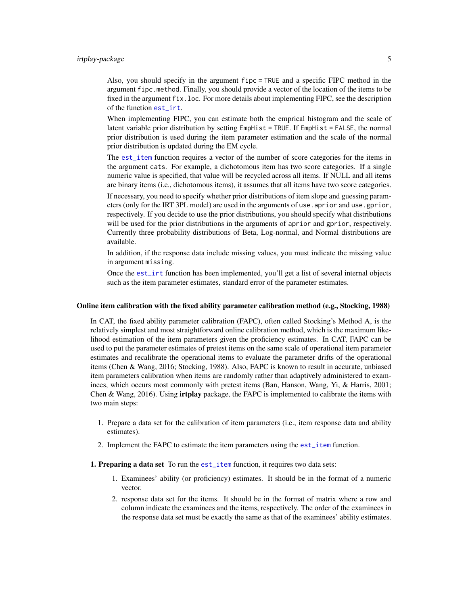Also, you should specify in the argument fipc = TRUE and a specific FIPC method in the argument fipc.method. Finally, you should provide a vector of the location of the items to be fixed in the argument fix.loc. For more details about implementing FIPC, see the description of the function [est\\_irt](#page-26-1).

When implementing FIPC, you can estimate both the emprical histogram and the scale of latent variable prior distribution by setting EmpHist = TRUE. If EmpHist = FALSE, the normal prior distribution is used during the item parameter estimation and the scale of the normal prior distribution is updated during the EM cycle.

The [est\\_item](#page-39-1) function requires a vector of the number of score categories for the items in the argument cats. For example, a dichotomous item has two score categories. If a single numeric value is specified, that value will be recycled across all items. If NULL and all items are binary items (i.e., dichotomous items), it assumes that all items have two score categories.

If necessary, you need to specify whether prior distributions of item slope and guessing parameters (only for the IRT 3PL model) are used in the arguments of use.aprior and use.gprior, respectively. If you decide to use the prior distributions, you should specify what distributions will be used for the prior distributions in the arguments of aprior and gprior, respectively. Currently three probability distributions of Beta, Log-normal, and Normal distributions are available.

In addition, if the response data include missing values, you must indicate the missing value in argument missing.

Once the [est\\_irt](#page-26-1) function has been implemented, you'll get a list of several internal objects such as the item parameter estimates, standard error of the parameter estimates.

### Online item calibration with the fixed ability parameter calibration method (e.g., Stocking, 1988)

In CAT, the fixed ability parameter calibration (FAPC), often called Stocking's Method A, is the relatively simplest and most straightforward online calibration method, which is the maximum likelihood estimation of the item parameters given the proficiency estimates. In CAT, FAPC can be used to put the parameter estimates of pretest items on the same scale of operational item parameter estimates and recalibrate the operational items to evaluate the parameter drifts of the operational items (Chen & Wang, 2016; Stocking, 1988). Also, FAPC is known to result in accurate, unbiased item parameters calibration when items are randomly rather than adaptively administered to examinees, which occurs most commonly with pretest items (Ban, Hanson, Wang, Yi, & Harris, 2001; Chen & Wang, 2016). Using **irtplay** package, the FAPC is implemented to calibrate the items with two main steps:

- 1. Prepare a data set for the calibration of item parameters (i.e., item response data and ability estimates).
- 2. Implement the FAPC to estimate the item parameters using the [est\\_item](#page-39-1) function.
- 1. Preparing a data set To run the [est\\_item](#page-39-1) function, it requires two data sets:
	- 1. Examinees' ability (or proficiency) estimates. It should be in the format of a numeric vector.
	- 2. response data set for the items. It should be in the format of matrix where a row and column indicate the examinees and the items, respectively. The order of the examinees in the response data set must be exactly the same as that of the examinees' ability estimates.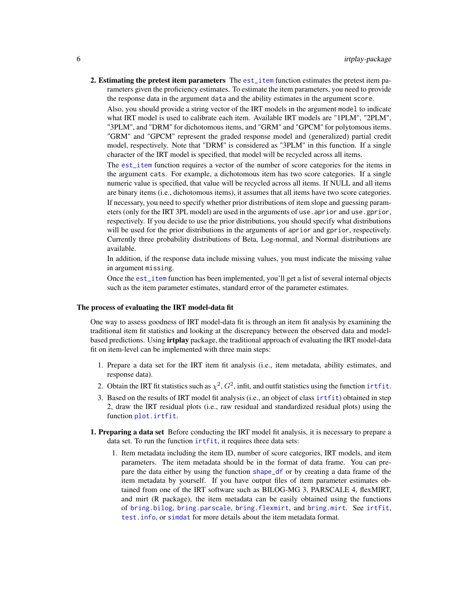2. Estimating the pretest item parameters The [est\\_item](#page-39-1) function estimates the pretest item parameters given the proficiency estimates. To estimate the item parameters, you need to provide the response data in the argument data and the ability estimates in the argument score.

Also, you should provide a string vector of the IRT models in the argument model to indicate what IRT model is used to calibrate each item. Available IRT models are "1PLM", "2PLM", "3PLM", and "DRM" for dichotomous items, and "GRM" and "GPCM" for polytomous items. "GRM" and "GPCM" represent the graded response model and (generalized) partial credit model, respectively. Note that "DRM" is considered as "3PLM" in this function. If a single character of the IRT model is specified, that model will be recycled across all items.

The [est\\_item](#page-39-1) function requires a vector of the number of score categories for the items in the argument cats. For example, a dichotomous item has two score categories. If a single numeric value is specified, that value will be recycled across all items. If NULL and all items are binary items (i.e., dichotomous items), it assumes that all items have two score categories. If necessary, you need to specify whether prior distributions of item slope and guessing parameters (only for the IRT 3PL model) are used in the arguments of use, aprior and use, gprior, respectively. If you decide to use the prior distributions, you should specify what distributions will be used for the prior distributions in the arguments of aprior and gprior, respectively. Currently three probability distributions of Beta, Log-normal, and Normal distributions are available.

In addition, if the response data include missing values, you must indicate the missing value in argument missing.

Once the [est\\_item](#page-39-1) function has been implemented, you'll get a list of several internal objects such as the item parameter estimates, standard error of the parameter estimates.

## The process of evaluating the IRT model-data fit

One way to assess goodness of IRT model-data fit is through an item fit analysis by examining the traditional item fit statistics and looking at the discrepancy between the observed data and modelbased predictions. Using **irtplay** package, the traditional approach of evaluating the IRT model-data fit on item-level can be implemented with three main steps:

- 1. Prepare a data set for the IRT item fit analysis (i.e., item metadata, ability estimates, and response data).
- 2. Obtain the IRT fit statistics such as  $\chi^2$ ,  $G^2$ , infit, and outfit statistics using the function inthit.
- 3. Based on the results of IRT model fit analysis (i.e., an object of class [irtfit](#page-70-1)) obtained in step 2, draw the IRT residual plots (i.e., raw residual and standardized residual plots) using the function [plot.irtfit](#page-84-1).
- 1. Preparing a data set Before conducting the IRT model fit analysis, it is necessary to prepare a data set. To run the function [irtfit](#page-70-1), it requires three data sets:
	- 1. Item metadata including the item ID, number of score categories, IRT models, and item parameters. The item metadata should be in the format of data frame. You can prepare the data either by using the function [shape\\_df](#page-103-1) or by creating a data frame of the item metadata by yourself. If you have output files of item parameter estimates obtained from one of the IRT software such as BILOG-MG 3, PARSCALE 4, flexMIRT, and mirt (R package), the item metadata can be easily obtained using the functions of [bring.bilog](#page-14-1), [bring.parscale](#page-14-1), [bring.flexmirt](#page-14-2), and [bring.mirt](#page-14-1). See [irtfit](#page-70-1), [test.info](#page-115-1), or [simdat](#page-107-1) for more details about the item metadata format.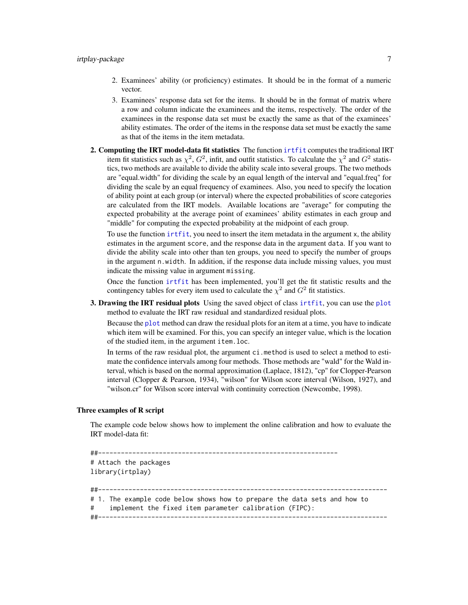- 2. Examinees' ability (or proficiency) estimates. It should be in the format of a numeric vector.
- 3. Examinees' response data set for the items. It should be in the format of matrix where a row and column indicate the examinees and the items, respectively. The order of the examinees in the response data set must be exactly the same as that of the examinees' ability estimates. The order of the items in the response data set must be exactly the same as that of the items in the item metadata.
- 2. Computing the IRT model-data fit statistics The function intertation computes the traditional IRT item fit statistics such as  $\chi^2$ ,  $G^2$ , infit, and outfit statistics. To calculate the  $\chi^2$  and  $G^2$  statistics, two methods are available to divide the ability scale into several groups. The two methods are "equal.width" for dividing the scale by an equal length of the interval and "equal.freq" for dividing the scale by an equal frequency of examinees. Also, you need to specify the location of ability point at each group (or interval) where the expected probabilities of score categories are calculated from the IRT models. Available locations are "average" for computing the expected probability at the average point of examinees' ability estimates in each group and "middle" for computing the expected probability at the midpoint of each group.

To use the function [irtfit](#page-70-1), you need to insert the item metadata in the argument x, the ability estimates in the argument score, and the response data in the argument data. If you want to divide the ability scale into other than ten groups, you need to specify the number of groups in the argument n.width. In addition, if the response data include missing values, you must indicate the missing value in argument missing.

Once the function [irtfit](#page-70-1) has been implemented, you'll get the fit statistic results and the contingency tables for every item used to calculate the  $\chi^2$  and  $G^2$  fit statistics.

3. Drawing the IRT residual [plot](#page-0-0)s Using the saved object of class intitit, you can use the plot method to evaluate the IRT raw residual and standardized residual plots.

Because the [plot](#page-0-0) method can draw the residual plots for an item at a time, you have to indicate which item will be examined. For this, you can specify an integer value, which is the location of the studied item, in the argument item.loc.

In terms of the raw residual plot, the argument ci.method is used to select a method to estimate the confidence intervals among four methods. Those methods are "wald" for the Wald interval, which is based on the normal approximation (Laplace, 1812), "cp" for Clopper-Pearson interval (Clopper & Pearson, 1934), "wilson" for Wilson score interval (Wilson, 1927), and "wilson.cr" for Wilson score interval with continuity correction (Newcombe, 1998).

# Three examples of R script

The example code below shows how to implement the online calibration and how to evaluate the IRT model-data fit:

```
##---------------------------------------------------------------
# Attach the packages
library(irtplay)
##----------------------------------------------------------------------------
# 1. The example code below shows how to prepare the data sets and how to
# implement the fixed item parameter calibration (FIPC):
##----------------------------------------------------------------------------
```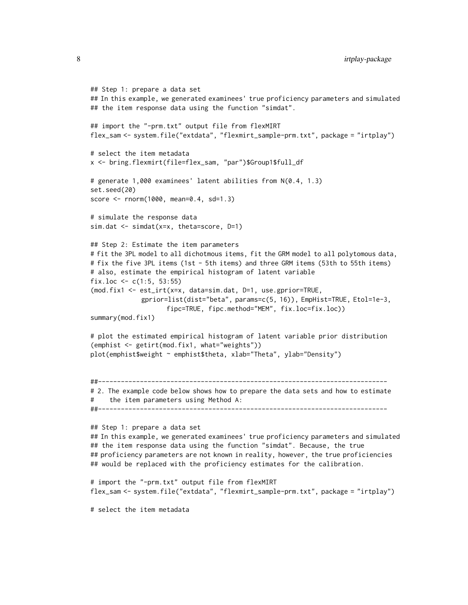```
## Step 1: prepare a data set
## In this example, we generated examinees' true proficiency parameters and simulated
## the item response data using the function "simdat".
## import the "-prm.txt" output file from flexMIRT
flex_sam <- system.file("extdata", "flexmirt_sample-prm.txt", package = "irtplay")
# select the item metadata
x <- bring.flexmirt(file=flex_sam, "par")$Group1$full_df
# generate 1,000 examinees' latent abilities from N(0.4, 1.3)
set.seed(20)
score <- rnorm(1000, mean=0.4, sd=1.3)
# simulate the response data
sim.dat <- simdat(x=x, theta=score, D=1)
## Step 2: Estimate the item parameters
# fit the 3PL model to all dichotmous items, fit the GRM model to all polytomous data,
# fix the five 3PL items (1st - 5th items) and three GRM items (53th to 55th items)
# also, estimate the empirical histogram of latent variable
fix.loc <- c(1:5, 53:55)(mod.fix1 <- est_irt(x=x, data=sim.dat, D=1, use.gprior=TRUE,
             gprior=list(dist="beta", params=c(5, 16)), EmpHist=TRUE, Etol=1e-3,
                    fipc=TRUE, fipc.method="MEM", fix.loc=fix.loc))
summary(mod.fix1)
# plot the estimated empirical histogram of latent variable prior distribution
(emphist <- getirt(mod.fix1, what="weights"))
plot(emphist$weight ~ emphist$theta, xlab="Theta", ylab="Density")
##----------------------------------------------------------------------------
# 2. The example code below shows how to prepare the data sets and how to estimate
# the item parameters using Method A:
##----------------------------------------------------------------------------
## Step 1: prepare a data set
## In this example, we generated examinees' true proficiency parameters and simulated
## the item response data using the function "simdat". Because, the true
## proficiency parameters are not known in reality, however, the true proficiencies
## would be replaced with the proficiency estimates for the calibration.
# import the "-prm.txt" output file from flexMIRT
flex_sam <- system.file("extdata", "flexmirt_sample-prm.txt", package = "irtplay")
```

```
# select the item metadata
```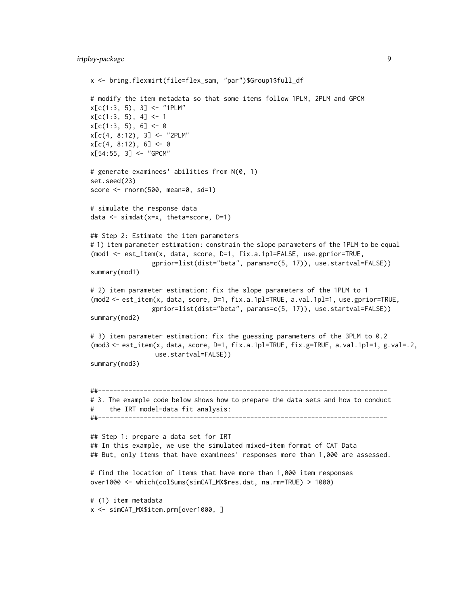```
x <- bring.flexmirt(file=flex_sam, "par")$Group1$full_df
# modify the item metadata so that some items follow 1PLM, 2PLM and GPCM
x[c(1:3, 5), 3] <- "1PLM"
x[c(1:3, 5), 4] < -1x[c(1:3, 5), 6] < -0x[c(4, 8:12), 3] < - "2PLM"
x[c(4, 8:12), 6] < -0x[54:55, 3] <- "GPCM"
# generate examinees' abilities from N(0, 1)
set.seed(23)
score <- rnorm(500, mean=0, sd=1)
# simulate the response data
data <- simdat(x=x, theta=score, D=1)
## Step 2: Estimate the item parameters
# 1) item parameter estimation: constrain the slope parameters of the 1PLM to be equal
(mod1 <- est_item(x, data, score, D=1, fix.a.1pl=FALSE, use.gprior=TRUE,
                gprior=list(dist="beta", params=c(5, 17)), use.startval=FALSE))
summary(mod1)
# 2) item parameter estimation: fix the slope parameters of the 1PLM to 1
(mod2 <- est_item(x, data, score, D=1, fix.a.1pl=TRUE, a.val.1pl=1, use.gprior=TRUE,
                gprior=list(dist="beta", params=c(5, 17)), use.startval=FALSE))
summary(mod2)
# 3) item parameter estimation: fix the guessing parameters of the 3PLM to 0.2
(mod3 <- est_item(x, data, score, D=1, fix.a.1pl=TRUE, fix.g=TRUE, a.val.1pl=1, g.val=.2,
                 use.startval=FALSE))
summary(mod3)
##----------------------------------------------------------------------------
# 3. The example code below shows how to prepare the data sets and how to conduct
# the IRT model-data fit analysis:
##----------------------------------------------------------------------------
## Step 1: prepare a data set for IRT
## In this example, we use the simulated mixed-item format of CAT Data
## But, only items that have examinees' responses more than 1,000 are assessed.
# find the location of items that have more than 1,000 item responses
over1000 <- which(colSums(simCAT_MX$res.dat, na.rm=TRUE) > 1000)
# (1) item metadata
x <- simCAT_MX$item.prm[over1000, ]
```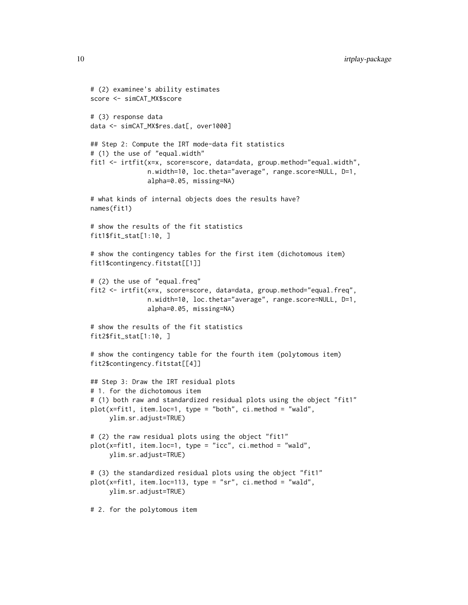```
# (2) examinee's ability estimates
score <- simCAT_MX$score
# (3) response data
data <- simCAT_MX$res.dat[, over1000]
## Step 2: Compute the IRT mode-data fit statistics
# (1) the use of "equal.width"
fit1 <- irtfit(x=x, score=score, data=data, group.method="equal.width",
               n.width=10, loc.theta="average", range.score=NULL, D=1,
               alpha=0.05, missing=NA)
# what kinds of internal objects does the results have?
names(fit1)
# show the results of the fit statistics
fit1$fit_stat[1:10, ]
# show the contingency tables for the first item (dichotomous item)
fit1$contingency.fitstat[[1]]
# (2) the use of "equal.freq"
fit2 <- irtfit(x=x, score=score, data=data, group.method="equal.freq",
               n.width=10, loc.theta="average", range.score=NULL, D=1,
               alpha=0.05, missing=NA)
# show the results of the fit statistics
fit2$fit_stat[1:10, ]
# show the contingency table for the fourth item (polytomous item)
fit2$contingency.fitstat[[4]]
## Step 3: Draw the IRT residual plots
# 1. for the dichotomous item
# (1) both raw and standardized residual plots using the object "fit1"
plot(x=fit1, item.loc=1, type = "both", ci.method = "wald",ylim.sr.adjust=TRUE)
# (2) the raw residual plots using the object "fit1"
plot(x=fit1, item.loc=1, type = "icc", ci.method = "wald",
     ylim.sr.adjust=TRUE)
# (3) the standardized residual plots using the object "fit1"
plot(x=fit1, item.loc=113, type = "sr", ci.method = "wald",
     ylim.sr.adjust=TRUE)
# 2. for the polytomous item
```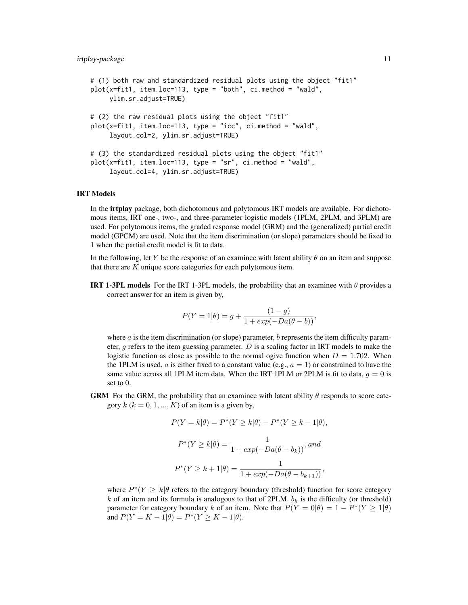```
# (1) both raw and standardized residual plots using the object "fit1"
plot(x=fit1, item.loc=113, type = "both", ci.method = "wald",ylim.sr.adjust=TRUE)
# (2) the raw residual plots using the object "fit1"
plot(x=fit1, item.loc=113, type = "icc", ci.method = "wald",
     layout.col=2, ylim.sr.adjust=TRUE)
# (3) the standardized residual plots using the object "fit1"
plot(x=fit1, item.loc=113, type = "sr", ci.method = "wald",
     layout.col=4, ylim.sr.adjust=TRUE)
```
#### IRT Models

In the irtplay package, both dichotomous and polytomous IRT models are available. For dichotomous items, IRT one-, two-, and three-parameter logistic models (1PLM, 2PLM, and 3PLM) are used. For polytomous items, the graded response model (GRM) and the (generalized) partial credit model (GPCM) are used. Note that the item discrimination (or slope) parameters should be fixed to 1 when the partial credit model is fit to data.

In the following, let Y be the response of an examinee with latent ability  $\theta$  on an item and suppose that there are  $K$  unique score categories for each polytomous item.

**IRT 1-3PL models** For the IRT 1-3PL models, the probability that an examinee with  $\theta$  provides a correct answer for an item is given by,

$$
P(Y = 1 | \theta) = g + \frac{(1 - g)}{1 + exp(-Da(\theta - b))},
$$

where  $\alpha$  is the item discrimination (or slope) parameter,  $\dot{b}$  represents the item difficulty parameter, q refers to the item guessing parameter.  $D$  is a scaling factor in IRT models to make the logistic function as close as possible to the normal ogive function when  $D = 1.702$ . When the 1PLM is used, a is either fixed to a constant value (e.g.,  $a = 1$ ) or constrained to have the same value across all 1PLM item data. When the IRT 1PLM or 2PLM is fit to data,  $g = 0$  is set to 0.

GRM For the GRM, the probability that an examinee with latent ability  $\theta$  responds to score category  $k (k = 0, 1, ..., K)$  of an item is a given by,

$$
P(Y = k|\theta) = P^*(Y \ge k|\theta) - P^*(Y \ge k+1|\theta),
$$
  

$$
P^*(Y \ge k|\theta) = \frac{1}{1 + exp(-Da(\theta - b_k))}, and
$$
  

$$
P^*(Y \ge k+1|\theta) = \frac{1}{1 + exp(-Da(\theta - b_{k+1}))},
$$

where  $P^*(Y \ge k | \theta)$  refers to the category boundary (threshold) function for score category  $k$  of an item and its formula is analogous to that of 2PLM.  $b_k$  is the difficulty (or threshold) parameter for category boundary k of an item. Note that  $P(Y = 0|\theta) = 1 - P^*(Y \ge 1|\theta)$ and  $P(Y = K - 1 | \theta) = P^*(Y \ge K - 1 | \theta)$ .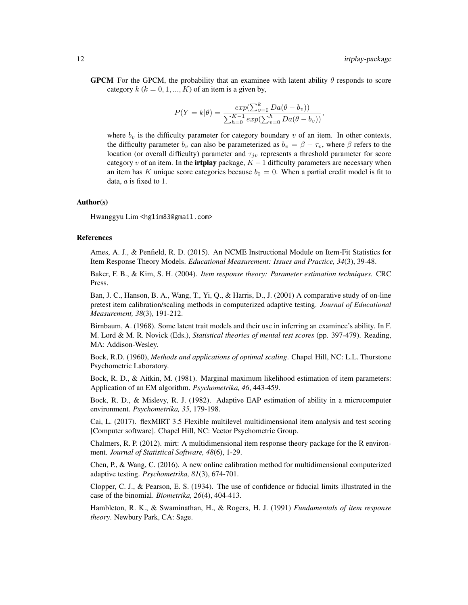**GPCM** For the GPCM, the probability that an examinee with latent ability  $\theta$  responds to score category  $k$  ( $k = 0, 1, ..., K$ ) of an item is a given by,

$$
P(Y = k|\theta) = \frac{exp(\sum_{v=0}^{k} Da(\theta - b_v))}{\sum_{h=0}^{K-1} exp(\sum_{v=0}^{h} Da(\theta - b_v))},
$$

where  $b_v$  is the difficulty parameter for category boundary  $v$  of an item. In other contexts, the difficulty parameter  $b_v$  can also be parameterized as  $b_v = \beta - \tau_v$ , where  $\beta$  refers to the location (or overall difficulty) parameter and  $\tau_{j\nu}$  represents a threshold parameter for score category v of an item. In the **irtplay** package,  $K - 1$  difficulty parameters are necessary when an item has K unique score categories because  $b_0 = 0$ . When a partial credit model is fit to data,  $a$  is fixed to 1.

# Author(s)

Hwanggyu Lim <hglim83@gmail.com>

#### References

Ames, A. J., & Penfield, R. D. (2015). An NCME Instructional Module on Item-Fit Statistics for Item Response Theory Models. *Educational Measurement: Issues and Practice, 34*(3), 39-48.

Baker, F. B., & Kim, S. H. (2004). *Item response theory: Parameter estimation techniques.* CRC Press.

Ban, J. C., Hanson, B. A., Wang, T., Yi, Q., & Harris, D., J. (2001) A comparative study of on-line pretest item calibration/scaling methods in computerized adaptive testing. *Journal of Educational Measurement, 38*(3), 191-212.

Birnbaum, A. (1968). Some latent trait models and their use in inferring an examinee's ability. In F. M. Lord & M. R. Novick (Eds.), *Statistical theories of mental test scores* (pp. 397-479). Reading, MA: Addison-Wesley.

Bock, R.D. (1960), *Methods and applications of optimal scaling*. Chapel Hill, NC: L.L. Thurstone Psychometric Laboratory.

Bock, R. D., & Aitkin, M. (1981). Marginal maximum likelihood estimation of item parameters: Application of an EM algorithm. *Psychometrika, 46*, 443-459.

Bock, R. D., & Mislevy, R. J. (1982). Adaptive EAP estimation of ability in a microcomputer environment. *Psychometrika, 35*, 179-198.

Cai, L. (2017). flexMIRT 3.5 Flexible multilevel multidimensional item analysis and test scoring [Computer software]. Chapel Hill, NC: Vector Psychometric Group.

Chalmers, R. P. (2012). mirt: A multidimensional item response theory package for the R environment. *Journal of Statistical Software, 48*(6), 1-29.

Chen, P., & Wang, C. (2016). A new online calibration method for multidimensional computerized adaptive testing. *Psychometrika, 81*(3), 674-701.

Clopper, C. J., & Pearson, E. S. (1934). The use of confidence or fiducial limits illustrated in the case of the binomial. *Biometrika, 26*(4), 404-413.

Hambleton, R. K., & Swaminathan, H., & Rogers, H. J. (1991) *Fundamentals of item response theory*. Newbury Park, CA: Sage.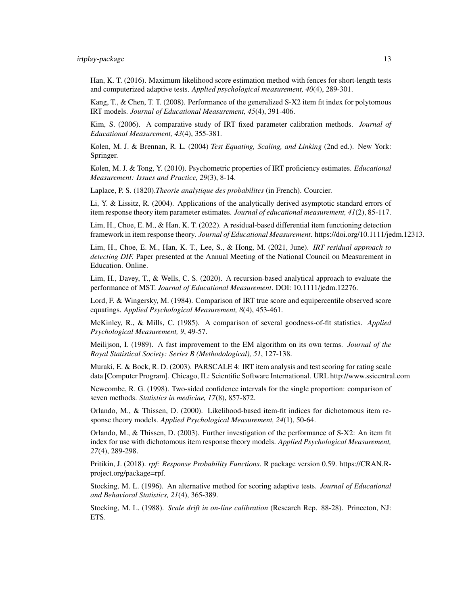Han, K. T. (2016). Maximum likelihood score estimation method with fences for short-length tests and computerized adaptive tests. *Applied psychological measurement, 40*(4), 289-301.

Kang, T., & Chen, T. T. (2008). Performance of the generalized S-X2 item fit index for polytomous IRT models. *Journal of Educational Measurement, 45*(4), 391-406.

Kim, S. (2006). A comparative study of IRT fixed parameter calibration methods. *Journal of Educational Measurement, 43*(4), 355-381.

Kolen, M. J. & Brennan, R. L. (2004) *Test Equating, Scaling, and Linking* (2nd ed.). New York: Springer.

Kolen, M. J. & Tong, Y. (2010). Psychometric properties of IRT proficiency estimates. *Educational Measurement: Issues and Practice, 29*(3), 8-14.

Laplace, P. S. (1820).*Theorie analytique des probabilites* (in French). Courcier.

Li, Y. & Lissitz, R. (2004). Applications of the analytically derived asymptotic standard errors of item response theory item parameter estimates. *Journal of educational measurement, 41*(2), 85-117.

Lim, H., Choe, E. M., & Han, K. T. (2022). A residual-based differential item functioning detection framework in item response theory. *Journal of Educational Measurement*. https://doi.org/10.1111/jedm.12313.

Lim, H., Choe, E. M., Han, K. T., Lee, S., & Hong, M. (2021, June). *IRT residual approach to detecting DIF.* Paper presented at the Annual Meeting of the National Council on Measurement in Education. Online.

Lim, H., Davey, T., & Wells, C. S. (2020). A recursion-based analytical approach to evaluate the performance of MST. *Journal of Educational Measurement*. DOI: 10.1111/jedm.12276.

Lord, F. & Wingersky, M. (1984). Comparison of IRT true score and equipercentile observed score equatings. *Applied Psychological Measurement, 8*(4), 453-461.

McKinley, R., & Mills, C. (1985). A comparison of several goodness-of-fit statistics. *Applied Psychological Measurement, 9*, 49-57.

Meilijson, I. (1989). A fast improvement to the EM algorithm on its own terms. *Journal of the Royal Statistical Society: Series B (Methodological), 51*, 127-138.

Muraki, E. & Bock, R. D. (2003). PARSCALE 4: IRT item analysis and test scoring for rating scale data [Computer Program]. Chicago, IL: Scientific Software International. URL http://www.ssicentral.com

Newcombe, R. G. (1998). Two-sided confidence intervals for the single proportion: comparison of seven methods. *Statistics in medicine, 17*(8), 857-872.

Orlando, M., & Thissen, D. (2000). Likelihood-based item-fit indices for dichotomous item response theory models. *Applied Psychological Measurement, 24*(1), 50-64.

Orlando, M., & Thissen, D. (2003). Further investigation of the performance of S-X2: An item fit index for use with dichotomous item response theory models. *Applied Psychological Measurement, 27*(4), 289-298.

Pritikin, J. (2018). *rpf: Response Probability Functions*. R package version 0.59. https://CRAN.Rproject.org/package=rpf.

Stocking, M. L. (1996). An alternative method for scoring adaptive tests. *Journal of Educational and Behavioral Statistics, 21*(4), 365-389.

Stocking, M. L. (1988). *Scale drift in on-line calibration* (Research Rep. 88-28). Princeton, NJ: ETS.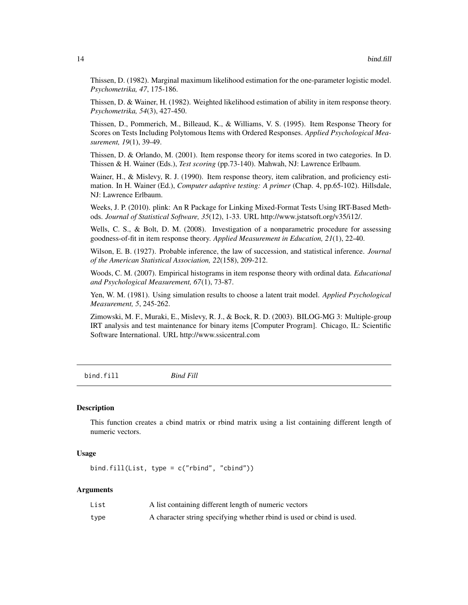<span id="page-13-0"></span>Thissen, D. (1982). Marginal maximum likelihood estimation for the one-parameter logistic model. *Psychometrika, 47*, 175-186.

Thissen, D. & Wainer, H. (1982). Weighted likelihood estimation of ability in item response theory. *Psychometrika, 54*(3), 427-450.

Thissen, D., Pommerich, M., Billeaud, K., & Williams, V. S. (1995). Item Response Theory for Scores on Tests Including Polytomous Items with Ordered Responses. *Applied Psychological Measurement, 19*(1), 39-49.

Thissen, D. & Orlando, M. (2001). Item response theory for items scored in two categories. In D. Thissen & H. Wainer (Eds.), *Test scoring* (pp.73-140). Mahwah, NJ: Lawrence Erlbaum.

Wainer, H., & Mislevy, R. J. (1990). Item response theory, item calibration, and proficiency estimation. In H. Wainer (Ed.), *Computer adaptive testing: A primer* (Chap. 4, pp.65-102). Hillsdale, NJ: Lawrence Erlbaum.

Weeks, J. P. (2010). plink: An R Package for Linking Mixed-Format Tests Using IRT-Based Methods. *Journal of Statistical Software, 35*(12), 1-33. URL http://www.jstatsoft.org/v35/i12/.

Wells, C. S., & Bolt, D. M. (2008). Investigation of a nonparametric procedure for assessing goodness-of-fit in item response theory. *Applied Measurement in Education, 21*(1), 22-40.

Wilson, E. B. (1927). Probable inference, the law of succession, and statistical inference. *Journal of the American Statistical Association, 22*(158), 209-212.

Woods, C. M. (2007). Empirical histograms in item response theory with ordinal data. *Educational and Psychological Measurement, 67*(1), 73-87.

Yen, W. M. (1981). Using simulation results to choose a latent trait model. *Applied Psychological Measurement, 5*, 245-262.

Zimowski, M. F., Muraki, E., Mislevy, R. J., & Bock, R. D. (2003). BILOG-MG 3: Multiple-group IRT analysis and test maintenance for binary items [Computer Program]. Chicago, IL: Scientific Software International. URL http://www.ssicentral.com

bind.fill *Bind Fill*

# **Description**

This function creates a cbind matrix or rbind matrix using a list containing different length of numeric vectors.

# Usage

bind.fill(List, type =  $c("rbind", "cbind"))$ 

#### Arguments

| List | A list containing different length of numeric vectors                 |
|------|-----------------------------------------------------------------------|
| type | A character string specifying whether rbind is used or cbind is used. |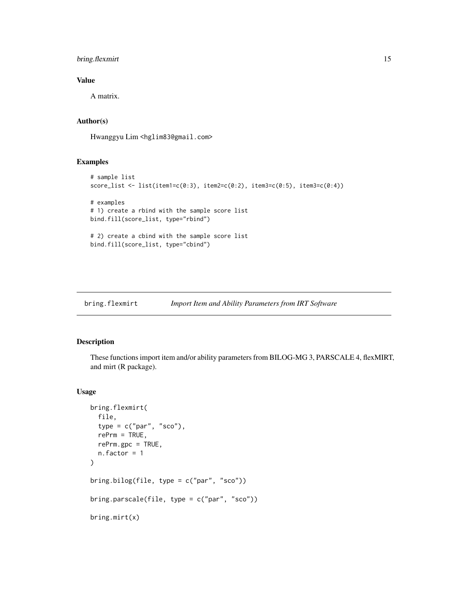# <span id="page-14-0"></span>bring.flexmirt 15

# Value

A matrix.

# Author(s)

Hwanggyu Lim <hglim83@gmail.com>

# Examples

```
# sample list
score_list <- list(item1=c(0:3), item2=c(0:2), item3=c(0:5), item3=c(0:4))
# examples
# 1) create a rbind with the sample score list
bind.fill(score_list, type="rbind")
# 2) create a cbind with the sample score list
bind.fill(score_list, type="cbind")
```
<span id="page-14-2"></span>bring.flexmirt *Import Item and Ability Parameters from IRT Software*

# <span id="page-14-1"></span>Description

These functions import item and/or ability parameters from BILOG-MG 3, PARSCALE 4, flexMIRT, and mirt (R package).

# Usage

```
bring.flexmirt(
  file,
  type = c("par", "sco"),
  refrm = TRUE,rePrm.gpc = TRUE,
  n.factor = 1
\mathcal{L}bring.bilog(file, type = c("par", "sco"))
bring.parscale(file, type = c("par", "sco"))
bring.mirt(x)
```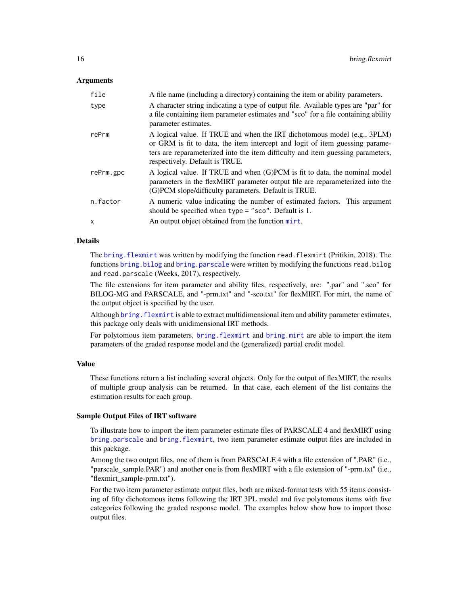# Arguments

| file      | A file name (including a directory) containing the item or ability parameters.                                                                                                                                                                                                |
|-----------|-------------------------------------------------------------------------------------------------------------------------------------------------------------------------------------------------------------------------------------------------------------------------------|
| type      | A character string indicating a type of output file. Available types are "par" for<br>a file containing item parameter estimates and "sco" for a file containing ability<br>parameter estimates.                                                                              |
| rePrm     | A logical value. If TRUE and when the IRT dichotomous model (e.g., 3PLM)<br>or GRM is fit to data, the item intercept and logit of item guessing parame-<br>ters are reparameterized into the item difficulty and item guessing parameters,<br>respectively. Default is TRUE. |
| rePrm.gpc | A logical value. If TRUE and when (G)PCM is fit to data, the nominal model<br>parameters in the flexMIRT parameter output file are reparameterized into the<br>(G)PCM slope/difficulty parameters. Default is TRUE.                                                           |
| n.factor  | A numeric value indicating the number of estimated factors. This argument<br>should be specified when type = " $sco$ ". Default is 1.                                                                                                                                         |
| X         | An output object obtained from the function mirt.                                                                                                                                                                                                                             |
|           |                                                                                                                                                                                                                                                                               |

# Details

The [bring.flexmirt](#page-14-2) was written by modifying the function read.flexmirt (Pritikin, 2018). The functions [bring.bilog](#page-14-1) and [bring.parscale](#page-14-1) were written by modifying the functions read.bilog and read.parscale (Weeks, 2017), respectively.

The file extensions for item parameter and ability files, respectively, are: ".par" and ".sco" for BILOG-MG and PARSCALE, and "-prm.txt" and "-sco.txt" for flexMIRT. For mirt, the name of the output object is specified by the user.

Although bring. flexmirt is able to extract multidimensional item and ability parameter estimates, this package only deals with unidimensional IRT methods.

For polytomous item parameters, [bring.flexmirt](#page-14-2) and [bring.mirt](#page-14-1) are able to import the item parameters of the graded response model and the (generalized) partial credit model.

## Value

These functions return a list including several objects. Only for the output of flexMIRT, the results of multiple group analysis can be returned. In that case, each element of the list contains the estimation results for each group.

# Sample Output Files of IRT software

To illustrate how to import the item parameter estimate files of PARSCALE 4 and flexMIRT using [bring.parscale](#page-14-1) and [bring.flexmirt](#page-14-2), two item parameter estimate output files are included in this package.

Among the two output files, one of them is from PARSCALE 4 with a file extension of ".PAR" (i.e., "parscale\_sample.PAR") and another one is from flexMIRT with a file extension of "-prm.txt" (i.e., "flexmirt\_sample-prm.txt").

For the two item parameter estimate output files, both are mixed-format tests with 55 items consisting of fifty dichotomous items following the IRT 3PL model and five polytomous items with five categories following the graded response model. The examples below show how to import those output files.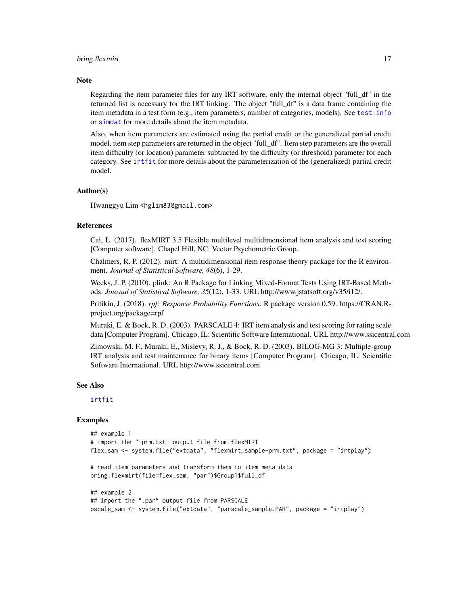#### bring.flexmirt 17

#### **Note**

Regarding the item parameter files for any IRT software, only the internal object "full\_df" in the returned list is necessary for the IRT linking. The object "full\_df" is a data frame containing the item metadata in a test form (e.g., item parameters, number of categories, models). See [test.info](#page-115-1) or [simdat](#page-107-1) for more details about the item metadata.

Also, when item parameters are estimated using the partial credit or the generalized partial credit model, item step parameters are returned in the object "full\_df". Item step parameters are the overall item difficulty (or location) parameter subtracted by the difficulty (or threshold) parameter for each category. See [irtfit](#page-70-1) for more details about the parameterization of the (generalized) partial credit model.

#### Author(s)

Hwanggyu Lim <hglim83@gmail.com>

# References

Cai, L. (2017). flexMIRT 3.5 Flexible multilevel multidimensional item analysis and test scoring [Computer software]. Chapel Hill, NC: Vector Psychometric Group.

Chalmers, R. P. (2012). mirt: A multidimensional item response theory package for the R environment. *Journal of Statistical Software, 48*(6), 1-29.

Weeks, J. P. (2010). plink: An R Package for Linking Mixed-Format Tests Using IRT-Based Methods. *Journal of Statistical Software, 35*(12), 1-33. URL http://www.jstatsoft.org/v35/i12/.

Pritikin, J. (2018). *rpf: Response Probability Functions*. R package version 0.59. https://CRAN.Rproject.org/package=rpf

Muraki, E. & Bock, R. D. (2003). PARSCALE 4: IRT item analysis and test scoring for rating scale data [Computer Program]. Chicago, IL: Scientific Software International. URL http://www.ssicentral.com

Zimowski, M. F., Muraki, E., Mislevy, R. J., & Bock, R. D. (2003). BILOG-MG 3: Multiple-group IRT analysis and test maintenance for binary items [Computer Program]. Chicago, IL: Scientific Software International. URL http://www.ssicentral.com

# See Also

[irtfit](#page-70-1)

# Examples

```
## example 1
# import the "-prm.txt" output file from flexMIRT
flex_sam <- system.file("extdata", "flexmirt_sample-prm.txt", package = "irtplay")
# read item parameters and transform them to item meta data
bring.flexmirt(file=flex_sam, "par")$Group1$full_df
## example 2
## import the ".par" output file from PARSCALE
pscale_sam <- system.file("extdata", "parscale_sample.PAR", package = "irtplay")
```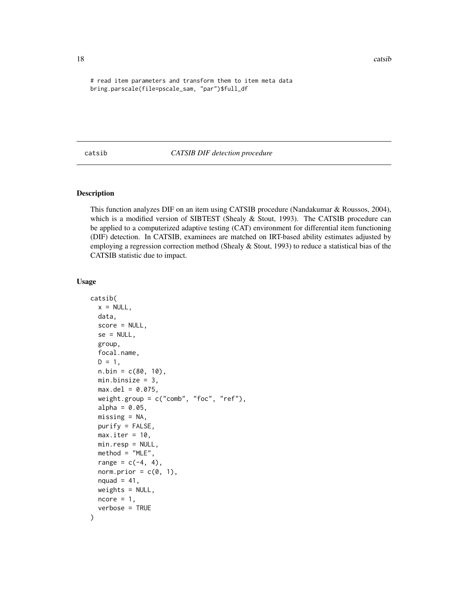18 catsib

# read item parameters and transform them to item meta data bring.parscale(file=pscale\_sam, "par")\$full\_df

# <span id="page-17-1"></span>catsib *CATSIB DIF detection procedure*

# Description

This function analyzes DIF on an item using CATSIB procedure (Nandakumar & Roussos, 2004), which is a modified version of SIBTEST (Shealy & Stout, 1993). The CATSIB procedure can be applied to a computerized adaptive testing (CAT) environment for differential item functioning (DIF) detection. In CATSIB, examinees are matched on IRT-based ability estimates adjusted by employing a regression correction method (Shealy & Stout, 1993) to reduce a statistical bias of the CATSIB statistic due to impact.

# Usage

```
catsib(
  x = NULL,data,
  score = NULL,
  se = NULL,
  group,
  focal.name,
  D = 1,n. \text{bin} = c(80, 10),min.binsize = 3,max. del = 0.075,weight.group = c("comb", "foc", "ref"),
  alpha = 0.05,
  missing = NA,
  purity = FALSE,max.iter = 10,
  min.resp = NULL,
  method = "MLE",range = c(-4, 4),
  norm.prior = c(\emptyset, 1),
  nquad = 41,
  weights = NULL,ncore = 1,
  verbose = TRUE
)
```
<span id="page-17-0"></span>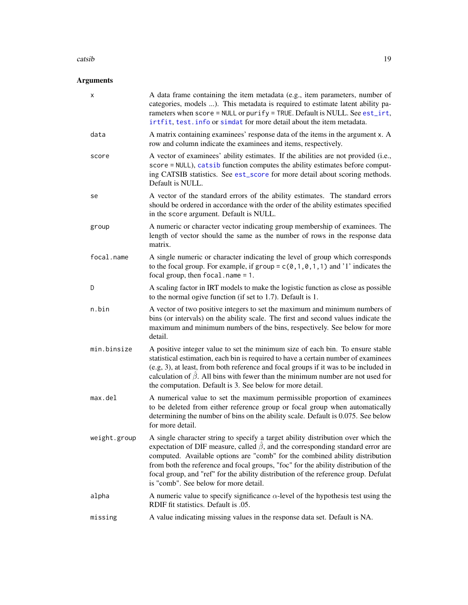#### catsib<sup>19</sup>

# Arguments

| x            | A data frame containing the item metadata (e.g., item parameters, number of<br>categories, models ). This metadata is required to estimate latent ability pa-<br>rameters when score = NULL or purify = TRUE. Default is NULL. See est_irt,<br>irtfit, test. info or simdat for more detail about the item metadata.                                                                                                                                                                    |
|--------------|-----------------------------------------------------------------------------------------------------------------------------------------------------------------------------------------------------------------------------------------------------------------------------------------------------------------------------------------------------------------------------------------------------------------------------------------------------------------------------------------|
| data         | A matrix containing examinees' response data of the items in the argument x. A<br>row and column indicate the examinees and items, respectively.                                                                                                                                                                                                                                                                                                                                        |
| score        | A vector of examinees' ability estimates. If the abilities are not provided (i.e.,<br>score = NULL), catsib function computes the ability estimates before comput-<br>ing CATSIB statistics. See est_score for more detail about scoring methods.<br>Default is NULL.                                                                                                                                                                                                                   |
| se           | A vector of the standard errors of the ability estimates. The standard errors<br>should be ordered in accordance with the order of the ability estimates specified<br>in the score argument. Default is NULL.                                                                                                                                                                                                                                                                           |
| group        | A numeric or character vector indicating group membership of examinees. The<br>length of vector should the same as the number of rows in the response data<br>matrix.                                                                                                                                                                                                                                                                                                                   |
| focal.name   | A single numeric or character indicating the level of group which corresponds<br>to the focal group. For example, if group = $c(0, 1, 0, 1, 1)$ and '1' indicates the<br>focal group, then $focal.name = 1$ .                                                                                                                                                                                                                                                                           |
| D            | A scaling factor in IRT models to make the logistic function as close as possible<br>to the normal ogive function (if set to 1.7). Default is 1.                                                                                                                                                                                                                                                                                                                                        |
| n.bin        | A vector of two positive integers to set the maximum and minimum numbers of<br>bins (or intervals) on the ability scale. The first and second values indicate the<br>maximum and minimum numbers of the bins, respectively. See below for more<br>detail.                                                                                                                                                                                                                               |
| min.binsize  | A positive integer value to set the minimum size of each bin. To ensure stable<br>statistical estimation, each bin is required to have a certain number of examinees<br>(e.g, 3), at least, from both reference and focal groups if it was to be included in<br>calculation of $\hat{\beta}$ . All bins with fewer than the minimum number are not used for<br>the computation. Default is 3. See below for more detail.                                                                |
| max.del      | A numerical value to set the maximum permissible proportion of examinees<br>to be deleted from either reference group or focal group when automatically<br>determining the number of bins on the ability scale. Default is 0.075. See below<br>for more detail.                                                                                                                                                                                                                         |
| weight.group | A single character string to specify a target ability distribution over which the<br>expectation of DIF measure, called $\hat{\beta}$ , and the corresponding standard error are<br>computed. Available options are "comb" for the combined ability distribution<br>from both the reference and focal groups, "foc" for the ability distribution of the<br>focal group, and "ref" for the ability distribution of the reference group. Defulat<br>is "comb". See below for more detail. |
| alpha        | A numeric value to specify significance $\alpha$ -level of the hypothesis test using the<br>RDIF fit statistics. Default is .05.                                                                                                                                                                                                                                                                                                                                                        |
| missing      | A value indicating missing values in the response data set. Default is NA.                                                                                                                                                                                                                                                                                                                                                                                                              |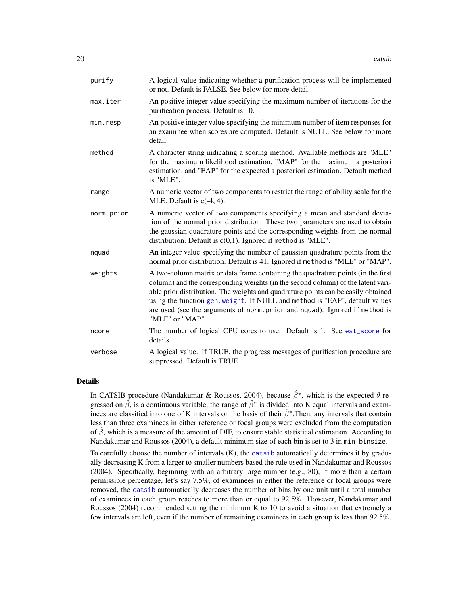| purify     | A logical value indicating whether a purification process will be implemented<br>or not. Default is FALSE. See below for more detail.                                                                                                                                                                                                                                                                                                     |
|------------|-------------------------------------------------------------------------------------------------------------------------------------------------------------------------------------------------------------------------------------------------------------------------------------------------------------------------------------------------------------------------------------------------------------------------------------------|
| max.iter   | An positive integer value specifying the maximum number of iterations for the<br>purification process. Default is 10.                                                                                                                                                                                                                                                                                                                     |
| min.resp   | An positive integer value specifying the minimum number of item responses for<br>an examinee when scores are computed. Default is NULL. See below for more<br>detail.                                                                                                                                                                                                                                                                     |
| method     | A character string indicating a scoring method. Available methods are "MLE"<br>for the maximum likelihood estimation, "MAP" for the maximum a posteriori<br>estimation, and "EAP" for the expected a posteriori estimation. Default method<br>is "MLE".                                                                                                                                                                                   |
| range      | A numeric vector of two components to restrict the range of ability scale for the<br>MLE. Default is $c(-4, 4)$ .                                                                                                                                                                                                                                                                                                                         |
| norm.prior | A numeric vector of two components specifying a mean and standard devia-<br>tion of the normal prior distribution. These two parameters are used to obtain<br>the gaussian quadrature points and the corresponding weights from the normal<br>distribution. Default is $c(0,1)$ . Ignored if method is "MLE".                                                                                                                             |
| nquad      | An integer value specifying the number of gaussian quadrature points from the<br>normal prior distribution. Default is 41. Ignored if method is "MLE" or "MAP".                                                                                                                                                                                                                                                                           |
| weights    | A two-column matrix or data frame containing the quadrature points (in the first<br>column) and the corresponding weights (in the second column) of the latent vari-<br>able prior distribution. The weights and quadrature points can be easily obtained<br>using the function gen. weight. If NULL and method is "EAP", default values<br>are used (see the arguments of norm.prior and nquad). Ignored if method is<br>"MLE" or "MAP". |
| ncore      | The number of logical CPU cores to use. Default is 1. See est_score for<br>details.                                                                                                                                                                                                                                                                                                                                                       |
| verbose    | A logical value. If TRUE, the progress messages of purification procedure are<br>suppressed. Default is TRUE.                                                                                                                                                                                                                                                                                                                             |

# Details

In CATSIB procedure (Nandakumar & Roussos, 2004), because  $\hat{\beta}^*$ , which is the expected  $\theta$  regressed on  $\hat{\beta}$ , is a continuous variable, the range of  $\hat{\beta}^*$  is divided into K equal intervals and examinees are classified into one of K intervals on the basis of their  $\hat{\beta}^*$ . Then, any intervals that contain less than three examinees in either reference or focal groups were excluded from the computation of  $\hat{\beta}$ , which is a measure of the amount of DIF, to ensure stable statistical estimation. According to Nandakumar and Roussos (2004), a default minimum size of each bin is set to 3 in min.binsize.

To carefully choose the number of intervals (K), the [catsib](#page-17-1) automatically determines it by gradually decreasing K from a larger to smaller numbers based the rule used in Nandakumar and Roussos (2004). Specifically, beginning with an arbitrary large number (e.g., 80), if more than a certain permissible percentage, let's say 7.5%, of examinees in either the reference or focal groups were removed, the [catsib](#page-17-1) automatically decreases the number of bins by one unit until a total number of examinees in each group reaches to more than or equal to 92.5%. However, Nandakumar and Roussos (2004) recommended setting the minimum K to 10 to avoid a situation that extremely a few intervals are left, even if the number of remaining examinees in each group is less than 92.5%.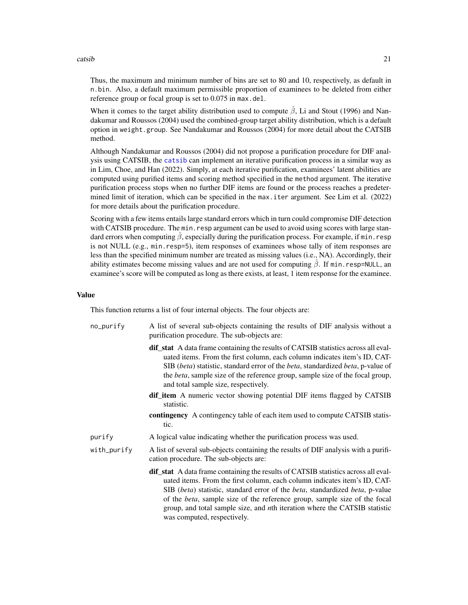#### catsib<sup>21</sup>

Thus, the maximum and minimum number of bins are set to 80 and 10, respectively, as default in n.bin. Also, a default maximum permissible proportion of examinees to be deleted from either reference group or focal group is set to 0.075 in max.del.

When it comes to the target ability distribution used to compute  $\hat{\beta}$ , Li and Stout (1996) and Nandakumar and Roussos (2004) used the combined-group target ability distribution, which is a default option in weight.group. See Nandakumar and Roussos (2004) for more detail about the CATSIB method.

Although Nandakumar and Roussos (2004) did not propose a purification procedure for DIF analysis using CATSIB, the [catsib](#page-17-1) can implement an iterative purification process in a similar way as in Lim, Choe, and Han (2022). Simply, at each iterative purification, examinees' latent abilities are computed using purified items and scoring method specified in the method argument. The iterative purification process stops when no further DIF items are found or the process reaches a predetermined limit of iteration, which can be specified in the max.iter argument. See Lim et al. (2022) for more details about the purification procedure.

Scoring with a few items entails large standard errors which in turn could compromise DIF detection with CATSIB procedure. The min.resp argument can be used to avoid using scores with large standard errors when computing  $\hat{\beta}$ , especially during the purification process. For example, if min. resp is not NULL (e.g., min.resp=5), item responses of examinees whose tally of item responses are less than the specified minimum number are treated as missing values (i.e., NA). Accordingly, their ability estimates become missing values and are not used for computing  $\hat{\beta}$ . If min.resp=NULL, an examinee's score will be computed as long as there exists, at least, 1 item response for the examinee.

# Value

This function returns a list of four internal objects. The four objects are:

| no_purify   | A list of several sub-objects containing the results of DIF analysis without a<br>purification procedure. The sub-objects are:                                                                                                                                                                                                                                                                                                                                            |
|-------------|---------------------------------------------------------------------------------------------------------------------------------------------------------------------------------------------------------------------------------------------------------------------------------------------------------------------------------------------------------------------------------------------------------------------------------------------------------------------------|
|             | <b>dif_stat</b> A data frame containing the results of CATSIB statistics across all eval-<br>uated items. From the first column, each column indicates item's ID, CAT-<br>SIB (beta) statistic, standard error of the <i>beta</i> , standardized <i>beta</i> , p-value of<br>the <i>beta</i> , sample size of the reference group, sample size of the focal group,<br>and total sample size, respectively.                                                                |
|             | <b>dif_item</b> A numeric vector showing potential DIF items flagged by CATSIB<br>statistic.                                                                                                                                                                                                                                                                                                                                                                              |
|             | contingency A contingency table of each item used to compute CATSIB statis-<br>tic.                                                                                                                                                                                                                                                                                                                                                                                       |
| purify      | A logical value indicating whether the purification process was used.                                                                                                                                                                                                                                                                                                                                                                                                     |
| with_purify | A list of several sub-objects containing the results of DIF analysis with a purifi-<br>cation procedure. The sub-objects are:                                                                                                                                                                                                                                                                                                                                             |
|             | dif_stat A data frame containing the results of CATSIB statistics across all eval-<br>uated items. From the first column, each column indicates item's ID, CAT-<br>SIB (beta) statistic, standard error of the <i>beta</i> , standardized <i>beta</i> , p-value<br>of the <i>beta</i> , sample size of the reference group, sample size of the focal<br>group, and total sample size, and <i>n</i> th iteration where the CATSIB statistic<br>was computed, respectively. |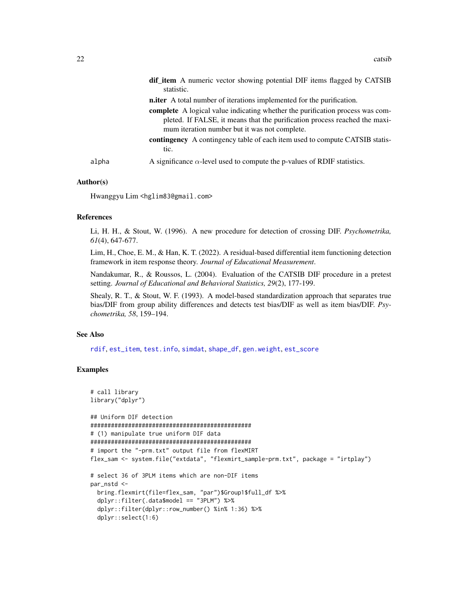|       | dif_item A numeric vector showing potential DIF items flagged by CATSIB<br>statistic.                                                                                                                               |
|-------|---------------------------------------------------------------------------------------------------------------------------------------------------------------------------------------------------------------------|
|       | <b>n.iter</b> A total number of iterations implemented for the purification.                                                                                                                                        |
|       | <b>complete</b> A logical value indicating whether the purification process was com-<br>pleted. If FALSE, it means that the purification process reached the maxi-<br>mum iteration number but it was not complete. |
|       | contingency A contingency table of each item used to compute CATSIB statis-<br>tic.                                                                                                                                 |
| alpha | A significance $\alpha$ -level used to compute the p-values of RDIF statistics.                                                                                                                                     |

# Author(s)

Hwanggyu Lim <hglim83@gmail.com>

# References

Li, H. H., & Stout, W. (1996). A new procedure for detection of crossing DIF. *Psychometrika, 61*(4), 647-677.

Lim, H., Choe, E. M., & Han, K. T. (2022). A residual-based differential item functioning detection framework in item response theory. *Journal of Educational Measurement*.

Nandakumar, R., & Roussos, L. (2004). Evaluation of the CATSIB DIF procedure in a pretest setting. *Journal of Educational and Behavioral Statistics, 29*(2), 177-199.

Shealy, R. T., & Stout, W. F. (1993). A model-based standardization approach that separates true bias/DIF from group ability differences and detects test bias/DIF as well as item bias/DIF. *Psychometrika, 58*, 159–194.

#### See Also

[rdif](#page-94-1), [est\\_item](#page-39-1), [test.info](#page-115-1), [simdat](#page-107-1), [shape\\_df](#page-103-1), [gen.weight](#page-64-1), [est\\_score](#page-58-1)

# Examples

```
# call library
library("dplyr")
## Uniform DIF detection
###############################################
# (1) manipulate true uniform DIF data
###############################################
# import the "-prm.txt" output file from flexMIRT
flex_sam <- system.file("extdata", "flexmirt_sample-prm.txt", package = "irtplay")
# select 36 of 3PLM items which are non-DIF items
par_nstd <-
 bring.flexmirt(file=flex_sam, "par")$Group1$full_df %>%
 dplyr::filter(.data$model == "3PLM") %>%
 dplyr::filter(dplyr::row_number() %in% 1:36) %>%
 dplyr::select(1:6)
```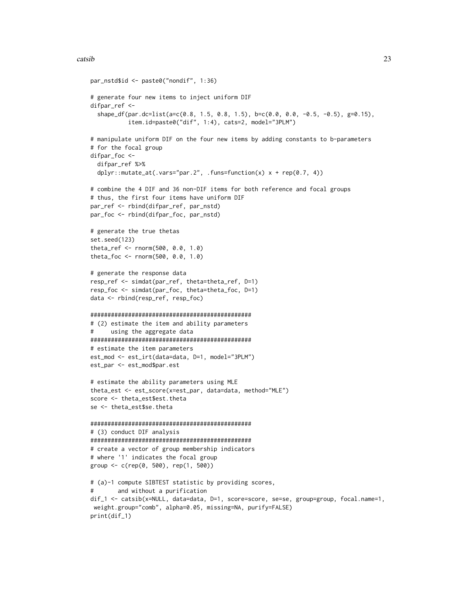#### catsib 23

```
par_nstd$id <- paste0("nondif", 1:36)
# generate four new items to inject uniform DIF
difpar_ref <-
  shape_df(par.dc=list(a=c(0.8, 1.5, 0.8, 1.5), b=c(0.0, 0.0, -0.5, -0.5), g=0.15),
           item.id=paste0("dif", 1:4), cats=2, model="3PLM")
# manipulate uniform DIF on the four new items by adding constants to b-parameters
# for the focal group
difpar_foc <-
  difpar_ref %>%
  dplyr::mutate_at(.vars="par.2", .funs=function(x) x + rep(0.7, 4))
# combine the 4 DIF and 36 non-DIF items for both reference and focal groups
# thus, the first four items have uniform DIF
par_ref <- rbind(difpar_ref, par_nstd)
par_foc <- rbind(difpar_foc, par_nstd)
# generate the true thetas
set.seed(123)
theta_ref <- rnorm(500, 0.0, 1.0)
theta_foc <- rnorm(500, 0.0, 1.0)
# generate the response data
resp_ref <- simdat(par_ref, theta=theta_ref, D=1)
resp_foc <- simdat(par_foc, theta=theta_foc, D=1)
data <- rbind(resp_ref, resp_foc)
###############################################
# (2) estimate the item and ability parameters
# using the aggregate data
###############################################
# estimate the item parameters
est_mod <- est_irt(data=data, D=1, model="3PLM")
est_par <- est_mod$par.est
# estimate the ability parameters using MLE
theta_est <- est_score(x=est_par, data=data, method="MLE")
score <- theta_est$est.theta
se <- theta_est$se.theta
###############################################
# (3) conduct DIF analysis
###############################################
# create a vector of group membership indicators
# where '1' indicates the focal group
group <- c(rep(0, 500), rep(1, 500))
# (a)-1 compute SIBTEST statistic by providing scores,
# and without a purification
dif_1 <- catsib(x=NULL, data=data, D=1, score=score, se=se, group=group, focal.name=1,
 weight.group="comb", alpha=0.05, missing=NA, purify=FALSE)
print(dif_1)
```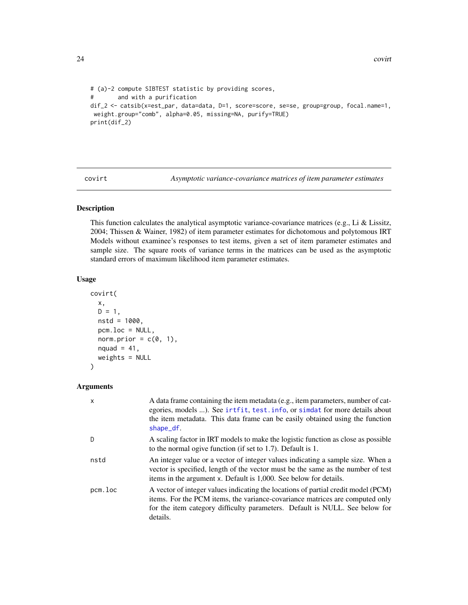```
# (a)-2 compute SIBTEST statistic by providing scores,
# and with a purification
dif_2 <- catsib(x=est_par, data=data, D=1, score=score, se=se, group=group, focal.name=1,
weight.group="comb", alpha=0.05, missing=NA, purify=TRUE)
print(dif_2)
```
covirt *Asymptotic variance-covariance matrices of item parameter estimates*

# Description

This function calculates the analytical asymptotic variance-covariance matrices (e.g., Li & Lissitz, 2004; Thissen & Wainer, 1982) of item parameter estimates for dichotomous and polytomous IRT Models without examinee's responses to test items, given a set of item parameter estimates and sample size. The square roots of variance terms in the matrices can be used as the asymptotic standard errors of maximum likelihood item parameter estimates.

# Usage

```
covirt(
  x,
  D = 1,
  nstd = 1000.
  pcm.loc = NULL,
  norm.prior = c(\emptyset, 1),
  nquad = 41,
  weights = NULL
\lambda
```
# Arguments

| $\mathsf{x}$ | A data frame containing the item metadata (e.g., item parameters, number of cat-<br>egories, models ). See irtfit, test. info, or simdat for more details about<br>the item metadata. This data frame can be easily obtained using the function<br>shape_df. |
|--------------|--------------------------------------------------------------------------------------------------------------------------------------------------------------------------------------------------------------------------------------------------------------|
| D.           | A scaling factor in IRT models to make the logistic function as close as possible<br>to the normal ogive function (if set to 1.7). Default is 1.                                                                                                             |
| nstd         | An integer value or a vector of integer values indicating a sample size. When a<br>vector is specified, length of the vector must be the same as the number of test<br>items in the argument x. Default is 1,000. See below for details.                     |
| pcm.loc      | A vector of integer values indicating the locations of partial credit model (PCM)<br>items. For the PCM items, the variance-covariance matrices are computed only<br>for the item category difficulty parameters. Default is NULL. See below for<br>details. |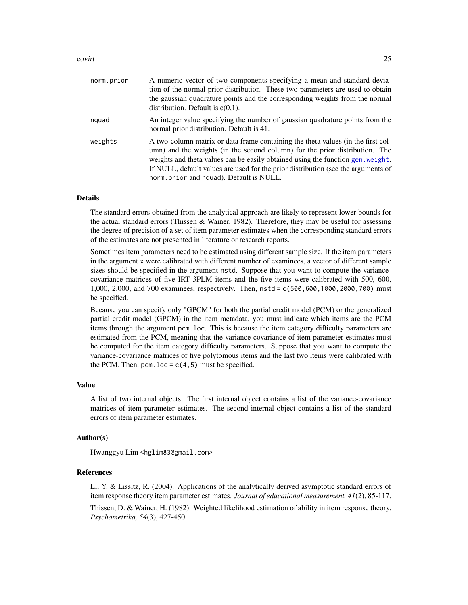#### covirt 25

| norm.prior | A numeric vector of two components specifying a mean and standard devia-<br>tion of the normal prior distribution. These two parameters are used to obtain<br>the gaussian quadrature points and the corresponding weights from the normal<br>distribution. Default is $c(0,1)$ .                                                                                                  |
|------------|------------------------------------------------------------------------------------------------------------------------------------------------------------------------------------------------------------------------------------------------------------------------------------------------------------------------------------------------------------------------------------|
| nquad      | An integer value specifying the number of gaussian quadrature points from the<br>normal prior distribution. Default is 41.                                                                                                                                                                                                                                                         |
| weights    | A two-column matrix or data frame containing the theta values (in the first col-<br>umn) and the weights (in the second column) for the prior distribution. The<br>weights and theta values can be easily obtained using the function gen. weight.<br>If NULL, default values are used for the prior distribution (see the arguments of<br>norm.prior and nguad). Default is NULL. |

# Details

The standard errors obtained from the analytical approach are likely to represent lower bounds for the actual standard errors (Thissen & Wainer, 1982). Therefore, they may be useful for assessing the degree of precision of a set of item parameter estimates when the corresponding standard errors of the estimates are not presented in literature or research reports.

Sometimes item parameters need to be estimated using different sample size. If the item parameters in the argument x were calibrated with different number of examinees, a vector of different sample sizes should be specified in the argument nstd. Suppose that you want to compute the variancecovariance matrices of five IRT 3PLM items and the five items were calibrated with 500, 600, 1,000, 2,000, and 700 examinees, respectively. Then, nstd = c(500,600,1000,2000,700) must be specified.

Because you can specify only "GPCM" for both the partial credit model (PCM) or the generalized partial credit model (GPCM) in the item metadata, you must indicate which items are the PCM items through the argument pcm.loc. This is because the item category difficulty parameters are estimated from the PCM, meaning that the variance-covariance of item parameter estimates must be computed for the item category difficulty parameters. Suppose that you want to compute the variance-covariance matrices of five polytomous items and the last two items were calibrated with the PCM. Then, pcm.  $loc = c(4, 5)$  must be specified.

#### Value

A list of two internal objects. The first internal object contains a list of the variance-covariance matrices of item parameter estimates. The second internal object contains a list of the standard errors of item parameter estimates.

# Author(s)

Hwanggyu Lim <hglim83@gmail.com>

# References

Li, Y. & Lissitz, R. (2004). Applications of the analytically derived asymptotic standard errors of item response theory item parameter estimates. *Journal of educational measurement, 41*(2), 85-117.

Thissen, D. & Wainer, H. (1982). Weighted likelihood estimation of ability in item response theory. *Psychometrika, 54*(3), 427-450.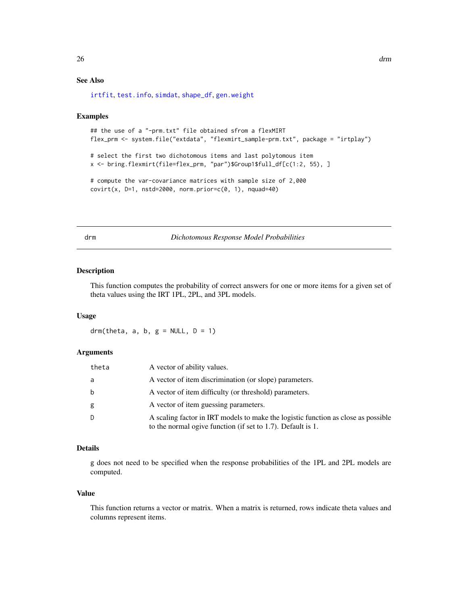# <span id="page-25-0"></span>See Also

[irtfit](#page-70-1), [test.info](#page-115-1), [simdat](#page-107-1), [shape\\_df](#page-103-1), [gen.weight](#page-64-1)

# Examples

```
## the use of a "-prm.txt" file obtained sfrom a flexMIRT
flex_prm <- system.file("extdata", "flexmirt_sample-prm.txt", package = "irtplay")
# select the first two dichotomous items and last polytomous item
x <- bring.flexmirt(file=flex_prm, "par")$Group1$full_df[c(1:2, 55), ]
# compute the var-covariance matrices with sample size of 2,000
covirt(x, D=1, nstd=2000, norm.prior=c(0, 1), nquad=40)
```
drm *Dichotomous Response Model Probabilities*

# Description

This function computes the probability of correct answers for one or more items for a given set of theta values using the IRT 1PL, 2PL, and 3PL models.

### Usage

drm(theta, a, b,  $g = NULL$ ,  $D = 1$ )

# Arguments

| theta | A vector of ability values.                                                                                                                      |
|-------|--------------------------------------------------------------------------------------------------------------------------------------------------|
| a     | A vector of item discrimination (or slope) parameters.                                                                                           |
| b     | A vector of item difficulty (or threshold) parameters.                                                                                           |
| g     | A vector of item guessing parameters.                                                                                                            |
| D     | A scaling factor in IRT models to make the logistic function as close as possible<br>to the normal ogive function (if set to 1.7). Default is 1. |

# Details

g does not need to be specified when the response probabilities of the 1PL and 2PL models are computed.

#### Value

This function returns a vector or matrix. When a matrix is returned, rows indicate theta values and columns represent items.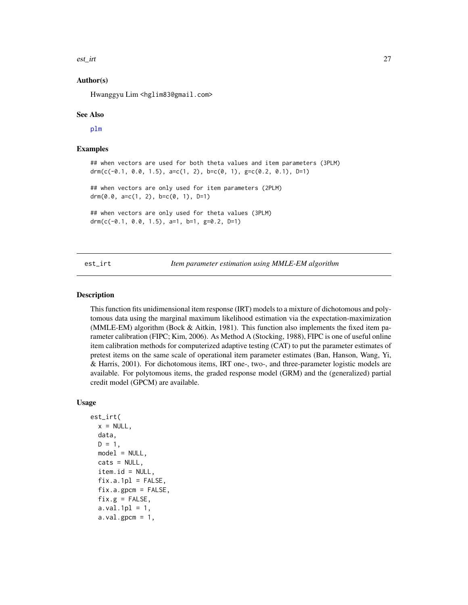<span id="page-26-0"></span>est\_irt 27

# Author(s)

Hwanggyu Lim <hglim83@gmail.com>

#### See Also

[plm](#page-83-1)

# Examples

```
## when vectors are used for both theta values and item parameters (3PLM)
drm(c(-0.1, 0.0, 1.5), a=c(1, 2), b=c(0, 1), g=c(0.2, 0.1), D=1)
## when vectors are only used for item parameters (2PLM)
drm(0.0, a=c(1, 2), b=c(0, 1), D=1)
## when vectors are only used for theta values (3PLM)
drm(c(-0.1, 0.0, 1.5), a=1, b=1, g=0.2, D=1)
```
<span id="page-26-1"></span>est\_irt *Item parameter estimation using MMLE-EM algorithm*

# **Description**

This function fits unidimensional item response (IRT) models to a mixture of dichotomous and polytomous data using the marginal maximum likelihood estimation via the expectation-maximization (MMLE-EM) algorithm (Bock & Aitkin, 1981). This function also implements the fixed item parameter calibration (FIPC; Kim, 2006). As Method A (Stocking, 1988), FIPC is one of useful online item calibration methods for computerized adaptive testing (CAT) to put the parameter estimates of pretest items on the same scale of operational item parameter estimates (Ban, Hanson, Wang, Yi, & Harris, 2001). For dichotomous items, IRT one-, two-, and three-parameter logistic models are available. For polytomous items, the graded response model (GRM) and the (generalized) partial credit model (GPCM) are available.

# Usage

```
est_irt(
  x = NULL,data,
  D = 1,model = NULL,cats = NULL,
  item.id = NULL,fix.a.1p1 = FALSE,fix.a.gpcm = FALSE,
  fix.g = FALSE,a.val.1pl = 1,a.val.gpcm = 1,
```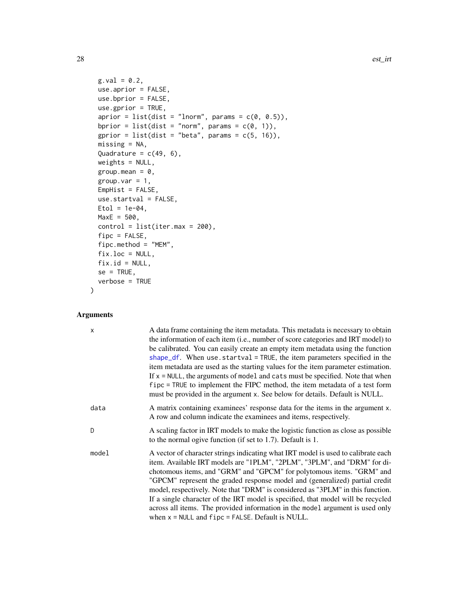```
g.val = 0.2,
 use.aprior = FALSE,
 use.bprior = FALSE,
 use.gprior = TRUE,
  aprior = list(dist = "lnorm", params = c(\emptyset, 0.5)),
 bprior = list(dist = "norm", params = c(0, 1)),
 gprior = list(dist = "beta", params = c(5, 16)),missing = NA,
 Quadrature = c(49, 6),
 weights = NULL,
 group.mean = 0,
 group.var = 1,
 EmpHist = FALSE,use.startval = FALSE,
 Etol = 1e-04,MaxE = 500,control = list(iter.max = 200),
 fipc = FALSE,fipc.method = "MEM",
 fix.loc = NULL,fix.id = NULL,se = TRUE,verbose = TRUE
\mathcal{L}
```
# Arguments

| $\times$ | A data frame containing the item metadata. This metadata is necessary to obtain<br>the information of each item (i.e., number of score categories and IRT model) to<br>be calibrated. You can easily create an empty item metadata using the function<br>shape_df. When use startval = TRUE, the item parameters specified in the<br>item metadata are used as the starting values for the item parameter estimation.<br>If $x = NULL$ , the arguments of model and cats must be specified. Note that when<br>fipc = TRUE to implement the FIPC method, the item metadata of a test form                                              |
|----------|---------------------------------------------------------------------------------------------------------------------------------------------------------------------------------------------------------------------------------------------------------------------------------------------------------------------------------------------------------------------------------------------------------------------------------------------------------------------------------------------------------------------------------------------------------------------------------------------------------------------------------------|
|          | must be provided in the argument x. See below for details. Default is NULL.                                                                                                                                                                                                                                                                                                                                                                                                                                                                                                                                                           |
| data     | A matrix containing examinees' response data for the items in the argument x.<br>A row and column indicate the examinees and items, respectively.                                                                                                                                                                                                                                                                                                                                                                                                                                                                                     |
| D        | A scaling factor in IRT models to make the logistic function as close as possible<br>to the normal ogive function (if set to 1.7). Default is 1.                                                                                                                                                                                                                                                                                                                                                                                                                                                                                      |
| model    | A vector of character strings indicating what IRT model is used to calibrate each<br>item. Available IRT models are "1PLM", "2PLM", "3PLM", and "DRM" for di-<br>chotomous items, and "GRM" and "GPCM" for polytomous items. "GRM" and<br>"GPCM" represent the graded response model and (generalized) partial credit<br>model, respectively. Note that "DRM" is considered as "3PLM" in this function.<br>If a single character of the IRT model is specified, that model will be recycled<br>across all items. The provided information in the model argument is used only<br>when $x = NULL$ and $fipo = FALSE$ . Default is NULL. |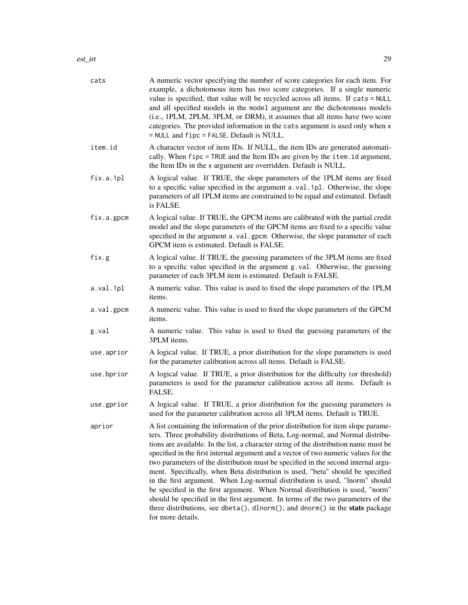| cats       | A numeric vector specifying the number of score categories for each item. For<br>example, a dichotomous item has two score categories. If a single numeric<br>value is specified, that value will be recycled across all items. If cats = NULL<br>and all specified models in the model argument are the dichotomous models<br>(i.e., 1PLM, 2PLM, 3PLM, or DRM), it assumes that all items have two score<br>categories. The provided information in the cats argument is used only when x<br>= NULL and fipc = FALSE. Default is NULL.                                                                                                                                                                                                                                                                                                                                              |  |  |
|------------|--------------------------------------------------------------------------------------------------------------------------------------------------------------------------------------------------------------------------------------------------------------------------------------------------------------------------------------------------------------------------------------------------------------------------------------------------------------------------------------------------------------------------------------------------------------------------------------------------------------------------------------------------------------------------------------------------------------------------------------------------------------------------------------------------------------------------------------------------------------------------------------|--|--|
| item.id    | A character vector of item IDs. If NULL, the item IDs are generated automati-<br>cally. When fipc = TRUE and the Item IDs are given by the item. id argument,<br>the Item IDs in the x argument are overridden. Default is NULL.                                                                                                                                                                                                                                                                                                                                                                                                                                                                                                                                                                                                                                                     |  |  |
| fix.a.1pl  | A logical value. If TRUE, the slope parameters of the 1PLM items are fixed<br>to a specific value specified in the argument a.val.1pl. Otherwise, the slope<br>parameters of all 1PLM items are constrained to be equal and estimated. Default<br>is FALSE.                                                                                                                                                                                                                                                                                                                                                                                                                                                                                                                                                                                                                          |  |  |
| fix.a.gpcm | A logical value. If TRUE, the GPCM items are calibrated with the partial credit<br>model and the slope parameters of the GPCM items are fixed to a specific value<br>specified in the argument a.val.gpcm. Otherwise, the slope parameter of each<br>GPCM item is estimated. Default is FALSE.                                                                                                                                                                                                                                                                                                                                                                                                                                                                                                                                                                                       |  |  |
| fix.g      | A logical value. If TRUE, the guessing parameters of the 3PLM items are fixed<br>to a specific value specified in the argument g.val. Otherwise, the guessing<br>parameter of each 3PLM item is estimated. Default is FALSE.                                                                                                                                                                                                                                                                                                                                                                                                                                                                                                                                                                                                                                                         |  |  |
| a.val.1pl  | A numeric value. This value is used to fixed the slope parameters of the 1PLM<br>items.                                                                                                                                                                                                                                                                                                                                                                                                                                                                                                                                                                                                                                                                                                                                                                                              |  |  |
| a.val.gpcm | A numeric value. This value is used to fixed the slope parameters of the GPCM<br>items.                                                                                                                                                                                                                                                                                                                                                                                                                                                                                                                                                                                                                                                                                                                                                                                              |  |  |
| g.val      | A numeric value. This value is used to fixed the guessing parameters of the<br>3PLM items.                                                                                                                                                                                                                                                                                                                                                                                                                                                                                                                                                                                                                                                                                                                                                                                           |  |  |
| use.aprior | A logical value. If TRUE, a prior distribution for the slope parameters is used<br>for the parameter calibration across all items. Default is FALSE.                                                                                                                                                                                                                                                                                                                                                                                                                                                                                                                                                                                                                                                                                                                                 |  |  |
| use.bprior | A logical value. If TRUE, a prior distribution for the difficulty (or threshold)<br>parameters is used for the parameter calibration across all items. Default is<br>FALSE.                                                                                                                                                                                                                                                                                                                                                                                                                                                                                                                                                                                                                                                                                                          |  |  |
| use.gprior | A logical value. If TRUE, a prior distribution for the guessing parameters is<br>used for the parameter calibration across all 3PLM items. Default is TRUE.                                                                                                                                                                                                                                                                                                                                                                                                                                                                                                                                                                                                                                                                                                                          |  |  |
| aprior     | A list containing the information of the prior distribution for item slope parame-<br>ters. Three probability distributions of Beta, Log-normal, and Normal distribu-<br>tions are available. In the list, a character string of the distribution name must be<br>specified in the first internal argument and a vector of two numeric values for the<br>two parameters of the distribution must be specified in the second internal argu-<br>ment. Specifically, when Beta distribution is used, "beta" should be specified<br>in the first argument. When Log-normal distribution is used, "lnorm" should<br>be specified in the first argument. When Normal distribution is used, "norm"<br>should be specified in the first argument. In terms of the two parameters of the<br>three distributions, see dbeta(), dlnorm(), and dnorm() in the stats package<br>for more details. |  |  |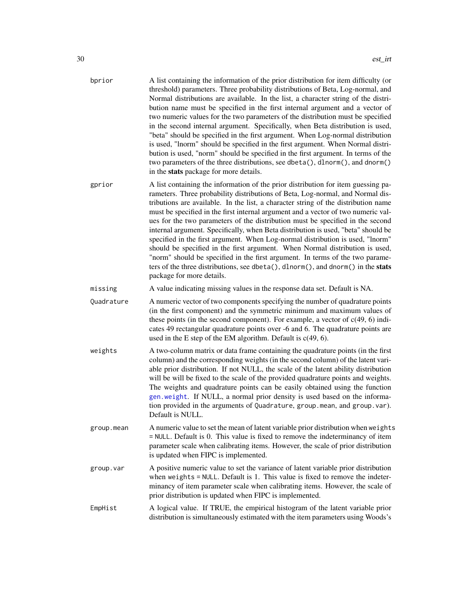| bprior     | A list containing the information of the prior distribution for item difficulty (or<br>threshold) parameters. Three probability distributions of Beta, Log-normal, and<br>Normal distributions are available. In the list, a character string of the distri-<br>bution name must be specified in the first internal argument and a vector of<br>two numeric values for the two parameters of the distribution must be specified<br>in the second internal argument. Specifically, when Beta distribution is used,<br>"beta" should be specified in the first argument. When Log-normal distribution<br>is used, "lnorm" should be specified in the first argument. When Normal distri-<br>bution is used, "norm" should be specified in the first argument. In terms of the<br>two parameters of the three distributions, see dbeta(), dlnorm(), and dnorm()<br>in the stats package for more details. |
|------------|--------------------------------------------------------------------------------------------------------------------------------------------------------------------------------------------------------------------------------------------------------------------------------------------------------------------------------------------------------------------------------------------------------------------------------------------------------------------------------------------------------------------------------------------------------------------------------------------------------------------------------------------------------------------------------------------------------------------------------------------------------------------------------------------------------------------------------------------------------------------------------------------------------|
| gprior     | A list containing the information of the prior distribution for item guessing pa-<br>rameters. Three probability distributions of Beta, Log-normal, and Normal dis-<br>tributions are available. In the list, a character string of the distribution name<br>must be specified in the first internal argument and a vector of two numeric val-<br>ues for the two parameters of the distribution must be specified in the second<br>internal argument. Specifically, when Beta distribution is used, "beta" should be<br>specified in the first argument. When Log-normal distribution is used, "lnorm"<br>should be specified in the first argument. When Normal distribution is used,<br>"norm" should be specified in the first argument. In terms of the two parame-<br>ters of the three distributions, see dbeta(), dlnorm(), and dnorm() in the stats<br>package for more details.              |
| missing    | A value indicating missing values in the response data set. Default is NA.                                                                                                                                                                                                                                                                                                                                                                                                                                                                                                                                                                                                                                                                                                                                                                                                                             |
| Quadrature | A numeric vector of two components specifying the number of quadrature points<br>(in the first component) and the symmetric minimum and maximum values of<br>these points (in the second component). For example, a vector of $c(49, 6)$ indi-<br>cates 49 rectangular quadrature points over -6 and 6. The quadrature points are<br>used in the E step of the EM algorithm. Default is $c(49, 6)$ .                                                                                                                                                                                                                                                                                                                                                                                                                                                                                                   |
| weights    | A two-column matrix or data frame containing the quadrature points (in the first<br>column) and the corresponding weights (in the second column) of the latent vari-<br>able prior distribution. If not NULL, the scale of the latent ability distribution<br>will be will be fixed to the scale of the provided quadrature points and weights.<br>The weights and quadrature points can be easily obtained using the function<br>gen weight. If NULL, a normal prior density is used based on the informa-<br>tion provided in the arguments of Quadrature, group.mean, and group.var).<br>Default is NULL.                                                                                                                                                                                                                                                                                           |
| group.mean | A numeric value to set the mean of latent variable prior distribution when weights<br>= NULL. Default is 0. This value is fixed to remove the indeterminancy of item<br>parameter scale when calibrating items. However, the scale of prior distribution<br>is updated when FIPC is implemented.                                                                                                                                                                                                                                                                                                                                                                                                                                                                                                                                                                                                       |
| group.var  | A positive numeric value to set the variance of latent variable prior distribution<br>when weights $=$ NULL. Default is 1. This value is fixed to remove the indeter-<br>minancy of item parameter scale when calibrating items. However, the scale of<br>prior distribution is updated when FIPC is implemented.                                                                                                                                                                                                                                                                                                                                                                                                                                                                                                                                                                                      |
| FmnHist    | A logical value. If TRUE the empirical histogram of the latent variable prior                                                                                                                                                                                                                                                                                                                                                                                                                                                                                                                                                                                                                                                                                                                                                                                                                          |

EmpHist A logical value. If TRUE, the empirical histogram of the latent variable prior distribution is simultaneously estimated with the item parameters using Woods's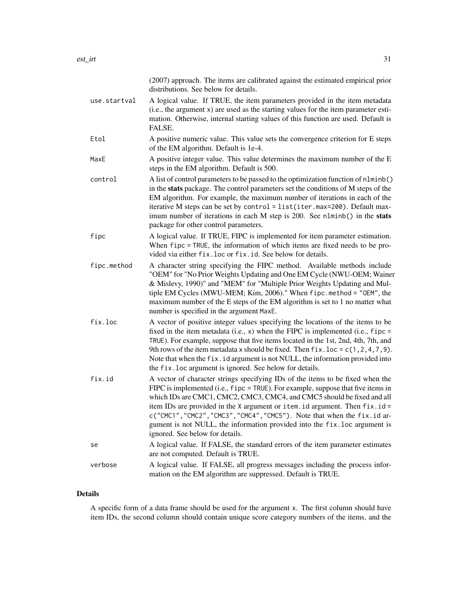|              | (2007) approach. The items are calibrated against the estimated empirical prior<br>distributions. See below for details.                                                                                                                                                                                                                                                                                                                                                                                               |
|--------------|------------------------------------------------------------------------------------------------------------------------------------------------------------------------------------------------------------------------------------------------------------------------------------------------------------------------------------------------------------------------------------------------------------------------------------------------------------------------------------------------------------------------|
| use.startval | A logical value. If TRUE, the item parameters provided in the item metadata<br>(i.e., the argument x) are used as the starting values for the item parameter esti-<br>mation. Otherwise, internal starting values of this function are used. Default is<br>FALSE.                                                                                                                                                                                                                                                      |
| Etol         | A positive numeric value. This value sets the convergence criterion for E steps<br>of the EM algorithm. Default is 1e-4.                                                                                                                                                                                                                                                                                                                                                                                               |
| MaxE         | A positive integer value. This value determines the maximum number of the E<br>steps in the EM algorithm. Default is 500.                                                                                                                                                                                                                                                                                                                                                                                              |
| control      | A list of control parameters to be passed to the optimization function of nlminb()<br>in the stats package. The control parameters set the conditions of M steps of the<br>EM algorithm. For example, the maximum number of iterations in each of the<br>iterative M steps can be set by control = list(iter.max=200). Default max-<br>imum number of iterations in each M step is 200. See n1minb() in the stats<br>package for other control parameters.                                                             |
| fipc         | A logical value. If TRUE, FIPC is implemented for item parameter estimation.<br>When fipc = TRUE, the information of which items are fixed needs to be pro-<br>vided via either fix. loc or fix. id. See below for details.                                                                                                                                                                                                                                                                                            |
| fipc.method  | A character string specifying the FIPC method. Available methods include<br>"OEM" for "No Prior Weights Updating and One EM Cycle (NWU-OEM; Wainer<br>& Mislevy, 1990)" and "MEM" for "Multiple Prior Weights Updating and Mul-<br>tiple EM Cycles (MWU-MEM; Kim, 2006)." When fipc.method = "OEM", the<br>maximum number of the E steps of the EM algorithm is set to 1 no matter what<br>number is specified in the argument MaxE.                                                                                   |
| fix.loc      | A vector of positive integer values specifying the locations of the items to be<br>fixed in the item metadata (i.e., $x$ ) when the FIPC is implemented (i.e., fipc =<br>TRUE). For example, suppose that five items located in the 1st, 2nd, 4th, 7th, and<br>9th rows of the item metadata x should be fixed. Then $fix.$ loc = $c(1, 2, 4, 7, 9)$ .<br>Note that when the fix. id argument is not NULL, the information provided into<br>the fix. loc argument is ignored. See below for details.                   |
| fix.id       | A vector of character strings specifying IDs of the items to be fixed when the<br>FIPC is implemented (i.e., fipc = TRUE). For example, suppose that five items in<br>which IDs are CMC1, CMC2, CMC3, CMC4, and CMC5 should be fixed and all<br>item IDs are provided in the X argument or item. id argument. Then $fix.id =$<br>c("CMC1","CMC2","CMC3","CMC4","CMC5"). Note that when the fix.id ar-<br>gument is not NULL, the information provided into the fix. loc argument is<br>ignored. See below for details. |
| se           | A logical value. If FALSE, the standard errors of the item parameter estimates<br>are not computed. Default is TRUE.                                                                                                                                                                                                                                                                                                                                                                                                   |
| verbose      | A logical value. If FALSE, all progress messages including the process infor-<br>mation on the EM algorithm are suppressed. Default is TRUE.                                                                                                                                                                                                                                                                                                                                                                           |

# Details

A specific form of a data frame should be used for the argument x. The first column should have item IDs, the second column should contain unique score category numbers of the items, and the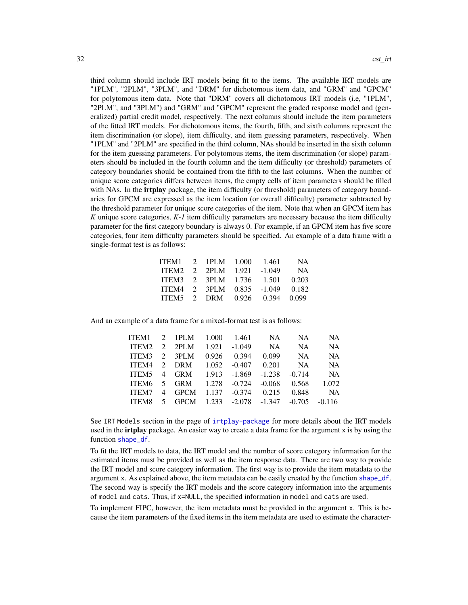third column should include IRT models being fit to the items. The available IRT models are "1PLM", "2PLM", "3PLM", and "DRM" for dichotomous item data, and "GRM" and "GPCM" for polytomous item data. Note that "DRM" covers all dichotomous IRT models (i.e, "1PLM", "2PLM", and "3PLM") and "GRM" and "GPCM" represent the graded response model and (generalized) partial credit model, respectively. The next columns should include the item parameters of the fitted IRT models. For dichotomous items, the fourth, fifth, and sixth columns represent the item discrimination (or slope), item difficulty, and item guessing parameters, respectively. When "1PLM" and "2PLM" are specified in the third column, NAs should be inserted in the sixth column for the item guessing parameters. For polytomous items, the item discrimination (or slope) parameters should be included in the fourth column and the item difficulty (or threshold) parameters of category boundaries should be contained from the fifth to the last columns. When the number of unique score categories differs between items, the empty cells of item parameters should be filled with NAs. In the **irtplay** package, the item difficulty (or threshold) parameters of category boundaries for GPCM are expressed as the item location (or overall difficulty) parameter subtracted by the threshold parameter for unique score categories of the item. Note that when an GPCM item has *K* unique score categories, *K-1* item difficulty parameters are necessary because the item difficulty parameter for the first category boundary is always 0. For example, if an GPCM item has five score categories, four item difficulty parameters should be specified. An example of a data frame with a single-format test is as follows:

| ITEM1 2 1PLM 1.000       |  | -1.461                        | <b>NA</b> |
|--------------------------|--|-------------------------------|-----------|
| ITEM2 2 2PLM             |  | $1.921 - 1.049$               | <b>NA</b> |
| ITEM3 2 3PLM 1.736 1.501 |  |                               | 0.203     |
|                          |  | ITEM4 2 3PLM 0.835 -1.049     | 0.182     |
|                          |  | ITEM5 2 DRM 0.926 0.394 0.099 |           |

And an example of a data frame for a mixed-format test is as follows:

| ITEM1 |                                |                                    | NA                                                   | NA.                                                                      | NA.       |
|-------|--------------------------------|------------------------------------|------------------------------------------------------|--------------------------------------------------------------------------|-----------|
| ITEM2 |                                | -1.049                             | NA                                                   | NA.                                                                      | <b>NA</b> |
| ITEM3 | 0.926                          | 0.394                              | 0.099                                                | NA.                                                                      | NA.       |
| ITEM4 | 1.052                          |                                    | 0.201                                                | NA.                                                                      | <b>NA</b> |
|       |                                |                                    | $-1.238$                                             | $-0.714$                                                                 | <b>NA</b> |
|       |                                |                                    | $-0.068$                                             | 0.568                                                                    | 1.072     |
|       |                                |                                    | 0.215                                                | 0.848                                                                    | <b>NA</b> |
|       |                                |                                    |                                                      | $-0.705$                                                                 | $-0.116$  |
|       | 2 3PLM<br>2 DRM<br>ITEM6 5 GRM | 2 1PLM 1.000<br>$2$ 2PLM<br>4 GPCM | 1.461<br>1.921<br>$1.278 - 0.724$<br>$1.137 - 0.374$ | $-0.407$<br>ITEM5 4 GRM 1.913 -1.869<br>ITEM8 5 GPCM 1.233 -2.078 -1.347 |           |

See IRT Models section in the page of [irtplay-package](#page-2-1) for more details about the IRT models used in the **irtplay** package. An easier way to create a data frame for the argument x is by using the function [shape\\_df](#page-103-1).

To fit the IRT models to data, the IRT model and the number of score category information for the estimated items must be provided as well as the item response data. There are two way to provide the IRT model and score category information. The first way is to provide the item metadata to the argument x. As explained above, the item metadata can be easily created by the function [shape\\_df](#page-103-1). The second way is specify the IRT models and the score category information into the arguments of model and cats. Thus, if x=NULL, the specified information in model and cats are used.

To implement FIPC, however, the item metadata must be provided in the argument x. This is because the item parameters of the fixed items in the item metadata are used to estimate the character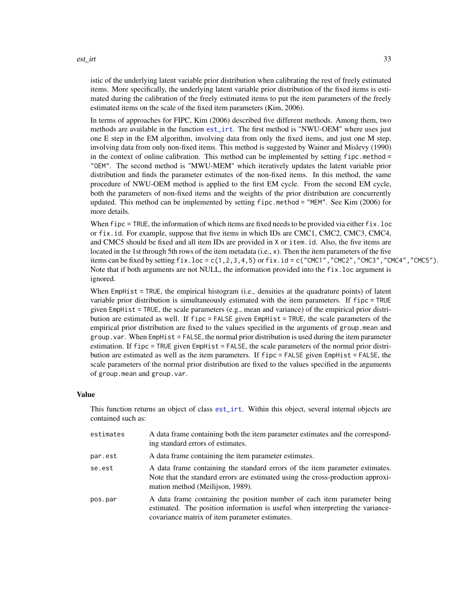istic of the underlying latent variable prior distribution when calibrating the rest of freely estimated items. More specifically, the underlying latent variable prior distribution of the fixed items is estimated during the calibration of the freely estimated items to put the item parameters of the freely estimated items on the scale of the fixed item parameters (Kim, 2006).

In terms of approaches for FIPC, Kim (2006) described five different methods. Among them, two methods are available in the function [est\\_irt](#page-26-1). The first method is "NWU-OEM" where uses just one E step in the EM algorithm, involving data from only the fixed items, and just one M step, involving data from only non-fixed items. This method is suggested by Wainer and Mislevy (1990) in the context of online calibration. This method can be implemented by setting  $fipo$ .method = "OEM". The second method is "MWU-MEM" which iteratively updates the latent variable prior distribution and finds the parameter estimates of the non-fixed items. In this method, the same procedure of NWU-OEM method is applied to the first EM cycle. From the second EM cycle, both the parameters of non-fixed items and the weights of the prior distribution are concurrently updated. This method can be implemented by setting fipc.method = "MEM". See Kim (2006) for more details.

When fipc = TRUE, the information of which items are fixed needs to be provided via either fix. loc or fix.id. For example, suppose that five items in which IDs are CMC1, CMC2, CMC3, CMC4, and CMC5 should be fixed and all item IDs are provided in X or item.id. Also, the five items are located in the 1st through 5th rows of the item metadata (i.e., x). Then the item parameters of the five items can be fixed by setting fix.loc = c(1,2,3,4,5) or fix.id = c("CMC1","CMC2","CMC3","CMC4","CMC5"). Note that if both arguments are not NULL, the information provided into the fix.loc argument is ignored.

When EmpHist = TRUE, the empirical histogram (i.e., densities at the quadrature points) of latent variable prior distribution is simultaneously estimated with the item parameters. If fipc = TRUE given EmpHist = TRUE, the scale parameters (e.g., mean and variance) of the empirical prior distribution are estimated as well. If fipc = FALSE given EmpHist = TRUE, the scale parameters of the empirical prior distribution are fixed to the values specified in the arguments of group.mean and group.var. When EmpHist = FALSE, the normal prior distribution is used during the item parameter estimation. If fipc = TRUE given EmpHist = FALSE, the scale parameters of the normal prior distribution are estimated as well as the item parameters. If fipc = FALSE given EmpHist = FALSE, the scale parameters of the normal prior distribution are fixed to the values specified in the arguments of group.mean and group.var.

#### Value

This function returns an object of class [est\\_irt](#page-26-1). Within this object, several internal objects are contained such as:

| estimates | A data frame containing both the item parameter estimates and the correspond-<br>ing standard errors of estimates.                                                                                          |
|-----------|-------------------------------------------------------------------------------------------------------------------------------------------------------------------------------------------------------------|
| par.est   | A data frame containing the item parameter estimates.                                                                                                                                                       |
| se.est    | A data frame containing the standard errors of the item parameter estimates.<br>Note that the standard errors are estimated using the cross-production approxi-<br>mation method (Meilijson, 1989).         |
| pos.par   | A data frame containing the position number of each item parameter being<br>estimated. The position information is useful when interpreting the variance-<br>covariance matrix of item parameter estimates. |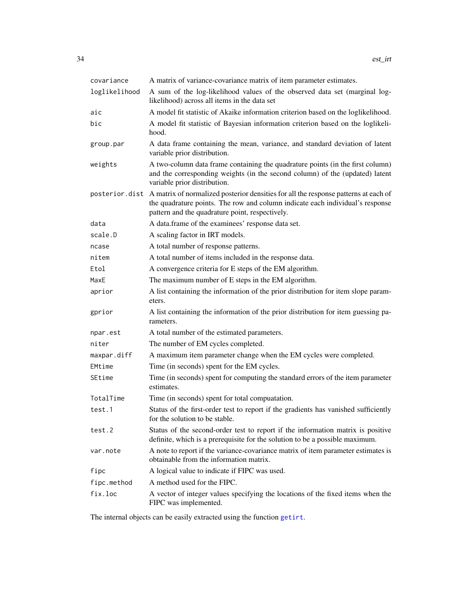| covariance    | A matrix of variance-covariance matrix of item parameter estimates.                                                                                                                                                                     |  |  |
|---------------|-----------------------------------------------------------------------------------------------------------------------------------------------------------------------------------------------------------------------------------------|--|--|
| loglikelihood | A sum of the log-likelihood values of the observed data set (marginal log-<br>likelihood) across all items in the data set                                                                                                              |  |  |
| aic           | A model fit statistic of Akaike information criterion based on the loglikelihood.                                                                                                                                                       |  |  |
| bic           | A model fit statistic of Bayesian information criterion based on the loglikeli-<br>hood.                                                                                                                                                |  |  |
| group.par     | A data frame containing the mean, variance, and standard deviation of latent<br>variable prior distribution.                                                                                                                            |  |  |
| weights       | A two-column data frame containing the quadrature points (in the first column)<br>and the corresponding weights (in the second column) of the (updated) latent<br>variable prior distribution.                                          |  |  |
|               | posterior. dist A matrix of normalized posterior densities for all the response patterns at each of<br>the quadrature points. The row and column indicate each individual's response<br>pattern and the quadrature point, respectively. |  |  |
| data          | A data.frame of the examinees' response data set.                                                                                                                                                                                       |  |  |
| scale.D       | A scaling factor in IRT models.                                                                                                                                                                                                         |  |  |
| ncase         | A total number of response patterns.                                                                                                                                                                                                    |  |  |
| nitem         | A total number of items included in the response data.                                                                                                                                                                                  |  |  |
| Etol          | A convergence criteria for E steps of the EM algorithm.                                                                                                                                                                                 |  |  |
| MaxE          | The maximum number of E steps in the EM algorithm.                                                                                                                                                                                      |  |  |
| aprior        | A list containing the information of the prior distribution for item slope param-<br>eters.                                                                                                                                             |  |  |
| gprior        | A list containing the information of the prior distribution for item guessing pa-<br>rameters.                                                                                                                                          |  |  |
| npar.est      | A total number of the estimated parameters.                                                                                                                                                                                             |  |  |
| niter         | The number of EM cycles completed.                                                                                                                                                                                                      |  |  |
| maxpar.diff   | A maximum item parameter change when the EM cycles were completed.                                                                                                                                                                      |  |  |
| EMtime        | Time (in seconds) spent for the EM cycles.                                                                                                                                                                                              |  |  |
| SEtime        | Time (in seconds) spent for computing the standard errors of the item parameter<br>estimates.                                                                                                                                           |  |  |
| TotalTime     | Time (in seconds) spent for total compuatation.                                                                                                                                                                                         |  |  |
| test.1        | Status of the first-order test to report if the gradients has vanished sufficiently<br>for the solution to be stable.                                                                                                                   |  |  |
| test.2        | Status of the second-order test to report if the information matrix is positive<br>definite, which is a prerequisite for the solution to be a possible maximum.                                                                         |  |  |
| var.note      | A note to report if the variance-covariance matrix of item parameter estimates is<br>obtainable from the information matrix.                                                                                                            |  |  |
| fipc          | A logical value to indicate if FIPC was used.                                                                                                                                                                                           |  |  |
| fipc.method   | A method used for the FIPC.                                                                                                                                                                                                             |  |  |
| fix.loc       | A vector of integer values specifying the locations of the fixed items when the<br>FIPC was implemented.                                                                                                                                |  |  |

The internal objects can be easily extracted using the function [getirt](#page-65-1).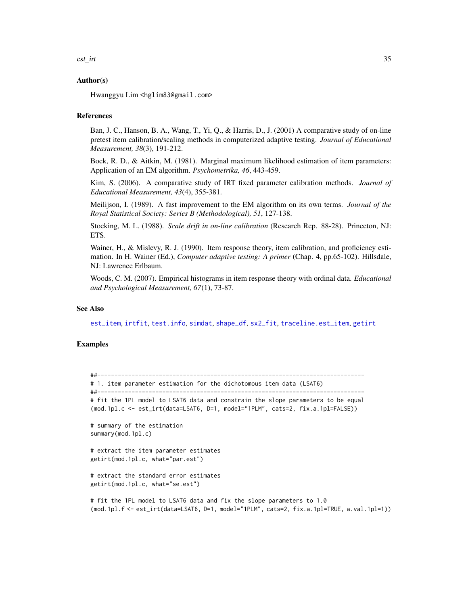```
est_irt 35
```
# Author(s)

Hwanggyu Lim <hglim83@gmail.com>

#### References

Ban, J. C., Hanson, B. A., Wang, T., Yi, Q., & Harris, D., J. (2001) A comparative study of on-line pretest item calibration/scaling methods in computerized adaptive testing. *Journal of Educational Measurement, 38*(3), 191-212.

Bock, R. D., & Aitkin, M. (1981). Marginal maximum likelihood estimation of item parameters: Application of an EM algorithm. *Psychometrika, 46*, 443-459.

Kim, S. (2006). A comparative study of IRT fixed parameter calibration methods. *Journal of Educational Measurement, 43*(4), 355-381.

Meilijson, I. (1989). A fast improvement to the EM algorithm on its own terms. *Journal of the Royal Statistical Society: Series B (Methodological), 51*, 127-138.

Stocking, M. L. (1988). *Scale drift in on-line calibration* (Research Rep. 88-28). Princeton, NJ: ETS.

Wainer, H., & Mislevy, R. J. (1990). Item response theory, item calibration, and proficiency estimation. In H. Wainer (Ed.), *Computer adaptive testing: A primer* (Chap. 4, pp.65-102). Hillsdale, NJ: Lawrence Erlbaum.

Woods, C. M. (2007). Empirical histograms in item response theory with ordinal data. *Educational and Psychological Measurement, 67*(1), 73-87.

# See Also

[est\\_item](#page-39-1), [irtfit](#page-70-1), [test.info](#page-115-1), [simdat](#page-107-1), [shape\\_df](#page-103-1), [sx2\\_fit](#page-112-1), [traceline.est\\_item](#page-118-1), [getirt](#page-65-1)

# Examples

##------------------------------------------------------------------------------

# 1. item parameter estimation for the dichotomous item data (LSAT6) ##------------------------------------------------------------------------------

# fit the 1PL model to LSAT6 data and constrain the slope parameters to be equal (mod.1pl.c <- est\_irt(data=LSAT6, D=1, model="1PLM", cats=2, fix.a.1pl=FALSE))

```
# summary of the estimation
summary(mod.1pl.c)
```

```
# extract the item parameter estimates
getirt(mod.1pl.c, what="par.est")
```

```
# extract the standard error estimates
getirt(mod.1pl.c, what="se.est")
```

```
# fit the 1PL model to LSAT6 data and fix the slope parameters to 1.0
(mod.1pl.f <- est_irt(data=LSAT6, D=1, model="1PLM", cats=2, fix.a.1pl=TRUE, a.val.1pl=1))
```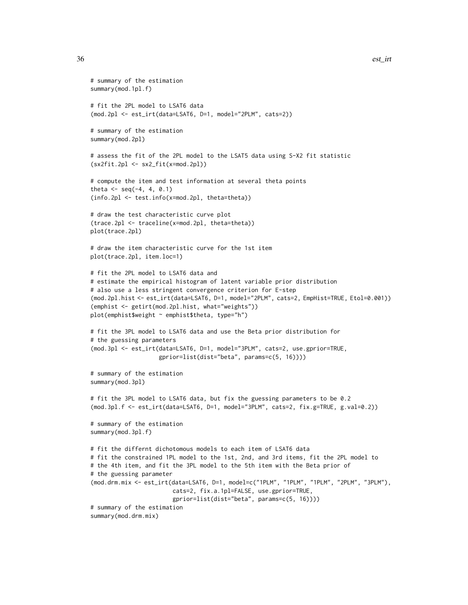```
# summary of the estimation
summary(mod.1pl.f)
# fit the 2PL model to LSAT6 data
(mod.2pl <- est_irt(data=LSAT6, D=1, model="2PLM", cats=2))
# summary of the estimation
summary(mod.2pl)
# assess the fit of the 2PL model to the LSAT5 data using S-X2 fit statistic
(sx2fit.2pl <- sx2_fit(x=mod.2pl))
# compute the item and test information at several theta points
theta \leq - seq(-4, 4, 0.1)
(info.2pl <- test.info(x=mod.2pl, theta=theta))
# draw the test characteristic curve plot
(trace.2pl <- traceline(x=mod.2pl, theta=theta))
plot(trace.2pl)
# draw the item characteristic curve for the 1st item
plot(trace.2pl, item.loc=1)
# fit the 2PL model to LSAT6 data and
# estimate the empirical histogram of latent variable prior distribution
# also use a less stringent convergence criterion for E-step
(mod.2pl.hist <- est_irt(data=LSAT6, D=1, model="2PLM", cats=2, EmpHist=TRUE, Etol=0.001))
(emphist <- getirt(mod.2pl.hist, what="weights"))
plot(emphist$weight ~ emphist$theta, type="h")
# fit the 3PL model to LSAT6 data and use the Beta prior distribution for
# the guessing parameters
(mod.3pl <- est_irt(data=LSAT6, D=1, model="3PLM", cats=2, use.gprior=TRUE,
                    gprior=list(dist="beta", params=c(5, 16))))
# summary of the estimation
summary(mod.3pl)
# fit the 3PL model to LSAT6 data, but fix the guessing parameters to be 0.2
(mod.3pl.f <- est_irt(data=LSAT6, D=1, model="3PLM", cats=2, fix.g=TRUE, g.val=0.2))
# summary of the estimation
summary(mod.3pl.f)
# fit the differnt dichotomous models to each item of LSAT6 data
# fit the constrained 1PL model to the 1st, 2nd, and 3rd items, fit the 2PL model to
# the 4th item, and fit the 3PL model to the 5th item with the Beta prior of
# the guessing parameter
(mod.drm.mix <- est_irt(data=LSAT6, D=1, model=c("1PLM", "1PLM", "1PLM", "2PLM", "3PLM"),
                        cats=2, fix.a.1pl=FALSE, use.gprior=TRUE,
                        gprior=list(dist="beta", params=c(5, 16))))
# summary of the estimation
summary(mod.drm.mix)
```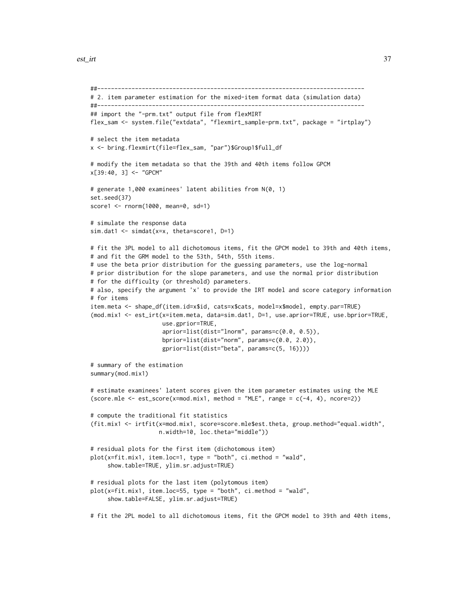```
##------------------------------------------------------------------------------
# 2. item parameter estimation for the mixed-item format data (simulation data)
##------------------------------------------------------------------------------
## import the "-prm.txt" output file from flexMIRT
flex_sam <- system.file("extdata", "flexmirt_sample-prm.txt", package = "irtplay")
# select the item metadata
x <- bring.flexmirt(file=flex_sam, "par")$Group1$full_df
# modify the item metadata so that the 39th and 40th items follow GPCM
x[39:40, 3] <- "GPCM"
# generate 1,000 examinees' latent abilities from N(0, 1)
set.seed(37)
score1 <- rnorm(1000, mean=0, sd=1)
# simulate the response data
sim.dat1 <- simdat(x=x, theta=score1, D=1)
# fit the 3PL model to all dichotomous items, fit the GPCM model to 39th and 40th items,
# and fit the GRM model to the 53th, 54th, 55th items.
# use the beta prior distribution for the guessing parameters, use the log-normal
# prior distribution for the slope parameters, and use the normal prior distribution
# for the difficulty (or threshold) parameters.
# also, specify the argument 'x' to provide the IRT model and score category information
# for items
item.meta <- shape_df(item.id=x$id, cats=x$cats, model=x$model, empty.par=TRUE)
(mod.mix1 <- est_irt(x=item.meta, data=sim.dat1, D=1, use.aprior=TRUE, use.bprior=TRUE,
                     use.gprior=TRUE,
                     aprior=list(dist="lnorm", params=c(0.0, 0.5)),
                     bprior=list(dist="norm", params=c(0.0, 2.0)),
                     gprior=list(dist="beta", params=c(5, 16))))
# summary of the estimation
summary(mod.mix1)
# estimate examinees' latent scores given the item parameter estimates using the MLE
(score.mle \leq est_score(x=mod.mix1, method = "MLE", range = c(-4, 4), ncore=2))
# compute the traditional fit statistics
(fit.mix1 <- irtfit(x=mod.mix1, score=score.mle$est.theta, group.method="equal.width",
                    n.width=10, loc.theta="middle"))
# residual plots for the first item (dichotomous item)
plot(x=fit.mix1, item.loc=1, type = "both", ci.method = "wald",
     show.table=TRUE, ylim.sr.adjust=TRUE)
# residual plots for the last item (polytomous item)
plot(x=fit.mix1, item.loc=55, type = "both", ci.method = "wald",show.table=FALSE, ylim.sr.adjust=TRUE)
# fit the 2PL model to all dichotomous items, fit the GPCM model to 39th and 40th items,
```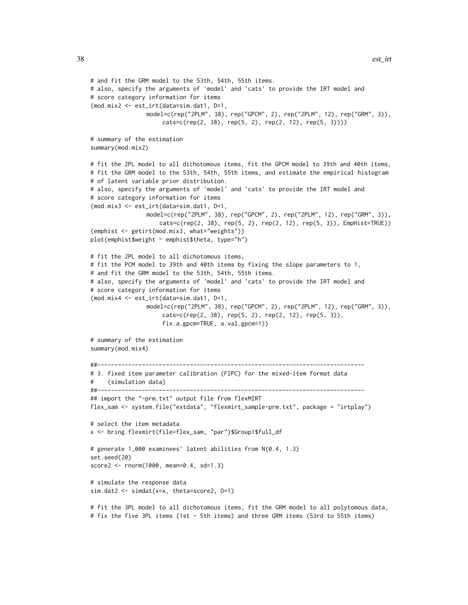```
# and fit the GRM model to the 53th, 54th, 55th items.
# also, specify the arguments of 'model' and 'cats' to provide the IRT model and
# score category information for items
(mod.mix2 <- est_irt(data=sim.dat1, D=1,
                model=c(rep("2PLM", 38), rep("GPCM", 2), rep("2PLM", 12), rep("GRM", 3)),
                     cats=c(rep(2, 38), rep(5, 2), rep(2, 12), rep(5, 3))))
# summary of the estimation
summary(mod.mix2)
# fit the 2PL model to all dichotomous items, fit the GPCM model to 39th and 40th items,
# fit the GRM model to the 53th, 54th, 55th items, and estimate the empirical histogram
# of latent variable prior distribution.
# also, specify the arguments of 'model' and 'cats' to provide the IRT model and
# score category information for items
(mod.mix3 <- est_irt(data=sim.dat1, D=1,
                model=c(rep("2PLM", 38), rep("GPCM", 2), rep("2PLM", 12), rep("GRM", 3)),
                    cats=c(rep(2, 38), rep(5, 2), rep(2, 12), rep(5, 3)), EmpHist=TRUE))
(emphist <- getirt(mod.mix3, what="weights"))
plot(emphist$weight ~ emphist$theta, type="h")
# fit the 2PL model to all dichotomous items,
# fit the PCM model to 39th and 40th items by fixing the slope parameters to 1,
# and fit the GRM model to the 53th, 54th, 55th items.
# also, specify the arguments of 'model' and 'cats' to provide the IRT model and
# score category information for items
(mod.mix4 <- est_irt(data=sim.dat1, D=1,
                model=c(rep("2PLM", 38), rep("GPCM", 2), rep("2PLM", 12), rep("GRM", 3)),
                     cats=c(rep(2, 38), rep(5, 2), rep(2, 12), rep(5, 3)),
                     fix.a.gpcm=TRUE, a.val.gpcm=1))
# summary of the estimation
summary(mod.mix4)
##------------------------------------------------------------------------------
# 3. fixed item parameter calibration (FIPC) for the mixed-item format data
     (simulation data)
##------------------------------------------------------------------------------
## import the "-prm.txt" output file from flexMIRT
flex_sam <- system.file("extdata", "flexmirt_sample-prm.txt", package = "irtplay")
# select the item metadata
x <- bring.flexmirt(file=flex_sam, "par")$Group1$full_df
# generate 1,000 examinees' latent abilities from N(0.4, 1.3)
set.seed(20)
score2 <- rnorm(1000, mean=0.4, sd=1.3)
# simulate the response data
sim.dat2 <- simdat(x=x, theta=score2, D=1)
# fit the 3PL model to all dichotomous items, fit the GRM model to all polytomous data,
# fix the five 3PL items (1st - 5th items) and three GRM items (53rd to 55th items)
```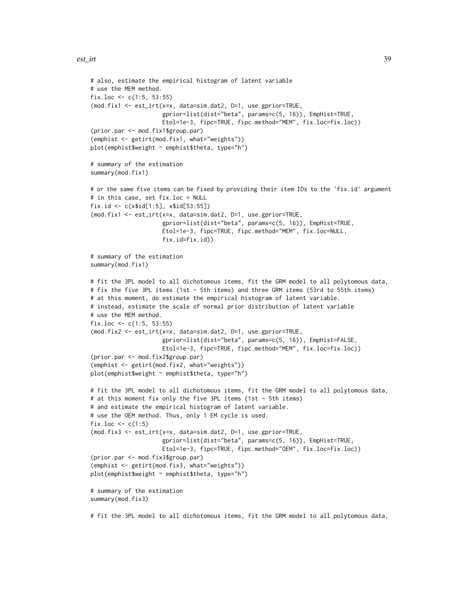```
# also, estimate the empirical histogram of latent variable
# use the MEM method.
fix.loc <- c(1:5, 53:55)
(mod.fix1 <- est_irt(x=x, data=sim.dat2, D=1, use.gprior=TRUE,
                     gprior=list(dist="beta", params=c(5, 16)), EmpHist=TRUE,
                     Etol=1e-3, fipc=TRUE, fipc.method="MEM", fix.loc=fix.loc))
(prior.par <- mod.fix1$group.par)
(emphist <- getirt(mod.fix1, what="weights"))
plot(emphist$weight ~ emphist$theta, type="h")
# summary of the estimation
summary(mod.fix1)
# or the same five items can be fixed by providing their item IDs to the 'fix.id' argument
# in this case, set fix.loc = NULL
fix.id <- c(x$id[1:5], x$id[53:55])
(mod.fix1 <- est_irt(x=x, data=sim.dat2, D=1, use.gprior=TRUE,
                     gprior=list(dist="beta", params=c(5, 16)), EmpHist=TRUE,
                     Etol=1e-3, fipc=TRUE, fipc.method="MEM", fix.loc=NULL,
                     fix.id=fix.id))
# summary of the estimation
summary(mod.fix1)
# fit the 3PL model to all dichotomous items, fit the GRM model to all polytomous data,
# fix the five 3PL items (1st - 5th items) and three GRM items (53rd to 55th items)
# at this moment, do estimate the empirical histogram of latent variable.
# instead, estimate the scale of normal prior distribution of latent variable
# use the MEM method.
fix.loc <- c(1:5, 53:55)
(mod.fix2 <- est_irt(x=x, data=sim.dat2, D=1, use.gprior=TRUE,
                     gprior=list(dist="beta", params=c(5, 16)), EmpHist=FALSE,
                     Etol=1e-3, fipc=TRUE, fipc.method="MEM", fix.loc=fix.loc))
(prior.par <- mod.fix2$group.par)
(emphist <- getirt(mod.fix2, what="weights"))
plot(emphist$weight ~ emphist$theta, type="h")
# fit the 3PL model to all dichotomous items, fit the GRM model to all polytomous data,
# at this moment fix only the five 3PL items (1st - 5th items)
# and estimate the empirical histogram of latent variable.
# use the OEM method. Thus, only 1 EM cycle is used.
fix.loc \leftarrow c(1:5)
(mod.fix3 <- est_irt(x=x, data=sim.dat2, D=1, use.gprior=TRUE,
                     gprior=list(dist="beta", params=c(5, 16)), EmpHist=TRUE,
                     Etol=1e-3, fipc=TRUE, fipc.method="OEM", fix.loc=fix.loc))
(prior.par <- mod.fix3$group.par)
(emphist <- getirt(mod.fix3, what="weights"))
plot(emphist$weight ~ emphist$theta, type="h")
# summary of the estimation
summary(mod.fix3)
```
# fit the 3PL model to all dichotomous items, fit the GRM model to all polytomous data,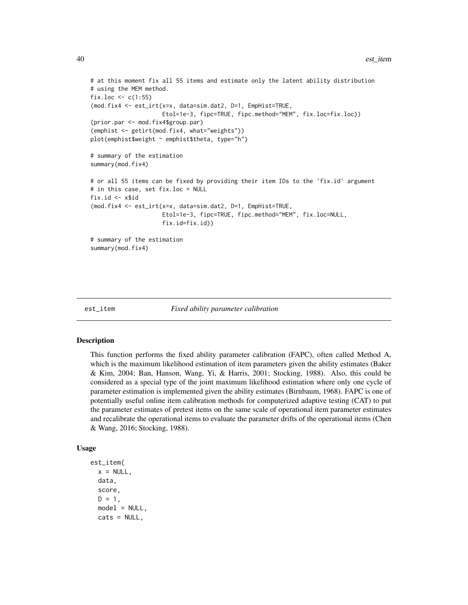```
# at this moment fix all 55 items and estimate only the latent ability distribution
# using the MEM method.
fix.loc \leq c(1:55)(mod.fix4 <- est_irt(x=x, data=sim.dat2, D=1, EmpHist=TRUE,
                     Etol=1e-3, fipc=TRUE, fipc.method="MEM", fix.loc=fix.loc))
(prior.par <- mod.fix4$group.par)
(emphist <- getirt(mod.fix4, what="weights"))
plot(emphist$weight ~ emphist$theta, type="h")
# summary of the estimation
summary(mod.fix4)
# or all 55 items can be fixed by providing their item IDs to the 'fix.id' argument
# in this case, set fix.loc = NULL
fix.id <- x$id
(mod.fix4 <- est_irt(x=x, data=sim.dat2, D=1, EmpHist=TRUE,
                     Etol=1e-3, fipc=TRUE, fipc.method="MEM", fix.loc=NULL,
                     fix.id=fix.id))
# summary of the estimation
summary(mod.fix4)
```
<span id="page-39-0"></span>

est\_item *Fixed ability parameter calibration*

### Description

This function performs the fixed ability parameter calibration (FAPC), often called Method A, which is the maximum likelihood estimation of item parameters given the ability estimates (Baker & Kim, 2004; Ban, Hanson, Wang, Yi, & Harris, 2001; Stocking, 1988). Also, this could be considered as a special type of the joint maximum likelihood estimation where only one cycle of parameter estimation is implemented given the ability estimates (Birnbaum, 1968). FAPC is one of potentially useful online item calibration methods for computerized adaptive testing (CAT) to put the parameter estimates of pretest items on the same scale of operational item parameter estimates and recalibrate the operational items to evaluate the parameter drifts of the operational items (Chen & Wang, 2016; Stocking, 1988).

#### Usage

```
est_item(
  x = NULL,
  data,
  score,
 D = 1,model = NULL,cats = NULL,
```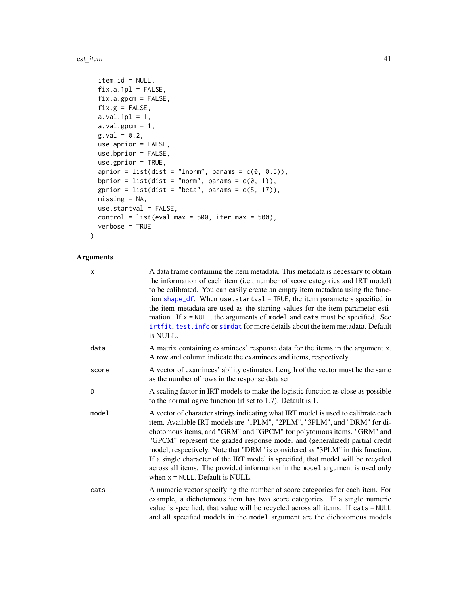est\_item 41

```
item.id = NULL,
 fix.a.1p1 = FALSE,fix.a.gpcm = FALSE,fix.g = FALSE,a.val.1pl = 1,a.val.gpcm = 1,
 g.val = 0.2,
 use.aprior = FALSE,
 use.bprior = FALSE,
 use.gprior = TRUE,
 aprior = list(dist = "lnorm", params = c(\emptyset, 0.5)),
 bprior = list(dist = "norm", params = c(\emptyset, 1)),
 gprior = list(dist = "beta", params = c(5, 17)),
 missing = NA,
 use.startval = FALSE,
 control = list(eval.max = 500, iter.max = 500),verbose = TRUE
\mathcal{L}
```
## Arguments

| x     | A data frame containing the item metadata. This metadata is necessary to obtain<br>the information of each item (i.e., number of score categories and IRT model)<br>to be calibrated. You can easily create an empty item metadata using the func-<br>tion shape_df. When use.startval = TRUE, the item parameters specified in<br>the item metadata are used as the starting values for the item parameter esti-<br>mation. If $x = NULL$ , the arguments of model and cats must be specified. See<br>irtfit, test. info or simdat for more details about the item metadata. Default<br>is NULL.                  |
|-------|--------------------------------------------------------------------------------------------------------------------------------------------------------------------------------------------------------------------------------------------------------------------------------------------------------------------------------------------------------------------------------------------------------------------------------------------------------------------------------------------------------------------------------------------------------------------------------------------------------------------|
| data  | A matrix containing examinees' response data for the items in the argument x.<br>A row and column indicate the examinees and items, respectively.                                                                                                                                                                                                                                                                                                                                                                                                                                                                  |
| score | A vector of examinees' ability estimates. Length of the vector must be the same<br>as the number of rows in the response data set.                                                                                                                                                                                                                                                                                                                                                                                                                                                                                 |
| D     | A scaling factor in IRT models to make the logistic function as close as possible<br>to the normal ogive function (if set to 1.7). Default is 1.                                                                                                                                                                                                                                                                                                                                                                                                                                                                   |
| model | A vector of character strings indicating what IRT model is used to calibrate each<br>item. Available IRT models are "1PLM", "2PLM", "3PLM", and "DRM" for di-<br>chotomous items, and "GRM" and "GPCM" for polytomous items. "GRM" and<br>"GPCM" represent the graded response model and (generalized) partial credit<br>model, respectively. Note that "DRM" is considered as "3PLM" in this function.<br>If a single character of the IRT model is specified, that model will be recycled<br>across all items. The provided information in the model argument is used only<br>when $x = NULL$ . Default is NULL. |
| cats  | A numeric vector specifying the number of score categories for each item. For<br>example, a dichotomous item has two score categories. If a single numeric<br>value is specified, that value will be recycled across all items. If cats = NULL<br>and all specified models in the model argument are the dichotomous models                                                                                                                                                                                                                                                                                        |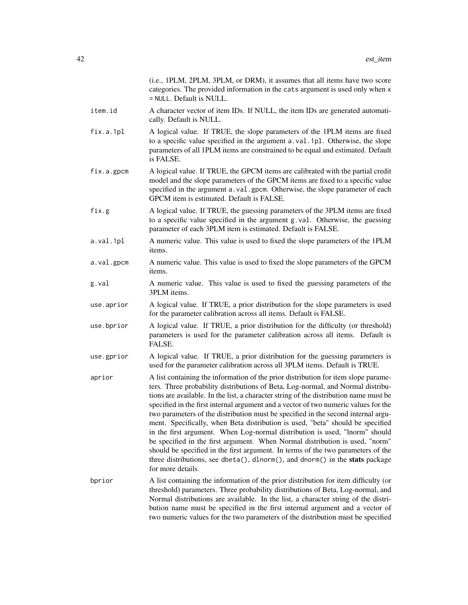|            | (i.e., 1PLM, 2PLM, 3PLM, or DRM), it assumes that all items have two score<br>categories. The provided information in the cats argument is used only when x<br>= NULL. Default is NULL.                                                                                                                                                                                                                                                                                                                                                                                                                                                                                                                                                                                                                                                                                              |
|------------|--------------------------------------------------------------------------------------------------------------------------------------------------------------------------------------------------------------------------------------------------------------------------------------------------------------------------------------------------------------------------------------------------------------------------------------------------------------------------------------------------------------------------------------------------------------------------------------------------------------------------------------------------------------------------------------------------------------------------------------------------------------------------------------------------------------------------------------------------------------------------------------|
| item.id    | A character vector of item IDs. If NULL, the item IDs are generated automati-<br>cally. Default is NULL.                                                                                                                                                                                                                                                                                                                                                                                                                                                                                                                                                                                                                                                                                                                                                                             |
| fix.a.1pl  | A logical value. If TRUE, the slope parameters of the 1PLM items are fixed<br>to a specific value specified in the argument a.val.1pl. Otherwise, the slope<br>parameters of all 1PLM items are constrained to be equal and estimated. Default<br>is FALSE.                                                                                                                                                                                                                                                                                                                                                                                                                                                                                                                                                                                                                          |
| fix.a.gpcm | A logical value. If TRUE, the GPCM items are calibrated with the partial credit<br>model and the slope parameters of the GPCM items are fixed to a specific value<br>specified in the argument a.val.gpcm. Otherwise, the slope parameter of each<br>GPCM item is estimated. Default is FALSE.                                                                                                                                                                                                                                                                                                                                                                                                                                                                                                                                                                                       |
| fix.g      | A logical value. If TRUE, the guessing parameters of the 3PLM items are fixed<br>to a specific value specified in the argument g.val. Otherwise, the guessing<br>parameter of each 3PLM item is estimated. Default is FALSE.                                                                                                                                                                                                                                                                                                                                                                                                                                                                                                                                                                                                                                                         |
| a.val.1pl  | A numeric value. This value is used to fixed the slope parameters of the 1PLM<br>items.                                                                                                                                                                                                                                                                                                                                                                                                                                                                                                                                                                                                                                                                                                                                                                                              |
| a.val.gpcm | A numeric value. This value is used to fixed the slope parameters of the GPCM<br>items.                                                                                                                                                                                                                                                                                                                                                                                                                                                                                                                                                                                                                                                                                                                                                                                              |
| g.val      | A numeric value. This value is used to fixed the guessing parameters of the<br>3PLM items.                                                                                                                                                                                                                                                                                                                                                                                                                                                                                                                                                                                                                                                                                                                                                                                           |
| use.aprior | A logical value. If TRUE, a prior distribution for the slope parameters is used<br>for the parameter calibration across all items. Default is FALSE.                                                                                                                                                                                                                                                                                                                                                                                                                                                                                                                                                                                                                                                                                                                                 |
| use.bprior | A logical value. If TRUE, a prior distribution for the difficulty (or threshold)<br>parameters is used for the parameter calibration across all items. Default is<br>FALSE.                                                                                                                                                                                                                                                                                                                                                                                                                                                                                                                                                                                                                                                                                                          |
| use.gprior | A logical value. If TRUE, a prior distribution for the guessing parameters is<br>used for the parameter calibration across all 3PLM items. Default is TRUE.                                                                                                                                                                                                                                                                                                                                                                                                                                                                                                                                                                                                                                                                                                                          |
| aprior     | A list containing the information of the prior distribution for item slope parame-<br>ters. Three probability distributions of Beta, Log-normal, and Normal distribu-<br>tions are available. In the list, a character string of the distribution name must be<br>specified in the first internal argument and a vector of two numeric values for the<br>two parameters of the distribution must be specified in the second internal argu-<br>ment. Specifically, when Beta distribution is used, "beta" should be specified<br>in the first argument. When Log-normal distribution is used, "lnorm" should<br>be specified in the first argument. When Normal distribution is used, "norm"<br>should be specified in the first argument. In terms of the two parameters of the<br>three distributions, see dbeta(), dlnorm(), and dnorm() in the stats package<br>for more details. |
| bprior     | A list containing the information of the prior distribution for item difficulty (or<br>threshold) parameters. Three probability distributions of Beta, Log-normal, and<br>Normal distributions are available. In the list, a character string of the distri-<br>bution name must be specified in the first internal argument and a vector of<br>two numeric values for the two parameters of the distribution must be specified                                                                                                                                                                                                                                                                                                                                                                                                                                                      |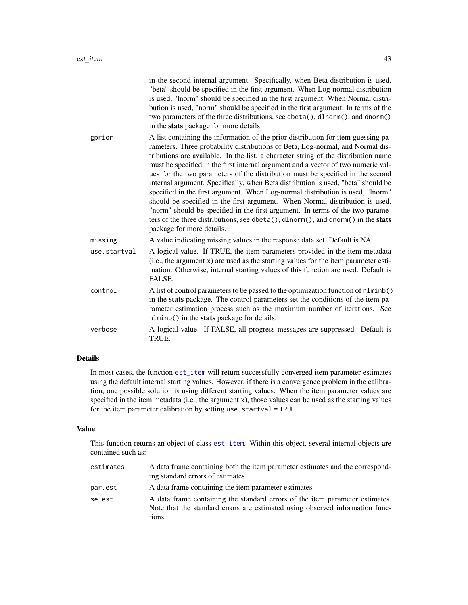|              | in the second internal argument. Specifically, when Beta distribution is used,<br>"beta" should be specified in the first argument. When Log-normal distribution<br>is used, "lnorm" should be specified in the first argument. When Normal distri-<br>bution is used, "norm" should be specified in the first argument. In terms of the<br>two parameters of the three distributions, see dbeta(), dlnorm(), and dnorm()<br>in the stats package for more details.                                                                                                                                                                                                                                                                                                                                                                                                                       |
|--------------|-------------------------------------------------------------------------------------------------------------------------------------------------------------------------------------------------------------------------------------------------------------------------------------------------------------------------------------------------------------------------------------------------------------------------------------------------------------------------------------------------------------------------------------------------------------------------------------------------------------------------------------------------------------------------------------------------------------------------------------------------------------------------------------------------------------------------------------------------------------------------------------------|
| gprior       | A list containing the information of the prior distribution for item guessing pa-<br>rameters. Three probability distributions of Beta, Log-normal, and Normal dis-<br>tributions are available. In the list, a character string of the distribution name<br>must be specified in the first internal argument and a vector of two numeric val-<br>ues for the two parameters of the distribution must be specified in the second<br>internal argument. Specifically, when Beta distribution is used, "beta" should be<br>specified in the first argument. When Log-normal distribution is used, "lnorm"<br>should be specified in the first argument. When Normal distribution is used,<br>"norm" should be specified in the first argument. In terms of the two parame-<br>ters of the three distributions, see dbeta(), dlnorm(), and dnorm() in the stats<br>package for more details. |
| missing      | A value indicating missing values in the response data set. Default is NA.                                                                                                                                                                                                                                                                                                                                                                                                                                                                                                                                                                                                                                                                                                                                                                                                                |
| use.startval | A logical value. If TRUE, the item parameters provided in the item metadata<br>(i.e., the argument x) are used as the starting values for the item parameter esti-<br>mation. Otherwise, internal starting values of this function are used. Default is<br>FALSE.                                                                                                                                                                                                                                                                                                                                                                                                                                                                                                                                                                                                                         |
| control      | A list of control parameters to be passed to the optimization function of nlminb()<br>in the stats package. The control parameters set the conditions of the item pa-<br>rameter estimation process such as the maximum number of iterations. See<br>nlminb() in the stats package for details.                                                                                                                                                                                                                                                                                                                                                                                                                                                                                                                                                                                           |
| verbose      | A logical value. If FALSE, all progress messages are suppressed. Default is<br>TRUE.                                                                                                                                                                                                                                                                                                                                                                                                                                                                                                                                                                                                                                                                                                                                                                                                      |

# Details

In most cases, the function [est\\_item](#page-39-0) will return successfully converged item parameter estimates using the default internal starting values. However, if there is a convergence problem in the calibration, one possible solution is using different starting values. When the item parameter values are specified in the item metadata (i.e., the argument x), those values can be used as the starting values for the item parameter calibration by setting use.startval = TRUE.

## Value

This function returns an object of class [est\\_item](#page-39-0). Within this object, several internal objects are contained such as:

| estimates | A data frame containing both the item parameter estimates and the correspond-<br>ing standard errors of estimates.                                                     |
|-----------|------------------------------------------------------------------------------------------------------------------------------------------------------------------------|
| par.est   | A data frame containing the item parameter estimates.                                                                                                                  |
| se.est    | A data frame containing the standard errors of the item parameter estimates.<br>Note that the standard errors are estimated using observed information func-<br>tions. |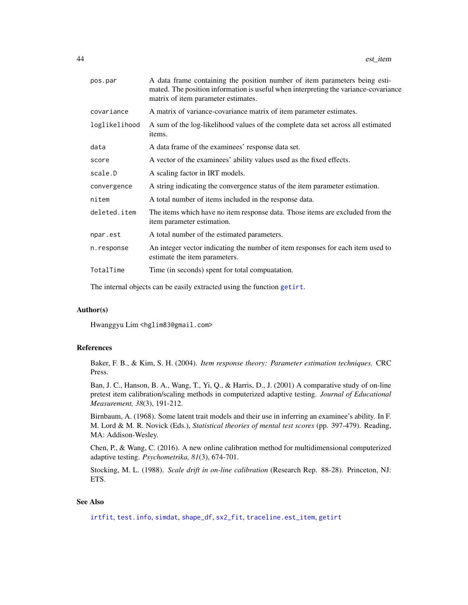| pos.par       | A data frame containing the position number of item parameters being esti-<br>mated. The position information is useful when interpreting the variance-covariance<br>matrix of item parameter estimates. |
|---------------|----------------------------------------------------------------------------------------------------------------------------------------------------------------------------------------------------------|
| covariance    | A matrix of variance-covariance matrix of item parameter estimates.                                                                                                                                      |
| loglikelihood | A sum of the log-likelihood values of the complete data set across all estimated<br>items.                                                                                                               |
| data          | A data frame of the examinees' response data set.                                                                                                                                                        |
| score         | A vector of the examinees' ability values used as the fixed effects.                                                                                                                                     |
| scale.D       | A scaling factor in IRT models.                                                                                                                                                                          |
| convergence   | A string indicating the convergence status of the item parameter estimation.                                                                                                                             |
| nitem         | A total number of items included in the response data.                                                                                                                                                   |
| deleted.item  | The items which have no item response data. Those items are excluded from the<br>item parameter estimation.                                                                                              |
| npar.est      | A total number of the estimated parameters.                                                                                                                                                              |
| n.response    | An integer vector indicating the number of item responses for each item used to<br>estimate the item parameters.                                                                                         |
| TotalTime     | Time (in seconds) spent for total compuatation.                                                                                                                                                          |
|               |                                                                                                                                                                                                          |

The internal objects can be easily extracted using the function [getirt](#page-65-0).

#### Author(s)

Hwanggyu Lim <hglim83@gmail.com>

#### References

Baker, F. B., & Kim, S. H. (2004). *Item response theory: Parameter estimation techniques.* CRC Press.

Ban, J. C., Hanson, B. A., Wang, T., Yi, Q., & Harris, D., J. (2001) A comparative study of on-line pretest item calibration/scaling methods in computerized adaptive testing. *Journal of Educational Measurement, 38*(3), 191-212.

Birnbaum, A. (1968). Some latent trait models and their use in inferring an examinee's ability. In F. M. Lord & M. R. Novick (Eds.), *Statistical theories of mental test scores* (pp. 397-479). Reading, MA: Addison-Wesley.

Chen, P., & Wang, C. (2016). A new online calibration method for multidimensional computerized adaptive testing. *Psychometrika, 81*(3), 674-701.

Stocking, M. L. (1988). *Scale drift in on-line calibration* (Research Rep. 88-28). Princeton, NJ: ETS.

## See Also

[irtfit](#page-70-0), [test.info](#page-115-0), [simdat](#page-107-0), [shape\\_df](#page-103-0), [sx2\\_fit](#page-112-0), [traceline.est\\_item](#page-118-0), [getirt](#page-65-0)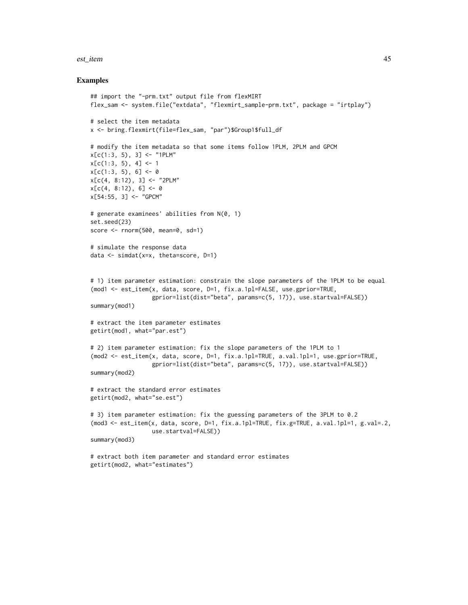#### est\_item 45

#### Examples

```
## import the "-prm.txt" output file from flexMIRT
flex_sam <- system.file("extdata", "flexmirt_sample-prm.txt", package = "irtplay")
# select the item metadata
x <- bring.flexmirt(file=flex_sam, "par")$Group1$full_df
# modify the item metadata so that some items follow 1PLM, 2PLM and GPCM
x[c(1:3, 5), 3] <- "1PLM"
x[c(1:3, 5), 4] < -1x[c(1:3, 5), 6] < -0x[c(4, 8:12), 3] < - "2PLM"
x[c(4, 8:12), 6] < -0x[54:55, 3] <- "GPCM"
# generate examinees' abilities from N(0, 1)
set.seed(23)
score <- rnorm(500, mean=0, sd=1)
# simulate the response data
data <- simdat(x=x, theta=score, D=1)
# 1) item parameter estimation: constrain the slope parameters of the 1PLM to be equal
(mod1 <- est_item(x, data, score, D=1, fix.a.1pl=FALSE, use.gprior=TRUE,
                  gprior=list(dist="beta", params=c(5, 17)), use.startval=FALSE))
summary(mod1)
# extract the item parameter estimates
getirt(mod1, what="par.est")
# 2) item parameter estimation: fix the slope parameters of the 1PLM to 1
(mod2 <- est_item(x, data, score, D=1, fix.a.1pl=TRUE, a.val.1pl=1, use.gprior=TRUE,
                  gprior=list(dist="beta", params=c(5, 17)), use.startval=FALSE))
summary(mod2)
# extract the standard error estimates
getirt(mod2, what="se.est")
# 3) item parameter estimation: fix the guessing parameters of the 3PLM to 0.2
(mod3 <- est_item(x, data, score, D=1, fix.a.1pl=TRUE, fix.g=TRUE, a.val.1pl=1, g.val=.2,
                  use.startval=FALSE))
summary(mod3)
# extract both item parameter and standard error estimates
getirt(mod2, what="estimates")
```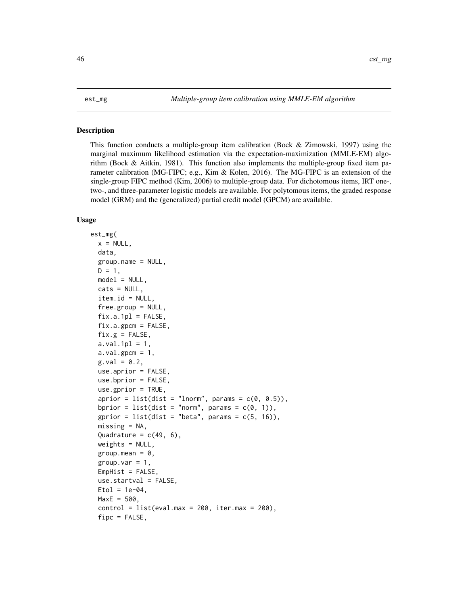## <span id="page-45-0"></span>Description

This function conducts a multiple-group item calibration (Bock & Zimowski, 1997) using the marginal maximum likelihood estimation via the expectation-maximization (MMLE-EM) algorithm (Bock & Aitkin, 1981). This function also implements the multiple-group fixed item parameter calibration (MG-FIPC; e.g., Kim & Kolen, 2016). The MG-FIPC is an extension of the single-group FIPC method (Kim, 2006) to multiple-group data. For dichotomous items, IRT one-, two-, and three-parameter logistic models are available. For polytomous items, the graded response model (GRM) and the (generalized) partial credit model (GPCM) are available.

#### Usage

```
est_mg(
  x = NULL,data,
  group.name = NULL,
  D = 1,
  model = NULL,cats = NULL,
  item.id = NULL,
  free.group = NULL,
  fix.a.1p1 = FALSE,
  fix.a.gpcm = FALSE,fix.g = FALSE,a.val.1pl = 1,a.val.gpcm = 1,
  g.val = 0.2,
  use.aprior = FALSE,
  use.bprior = FALSE,
  use.gprior = TRUE,
  aprior = list(dist = "lnorm", params = c(\theta, \theta.5)),
  bprior = list(dist = "norm", params = c(\theta, 1)),
  gprior = list(dist = "beta", params = c(5, 16)),
  missing = NA,
  Quadrature = c(49, 6),
  weights = NULL,group.macan = 0,group.var = 1,
  EmpHist = FALSE,
  use.startval = FALSE,
  Etol = 1e-04,
  MaxE = 500,control = list(eval.max = 200, iter.max = 200),fipc = FALSE,
```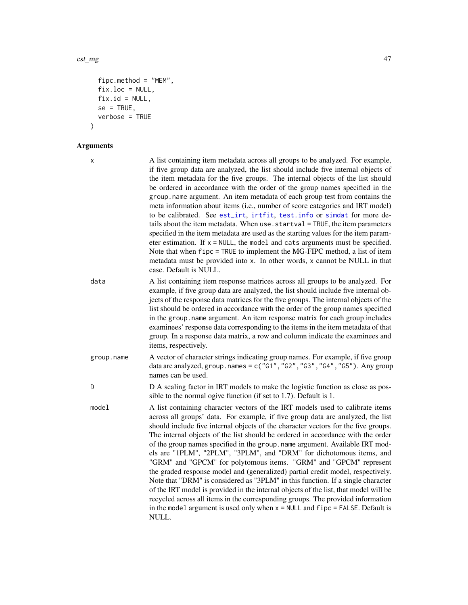```
fipc.method = "MEM",
fix.loc = NULL,fix.id = NULL,
se = TRUE,verbose = TRUE
```
# Arguments

 $\mathcal{L}$ 

| x          | A list containing item metadata across all groups to be analyzed. For example,<br>if five group data are analyzed, the list should include five internal objects of<br>the item metadata for the five groups. The internal objects of the list should<br>be ordered in accordance with the order of the group names specified in the<br>group.name argument. An item metadata of each group test from contains the<br>meta information about items (i.e., number of score categories and IRT model)<br>to be calibrated. See est_irt, irtfit, test. info or simdat for more de-<br>tails about the item metadata. When use . startval = TRUE, the item parameters<br>specified in the item metadata are used as the starting values for the item param-<br>eter estimation. If $x = NULL$ , the model and cats arguments must be specified.<br>Note that when fipc = TRUE to implement the MG-FIPC method, a list of item<br>metadata must be provided into x. In other words, x cannot be NULL in that<br>case. Default is NULL. |
|------------|-----------------------------------------------------------------------------------------------------------------------------------------------------------------------------------------------------------------------------------------------------------------------------------------------------------------------------------------------------------------------------------------------------------------------------------------------------------------------------------------------------------------------------------------------------------------------------------------------------------------------------------------------------------------------------------------------------------------------------------------------------------------------------------------------------------------------------------------------------------------------------------------------------------------------------------------------------------------------------------------------------------------------------------|
| data       | A list containing item response matrices across all groups to be analyzed. For<br>example, if five group data are analyzed, the list should include five internal ob-<br>jects of the response data matrices for the five groups. The internal objects of the<br>list should be ordered in accordance with the order of the group names specified<br>in the group. name argument. An item response matrix for each group includes<br>examinees' response data corresponding to the items in the item metadata of that<br>group. In a response data matrix, a row and column indicate the examinees and<br>items, respectively.                                                                                                                                                                                                                                                                                                                                                                                                    |
| group.name | A vector of character strings indicating group names. For example, if five group<br>data are analyzed, group.names = $c("G1", "G2", "G3", "G4", "G5").$ Any group<br>names can be used.                                                                                                                                                                                                                                                                                                                                                                                                                                                                                                                                                                                                                                                                                                                                                                                                                                           |
| D          | D A scaling factor in IRT models to make the logistic function as close as pos-<br>sible to the normal ogive function (if set to 1.7). Default is 1.                                                                                                                                                                                                                                                                                                                                                                                                                                                                                                                                                                                                                                                                                                                                                                                                                                                                              |
| model      | A list containing character vectors of the IRT models used to calibrate items<br>across all groups' data. For example, if five group data are analyzed, the list<br>should include five internal objects of the character vectors for the five groups.<br>The internal objects of the list should be ordered in accordance with the order<br>of the group names specified in the group. name argument. Available IRT mod-<br>els are "1PLM", "2PLM", "3PLM", and "DRM" for dichotomous items, and<br>"GRM" and "GPCM" for polytomous items. "GRM" and "GPCM" represent<br>the graded response model and (generalized) partial credit model, respectively.<br>Note that "DRM" is considered as "3PLM" in this function. If a single character<br>of the IRT model is provided in the internal objects of the list, that model will be<br>recycled across all items in the corresponding groups. The provided information<br>in the model argument is used only when $x = NULL$ and $fipo = FALSE$ . Default is<br>NULL.            |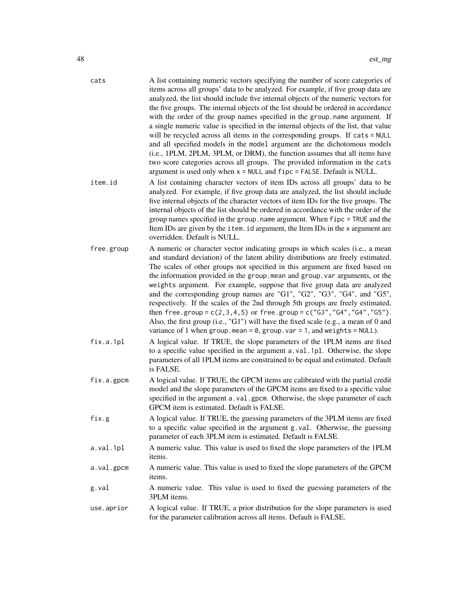| cats       | A list containing numeric vectors specifying the number of score categories of<br>items across all groups' data to be analyzed. For example, if five group data are<br>analyzed, the list should include five internal objects of the numeric vectors for<br>the five groups. The internal objects of the list should be ordered in accordance<br>with the order of the group names specified in the group.name argument. If<br>a single numeric value is specified in the internal objects of the list, that value<br>will be recycled across all items in the corresponding groups. If cats = NULL<br>and all specified models in the model argument are the dichotomous models<br>(i.e., 1PLM, 2PLM, 3PLM, or DRM), the function assumes that all items have<br>two score categories across all groups. The provided information in the cats<br>argument is used only when $x = NULL$ and $f$ ipc = FALSE. Default is NULL. |
|------------|--------------------------------------------------------------------------------------------------------------------------------------------------------------------------------------------------------------------------------------------------------------------------------------------------------------------------------------------------------------------------------------------------------------------------------------------------------------------------------------------------------------------------------------------------------------------------------------------------------------------------------------------------------------------------------------------------------------------------------------------------------------------------------------------------------------------------------------------------------------------------------------------------------------------------------|
| item.id    | A list containing character vectors of item IDs across all groups' data to be<br>analyzed. For example, if five group data are analyzed, the list should include<br>five internal objects of the character vectors of item IDs for the five groups. The<br>internal objects of the list should be ordered in accordance with the order of the<br>group names specified in the group. name argument. When fipc = TRUE and the<br>Item IDs are given by the item. id argument, the Item IDs in the x argument are<br>overridden. Default is NULL.                                                                                                                                                                                                                                                                                                                                                                                |
| free.group | A numeric or character vector indicating groups in which scales (i.e., a mean<br>and standard deviation) of the latent ability distributions are freely estimated.<br>The scales of other groups not specified in this argument are fixed based on<br>the information provided in the group. mean and group. var arguments, or the<br>weights argument. For example, suppose that five group data are analyzed<br>and the corresponding group names are "G1", "G2", "G3", "G4", and "G5",<br>respectively. If the scales of the 2nd through 5th groups are freely estimated,<br>then free.group = $c(2,3,4,5)$ or free.group = $c("G3", "G4", "G4", "G5").$<br>Also, the first group (i.e., "G1") will have the fixed scale (e.g., a mean of 0 and<br>variance of 1 when group.mean = $0$ , group.var = 1, and weights = NULL).                                                                                                |
| fix.a.1pl  | A logical value. If TRUE, the slope parameters of the 1PLM items are fixed<br>to a specific value specified in the argument a.val.1pl. Otherwise, the slope<br>parameters of all 1PLM items are constrained to be equal and estimated. Default<br>is FALSE.                                                                                                                                                                                                                                                                                                                                                                                                                                                                                                                                                                                                                                                                    |
| fix.a.gpcm | A logical value. If TRUE, the GPCM items are calibrated with the partial credit<br>model and the slope parameters of the GPCM items are fixed to a specific value<br>specified in the argument a.val.gpcm. Otherwise, the slope parameter of each<br>GPCM item is estimated. Default is FALSE.                                                                                                                                                                                                                                                                                                                                                                                                                                                                                                                                                                                                                                 |
| fix.g      | A logical value. If TRUE, the guessing parameters of the 3PLM items are fixed<br>to a specific value specified in the argument g.val. Otherwise, the guessing<br>parameter of each 3PLM item is estimated. Default is FALSE.                                                                                                                                                                                                                                                                                                                                                                                                                                                                                                                                                                                                                                                                                                   |
| a.val.1pl  | A numeric value. This value is used to fixed the slope parameters of the 1PLM<br>items.                                                                                                                                                                                                                                                                                                                                                                                                                                                                                                                                                                                                                                                                                                                                                                                                                                        |
| a.val.gpcm | A numeric value. This value is used to fixed the slope parameters of the GPCM<br>items.                                                                                                                                                                                                                                                                                                                                                                                                                                                                                                                                                                                                                                                                                                                                                                                                                                        |
| g.val      | A numeric value. This value is used to fixed the guessing parameters of the<br>3PLM items.                                                                                                                                                                                                                                                                                                                                                                                                                                                                                                                                                                                                                                                                                                                                                                                                                                     |
| use.aprior | A logical value. If TRUE, a prior distribution for the slope parameters is used<br>for the parameter calibration across all items. Default is FALSE.                                                                                                                                                                                                                                                                                                                                                                                                                                                                                                                                                                                                                                                                                                                                                                           |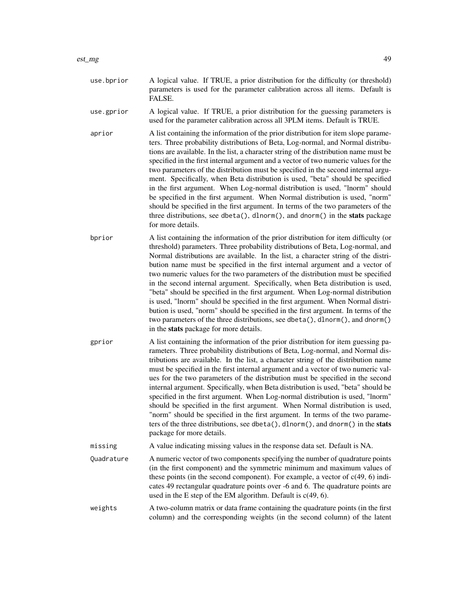- use.bprior A logical value. If TRUE, a prior distribution for the difficulty (or threshold) parameters is used for the parameter calibration across all items. Default is FALSE.
- use.gprior A logical value. If TRUE, a prior distribution for the guessing parameters is used for the parameter calibration across all 3PLM items. Default is TRUE.
- aprior A list containing the information of the prior distribution for item slope parameters. Three probability distributions of Beta, Log-normal, and Normal distributions are available. In the list, a character string of the distribution name must be specified in the first internal argument and a vector of two numeric values for the two parameters of the distribution must be specified in the second internal argument. Specifically, when Beta distribution is used, "beta" should be specified in the first argument. When Log-normal distribution is used, "lnorm" should be specified in the first argument. When Normal distribution is used, "norm" should be specified in the first argument. In terms of the two parameters of the three distributions, see dbeta(), dlnorm(), and dnorm() in the stats package for more details.
- bprior A list containing the information of the prior distribution for item difficulty (or threshold) parameters. Three probability distributions of Beta, Log-normal, and Normal distributions are available. In the list, a character string of the distribution name must be specified in the first internal argument and a vector of two numeric values for the two parameters of the distribution must be specified in the second internal argument. Specifically, when Beta distribution is used, "beta" should be specified in the first argument. When Log-normal distribution is used, "lnorm" should be specified in the first argument. When Normal distribution is used, "norm" should be specified in the first argument. In terms of the two parameters of the three distributions, see dbeta(), dlnorm(), and dnorm() in the stats package for more details.
- gprior A list containing the information of the prior distribution for item guessing parameters. Three probability distributions of Beta, Log-normal, and Normal distributions are available. In the list, a character string of the distribution name must be specified in the first internal argument and a vector of two numeric values for the two parameters of the distribution must be specified in the second internal argument. Specifically, when Beta distribution is used, "beta" should be specified in the first argument. When Log-normal distribution is used, "lnorm" should be specified in the first argument. When Normal distribution is used, "norm" should be specified in the first argument. In terms of the two parameters of the three distributions, see dbeta(), dlnorm(), and dnorm() in the stats package for more details.
- missing A value indicating missing values in the response data set. Default is NA.
- Quadrature A numeric vector of two components specifying the number of quadrature points (in the first component) and the symmetric minimum and maximum values of these points (in the second component). For example, a vector of  $c(49, 6)$  indicates 49 rectangular quadrature points over -6 and 6. The quadrature points are used in the E step of the EM algorithm. Default is  $c(49, 6)$ .
- weights A two-column matrix or data frame containing the quadrature points (in the first column) and the corresponding weights (in the second column) of the latent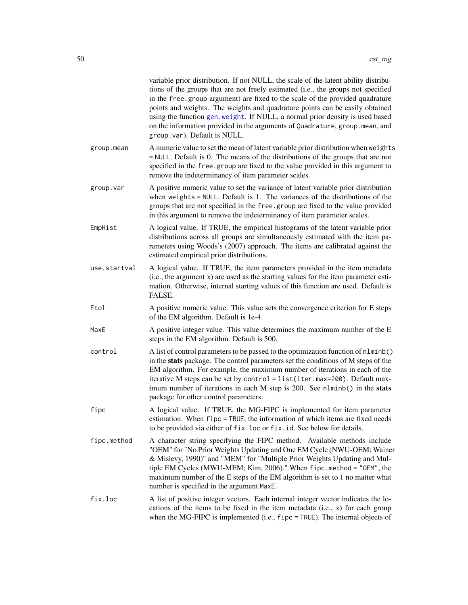|              | variable prior distribution. If not NULL, the scale of the latent ability distribu-<br>tions of the groups that are not freely estimated (i.e., the groups not specified<br>in the free group argument) are fixed to the scale of the provided quadrature<br>points and weights. The weights and quadrature points can be easily obtained<br>using the function gen. weight. If NULL, a normal prior density is used based<br>on the information provided in the arguments of Quadrature, group.mean, and<br>group. var). Default is NULL. |
|--------------|--------------------------------------------------------------------------------------------------------------------------------------------------------------------------------------------------------------------------------------------------------------------------------------------------------------------------------------------------------------------------------------------------------------------------------------------------------------------------------------------------------------------------------------------|
| group.mean   | A numeric value to set the mean of latent variable prior distribution when weights<br>$=$ NULL. Default is 0. The means of the distributions of the groups that are not<br>specified in the free group are fixed to the value provided in this argument to<br>remove the indeterminancy of item parameter scales.                                                                                                                                                                                                                          |
| group.var    | A positive numeric value to set the variance of latent variable prior distribution<br>when weights $=$ NULL. Default is 1. The variances of the distributions of the<br>groups that are not specified in the free.group are fixed to the value provided<br>in this argument to remove the indeterminancy of item parameter scales.                                                                                                                                                                                                         |
| EmpHist      | A logical value. If TRUE, the empirical histograms of the latent variable prior<br>distributions across all groups are simultaneously estimated with the item pa-<br>rameters using Woods's (2007) approach. The items are calibrated against the<br>estimated empirical prior distributions.                                                                                                                                                                                                                                              |
| use.startval | A logical value. If TRUE, the item parameters provided in the item metadata<br>(i.e., the argument x) are used as the starting values for the item parameter esti-<br>mation. Otherwise, internal starting values of this function are used. Default is<br>FALSE.                                                                                                                                                                                                                                                                          |
| Etol         | A positive numeric value. This value sets the convergence criterion for E steps<br>of the EM algorithm. Default is 1e-4.                                                                                                                                                                                                                                                                                                                                                                                                                   |
| MaxE         | A positive integer value. This value determines the maximum number of the E<br>steps in the EM algorithm. Default is 500.                                                                                                                                                                                                                                                                                                                                                                                                                  |
| control      | A list of control parameters to be passed to the optimization function of nlminb()<br>in the stats package. The control parameters set the conditions of M steps of the<br>EM algorithm. For example, the maximum number of iterations in each of the<br>iterative M steps can be set by control = list(iter.max=200). Default max-<br>imum number of iterations in each M step is 200. See nlminb() in the stats<br>package for other control parameters.                                                                                 |
| fipc         | A logical value. If TRUE, the MG-FIPC is implemented for item parameter<br>estimation. When fipc = TRUE, the information of which items are fixed needs<br>to be provided via either of fix. loc or fix. id. See below for details.                                                                                                                                                                                                                                                                                                        |
| fipc.method  | A character string specifying the FIPC method. Available methods include<br>"OEM" for "No Prior Weights Updating and One EM Cycle (NWU-OEM; Wainer<br>& Mislevy, 1990)" and "MEM" for "Multiple Prior Weights Updating and Mul-<br>tiple EM Cycles (MWU-MEM; Kim, 2006)." When fipc.method = "OEM", the<br>maximum number of the E steps of the EM algorithm is set to 1 no matter what<br>number is specified in the argument MaxE.                                                                                                       |
| fix.loc      | A list of positive integer vectors. Each internal integer vector indicates the lo-<br>cations of the items to be fixed in the item metadata (i.e., x) for each group<br>when the MG-FIPC is implemented (i.e., fipc = TRUE). The internal objects of                                                                                                                                                                                                                                                                                       |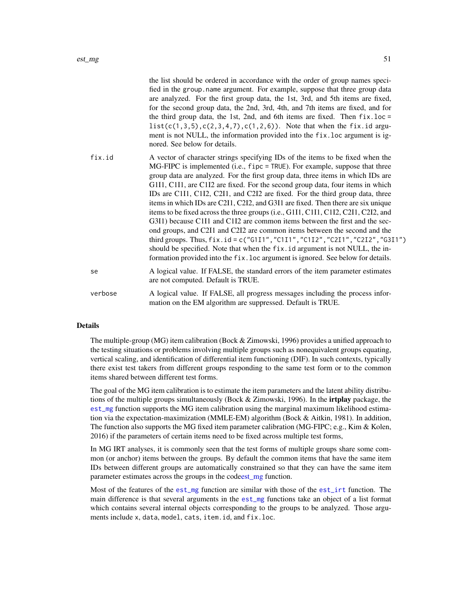|         | the list should be ordered in accordance with the order of group names speci-<br>fied in the group. name argument. For example, suppose that three group data<br>are analyzed. For the first group data, the 1st, 3rd, and 5th items are fixed,<br>for the second group data, the 2nd, 3rd, 4th, and 7th items are fixed, and for<br>the third group data, the 1st, 2nd, and 6th items are fixed. Then $fix.$ loc =<br>$list(c(1, 3, 5), c(2, 3, 4, 7), c(1, 2, 6))$ . Note that when the fix.id argu-<br>ment is not NULL, the information provided into the fix. loc argument is ig-<br>nored. See below for details.                                                                                                                                                                                                                                                                                                                                                                                         |
|---------|-----------------------------------------------------------------------------------------------------------------------------------------------------------------------------------------------------------------------------------------------------------------------------------------------------------------------------------------------------------------------------------------------------------------------------------------------------------------------------------------------------------------------------------------------------------------------------------------------------------------------------------------------------------------------------------------------------------------------------------------------------------------------------------------------------------------------------------------------------------------------------------------------------------------------------------------------------------------------------------------------------------------|
| fix.id  | A vector of character strings specifying IDs of the items to be fixed when the<br>MG-FIPC is implemented (i.e., fipc = TRUE). For example, suppose that three<br>group data are analyzed. For the first group data, three items in which IDs are<br>G1I1, C1I1, are C1I2 are fixed. For the second group data, four items in which<br>IDs are C1I1, C1I2, C2I1, and C2I2 are fixed. For the third group data, three<br>items in which IDs are C2I1, C2I2, and G3I1 are fixed. Then there are six unique<br>items to be fixed across the three groups (i.e., G1I1, C1I1, C1I2, C2I1, C2I2, and<br>G3I1) because C1I1 and C1I2 are common items between the first and the sec-<br>ond groups, and C2I1 and C2I2 are common items between the second and the<br>third groups. Thus, fix.id = c("G1I1", "C1I1", "C1I2", "C2I1", "C2I2", "G3I1")<br>should be specified. Note that when the fix.id argument is not NULL, the in-<br>formation provided into the fix. loc argument is ignored. See below for details. |
| se      | A logical value. If FALSE, the standard errors of the item parameter estimates<br>are not computed. Default is TRUE.                                                                                                                                                                                                                                                                                                                                                                                                                                                                                                                                                                                                                                                                                                                                                                                                                                                                                            |
| verbose | A logical value. If FALSE, all progress messages including the process infor-<br>mation on the EM algorithm are suppressed. Default is TRUE.                                                                                                                                                                                                                                                                                                                                                                                                                                                                                                                                                                                                                                                                                                                                                                                                                                                                    |

## Details

The multiple-group (MG) item calibration (Bock & Zimowski, 1996) provides a unified approach to the testing situations or problems involving multiple groups such as nonequivalent groups equating, vertical scaling, and identification of differential item functioning (DIF). In such contexts, typically there exist test takers from different groups responding to the same test form or to the common items shared between different test forms.

The goal of the MG item calibration is to estimate the item parameters and the latent ability distributions of the multiple groups simultaneously (Bock & Zimowski, 1996). In the **irtplay** package, the [est\\_mg](#page-45-0) function supports the MG item calibration using the marginal maximum likelihood estimation via the expectation-maximization (MMLE-EM) algorithm (Bock & Aitkin, 1981). In addition, The function also supports the MG fixed item parameter calibration (MG-FIPC; e.g., Kim & Kolen, 2016) if the parameters of certain items need to be fixed across multiple test forms,

In MG IRT analyses, it is commonly seen that the test forms of multiple groups share some common (or anchor) items between the groups. By default the common items that have the same item IDs between different groups are automatically constrained so that they can have the same item parameter estimates across the groups in the cod[eest\\_mg](#page-45-0) function.

Most of the features of the [est\\_mg](#page-45-0) function are similar with those of the [est\\_irt](#page-26-0) function. The main difference is that several arguments in the [est\\_mg](#page-45-0) functions take an object of a list format which contains several internal objects corresponding to the groups to be analyzed. Those arguments include x, data, model, cats, item.id, and fix.loc.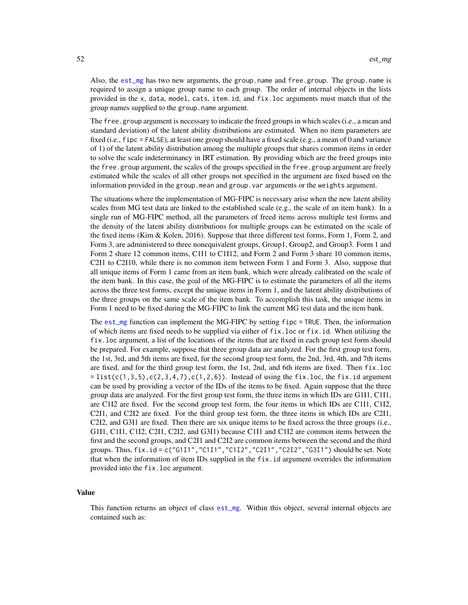Also, the [est\\_mg](#page-45-0) has two new arguments, the group.name and free.group. The group.name is required to assign a unique group name to each group. The order of internal objects in the lists provided in the x, data, model, cats, item.id, and fix.loc arguments must match that of the group names supplied to the group.name argument.

The free, group argument is necessary to indicate the freed groups in which scales (i.e., a mean and standard deviation) of the latent ability distributions are estimated. When no item parameters are fixed (i.e., fipc = FALSE), at least one group should have a fixed scale (e.g., a mean of 0 and variance of 1) of the latent ability distribution among the multiple groups that shares common items in order to solve the scale indeterminancy in IRT estimation. By providing which are the freed groups into the free.group argument, the scales of the groups specified in the free.group argument are freely estimated while the scales of all other groups not specified in the argument are fixed based on the information provided in the group.mean and group.var arguments or the weights argument.

The situations where the implementation of MG-FIPC is necessary arise when the new latent ability scales from MG test data are linked to the established scale (e.g., the scale of an item bank). In a single run of MG-FIPC method, all the parameters of freed items across multiple test forms and the density of the latent ability distributions for multiple groups can be estimated on the scale of the fixed items (Kim & Kolen, 2016). Suppose that three different test forms, Form 1, Form 2, and Form 3, are administered to three nonequivalent groups, Group1, Group2, and Group3. Form 1 and Form 2 share 12 common items, C1I1 to C1I12, and Form 2 and Form 3 share 10 common items, C2I1 to C2I10, while there is no common item between Form 1 and Form 3. Also, suppose that all unique items of Form 1 came from an item bank, which were already calibrated on the scale of the item bank. In this case, the goal of the MG-FIPC is to estimate the parameters of all the items across the three test forms, except the unique items in Form 1, and the latent ability distributions of the three groups on the same scale of the item bank. To accomplish this task, the unique items in Form 1 need to be fixed during the MG-FIPC to link the current MG test data and the item bank.

The [est\\_mg](#page-45-0) function can implement the MG-FIPC by setting fipc = TRUE. Then, the information of which items are fixed needs to be supplied via either of fix.loc or fix.id. When utilizing the fix.loc argument, a list of the locations of the items that are fixed in each group test form should be prepared. For example, suppose that three group data are analyzed. For the first group test form, the 1st, 3rd, and 5th items are fixed, for the second group test form, the 2nd, 3rd, 4th, and 7th items are fixed, and for the third group test form, the 1st, 2nd, and 6th items are fixed. Then fix.loc  $=$  list(c(1,3,5),c(2,3,4,7),c(1,2,6)). Instead of using the fix.loc, the fix.id argument can be used by providing a vector of the IDs of the items to be fixed. Again suppose that the three group data are analyzed. For the first group test form, the three items in which IDs are G1I1, C1I1, are C1I2 are fixed. For the second group test form, the four items in which IDs are C1I1, C1I2, C2I1, and C2I2 are fixed. For the third group test form, the three items in which IDs are C2I1, C2I2, and G3I1 are fixed. Then there are six unique items to be fixed across the three groups (i.e., G1I1, C1I1, C1I2, C2I1, C2I2, and G3I1) because C1I1 and C1I2 are common items between the first and the second groups, and C2I1 and C2I2 are common items between the second and the third groups. Thus, fix.id = c("G1I1","C1I1","C1I2","C2I1","C2I2","G3I1") should be set. Note that when the information of item IDs supplied in the fix.id argument overrides the information provided into the fix.loc argument.

### Value

This function returns an object of class [est\\_mg](#page-45-0). Within this object, several internal objects are contained such as: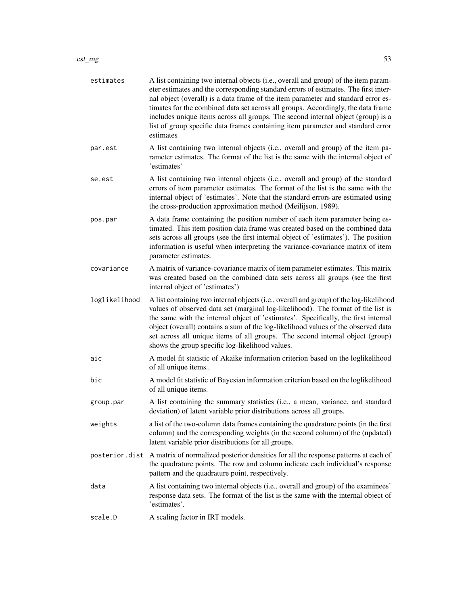#### est\_mg 53

| estimates     | A list containing two internal objects (i.e., overall and group) of the item param-<br>eter estimates and the corresponding standard errors of estimates. The first inter-<br>nal object (overall) is a data frame of the item parameter and standard error es-<br>timates for the combined data set across all groups. Accordingly, the data frame<br>includes unique items across all groups. The second internal object (group) is a<br>list of group specific data frames containing item parameter and standard error<br>estimates |
|---------------|-----------------------------------------------------------------------------------------------------------------------------------------------------------------------------------------------------------------------------------------------------------------------------------------------------------------------------------------------------------------------------------------------------------------------------------------------------------------------------------------------------------------------------------------|
| par.est       | A list containing two internal objects (i.e., overall and group) of the item pa-<br>rameter estimates. The format of the list is the same with the internal object of<br>'estimates'                                                                                                                                                                                                                                                                                                                                                    |
| se.est        | A list containing two internal objects (i.e., overall and group) of the standard<br>errors of item parameter estimates. The format of the list is the same with the<br>internal object of 'estimates'. Note that the standard errors are estimated using<br>the cross-production approximation method (Meilijson, 1989).                                                                                                                                                                                                                |
| pos.par       | A data frame containing the position number of each item parameter being es-<br>timated. This item position data frame was created based on the combined data<br>sets across all groups (see the first internal object of 'estimates'). The position<br>information is useful when interpreting the variance-covariance matrix of item<br>parameter estimates.                                                                                                                                                                          |
| covariance    | A matrix of variance-covariance matrix of item parameter estimates. This matrix<br>was created based on the combined data sets across all groups (see the first<br>internal object of 'estimates')                                                                                                                                                                                                                                                                                                                                      |
| loglikelihood | A list containing two internal objects (i.e., overall and group) of the log-likelihood<br>values of observed data set (marginal log-likelihood). The format of the list is<br>the same with the internal object of 'estimates'. Specifically, the first internal<br>object (overall) contains a sum of the log-likelihood values of the observed data<br>set across all unique items of all groups. The second internal object (group)<br>shows the group specific log-likelihood values.                                               |
| aic           | A model fit statistic of Akaike information criterion based on the loglikelihood<br>of all unique items                                                                                                                                                                                                                                                                                                                                                                                                                                 |
| bic           | A model fit statistic of Bayesian information criterion based on the loglikelihood<br>of all unique items.                                                                                                                                                                                                                                                                                                                                                                                                                              |
| group.par     | A list containing the summary statistics (i.e., a mean, variance, and standard<br>deviation) of latent variable prior distributions across all groups.                                                                                                                                                                                                                                                                                                                                                                                  |
| weights       | a list of the two-column data frames containing the quadrature points (in the first<br>column) and the corresponding weights (in the second column) of the (updated)<br>latent variable prior distributions for all groups.                                                                                                                                                                                                                                                                                                             |
|               | posterior. dist A matrix of normalized posterior densities for all the response patterns at each of<br>the quadrature points. The row and column indicate each individual's response<br>pattern and the quadrature point, respectively.                                                                                                                                                                                                                                                                                                 |
| data          | A list containing two internal objects (i.e., overall and group) of the examinees'<br>response data sets. The format of the list is the same with the internal object of<br>'estimates'.                                                                                                                                                                                                                                                                                                                                                |
| scale.D       | A scaling factor in IRT models.                                                                                                                                                                                                                                                                                                                                                                                                                                                                                                         |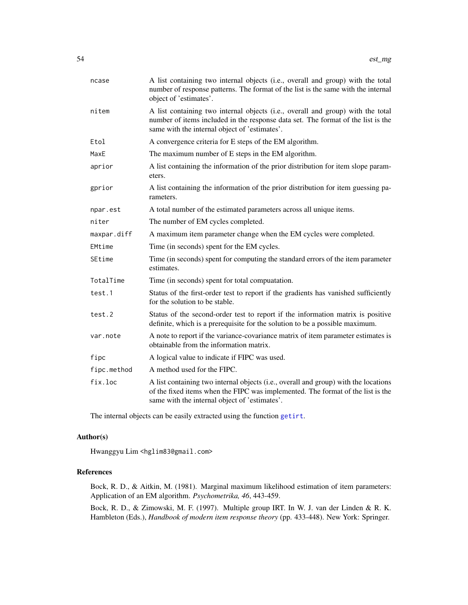| ncase       | A list containing two internal objects (i.e., overall and group) with the total<br>number of response patterns. The format of the list is the same with the internal<br>object of 'estimates'.                          |
|-------------|-------------------------------------------------------------------------------------------------------------------------------------------------------------------------------------------------------------------------|
| nitem       | A list containing two internal objects (i.e., overall and group) with the total<br>number of items included in the response data set. The format of the list is the<br>same with the internal object of 'estimates'.    |
| Etol        | A convergence criteria for E steps of the EM algorithm.                                                                                                                                                                 |
| MaxE        | The maximum number of E steps in the EM algorithm.                                                                                                                                                                      |
| aprior      | A list containing the information of the prior distribution for item slope param-<br>eters.                                                                                                                             |
| gprior      | A list containing the information of the prior distribution for item guessing pa-<br>rameters.                                                                                                                          |
| npar.est    | A total number of the estimated parameters across all unique items.                                                                                                                                                     |
| niter       | The number of EM cycles completed.                                                                                                                                                                                      |
| maxpar.diff | A maximum item parameter change when the EM cycles were completed.                                                                                                                                                      |
| EMtime      | Time (in seconds) spent for the EM cycles.                                                                                                                                                                              |
| SEtime      | Time (in seconds) spent for computing the standard errors of the item parameter<br>estimates.                                                                                                                           |
| TotalTime   | Time (in seconds) spent for total compuatation.                                                                                                                                                                         |
| test.1      | Status of the first-order test to report if the gradients has vanished sufficiently<br>for the solution to be stable.                                                                                                   |
| test.2      | Status of the second-order test to report if the information matrix is positive<br>definite, which is a prerequisite for the solution to be a possible maximum.                                                         |
| var.note    | A note to report if the variance-covariance matrix of item parameter estimates is<br>obtainable from the information matrix.                                                                                            |
| fipc        | A logical value to indicate if FIPC was used.                                                                                                                                                                           |
| fipc.method | A method used for the FIPC.                                                                                                                                                                                             |
| fix.loc     | A list containing two internal objects (i.e., overall and group) with the locations<br>of the fixed items when the FIPC was implemented. The format of the list is the<br>same with the internal object of 'estimates'. |

The internal objects can be easily extracted using the function [getirt](#page-65-0).

## Author(s)

Hwanggyu Lim <hglim83@gmail.com>

## References

Bock, R. D., & Aitkin, M. (1981). Marginal maximum likelihood estimation of item parameters: Application of an EM algorithm. *Psychometrika, 46*, 443-459.

Bock, R. D., & Zimowski, M. F. (1997). Multiple group IRT. In W. J. van der Linden & R. K. Hambleton (Eds.), *Handbook of modern item response theory* (pp. 433-448). New York: Springer.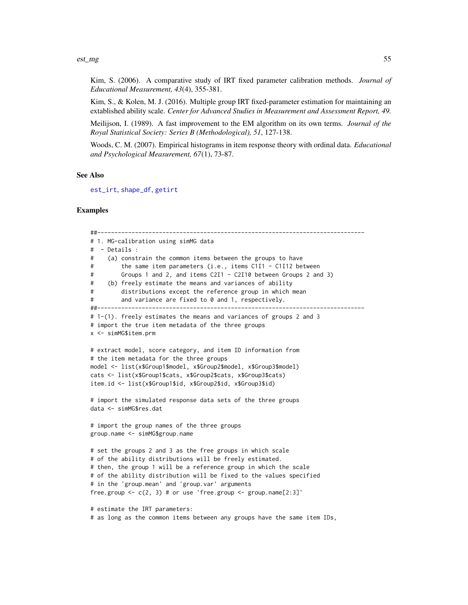#### est\_mg 55

Kim, S. (2006). A comparative study of IRT fixed parameter calibration methods. *Journal of Educational Measurement, 43*(4), 355-381.

Kim, S., & Kolen, M. J. (2016). Multiple group IRT fixed-parameter estimation for maintaining an extablished ability scale. *Center for Advanced Studies in Measurement and Assessment Report, 49.*

Meilijson, I. (1989). A fast improvement to the EM algorithm on its own terms. *Journal of the Royal Statistical Society: Series B (Methodological), 51*, 127-138.

Woods, C. M. (2007). Empirical histograms in item response theory with ordinal data. *Educational and Psychological Measurement, 67*(1), 73-87.

## See Also

[est\\_irt](#page-26-0), [shape\\_df](#page-103-0), [getirt](#page-65-0)

## Examples

```
##------------------------------------------------------------------------------
# 1. MG-calibration using simMG data
# - Details :
# (a) constrain the common items between the groups to have
# the same item parameters (i.e., items C1I1 - C1I12 between
# Groups 1 and 2, and items C2I1 - C2I10 between Groups 2 and 3)
# (b) freely estimate the means and variances of ability
# distributions except the reference group in which mean
# and variance are fixed to 0 and 1, respectively.
##------------------------------------------------------------------------------
# 1-(1). freely estimates the means and variances of groups 2 and 3
# import the true item metadata of the three groups
x <- simMG$item.prm
# extract model, score category, and item ID information from
# the item metadata for the three groups
model <- list(x$Group1$model, x$Group2$model, x$Group3$model)
cats <- list(x$Group1$cats, x$Group2$cats, x$Group3$cats)
item.id <- list(x$Group1$id, x$Group2$id, x$Group3$id)
# import the simulated response data sets of the three groups
data <- simMG$res.dat
# import the group names of the three groups
group.name <- simMG$group.name
# set the groups 2 and 3 as the free groups in which scale
# of the ability distributions will be freely estimated.
# then, the group 1 will be a reference group in which the scale
# of the ability distribution will be fixed to the values specified
# in the 'group.mean' and 'group.var' arguments
free.group \leq c(2, 3) # or use 'free.group \leq group.name[2:3]'
# estimate the IRT parameters:
```
# as long as the common items between any groups have the same item IDs,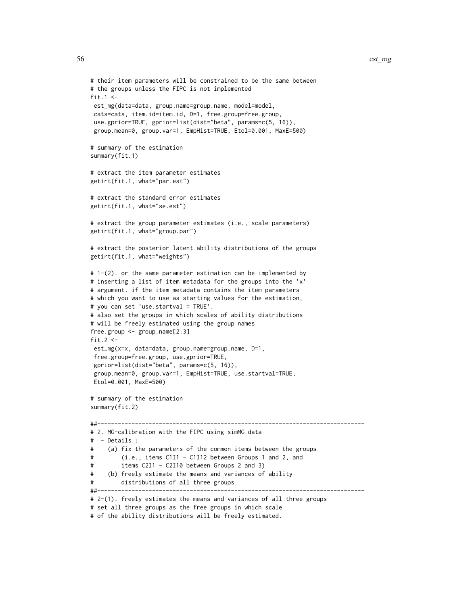```
# their item parameters will be constrained to be the same between
# the groups unless the FIPC is not implemented
fit.1 \leftarrowest_mg(data=data, group.name=group.name, model=model,
cats=cats, item.id=item.id, D=1, free.group=free.group,
use.gprior=TRUE, gprior=list(dist="beta", params=c(5, 16)),
 group.mean=0, group.var=1, EmpHist=TRUE, Etol=0.001, MaxE=500)
# summary of the estimation
summary(fit.1)
# extract the item parameter estimates
getirt(fit.1, what="par.est")
# extract the standard error estimates
getirt(fit.1, what="se.est")
# extract the group parameter estimates (i.e., scale parameters)
getirt(fit.1, what="group.par")
# extract the posterior latent ability distributions of the groups
getirt(fit.1, what="weights")
# 1-(2). or the same parameter estimation can be implemented by
# inserting a list of item metadata for the groups into the 'x'
# argument. if the item metadata contains the item parameters
# which you want to use as starting values for the estimation,
# you can set 'use.startval = TRUE'.
# also set the groups in which scales of ability distributions
# will be freely estimated using the group names
free.group <- group.name[2:3]
fit 2 < -est_mg(x=x, data=data, group.name=group.name, D=1,
 free.group=free.group, use.gprior=TRUE,
 gprior=list(dist="beta", params=c(5, 16)),
group.mean=0, group.var=1, EmpHist=TRUE, use.startval=TRUE,
Etol=0.001, MaxE=500)
# summary of the estimation
summary(fit.2)
##------------------------------------------------------------------------------
# 2. MG-calibration with the FIPC using simMG data
# - Details :
# (a) fix the parameters of the common items between the groups
# (i.e., items C1I1 - C1I12 between Groups 1 and 2, and
# items C2I1 - C2I10 between Groups 2 and 3)
# (b) freely estimate the means and variances of ability
# distributions of all three groups
##------------------------------------------------------------------------------
# 2-(1). freely estimates the means and variances of all three groups
# set all three groups as the free groups in which scale
```

```
# of the ability distributions will be freely estimated.
```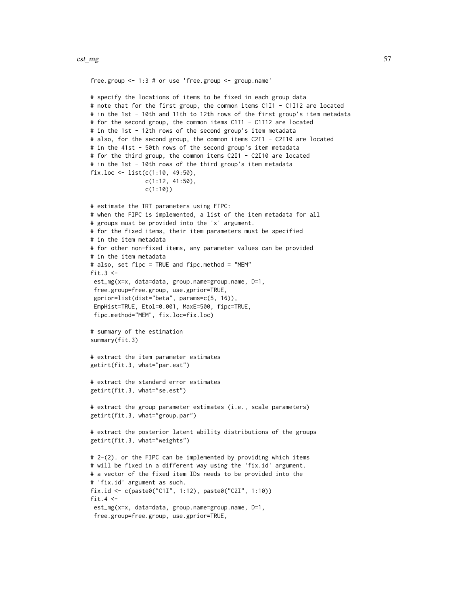#### est\_mg 57

```
free.group <- 1:3 # or use 'free.group <- group.name'
# specify the locations of items to be fixed in each group data
# note that for the first group, the common items C1I1 - C1I12 are located
# in the 1st - 10th and 11th to 12th rows of the first group's item metadata
# for the second group, the common items C1I1 - C1I12 are located
# in the 1st - 12th rows of the second group's item metadata
# also, for the second group, the common items C2I1 - C2I10 are located
# in the 41st - 50th rows of the second group's item metadata
# for the third group, the common items C2I1 - C2I10 are located
# in the 1st - 10th rows of the third group's item metadata
fix.loc <- list(c(1:10, 49:50),
                c(1:12, 41:50),
                c(1:10))
# estimate the IRT parameters using FIPC:
# when the FIPC is implemented, a list of the item metadata for all
# groups must be provided into the 'x' argument.
# for the fixed items, their item parameters must be specified
# in the item metadata
# for other non-fixed items, any parameter values can be provided
# in the item metadata
# also, set fipc = TRUE and fipc.method = "MEM"
fit.3 \leftarrowest_mg(x=x, data=data, group.name=group.name, D=1,
 free.group=free.group, use.gprior=TRUE,
 gprior=list(dist="beta", params=c(5, 16)),
EmpHist=TRUE, Etol=0.001, MaxE=500, fipc=TRUE,
fipc.method="MEM", fix.loc=fix.loc)
# summary of the estimation
summary(fit.3)
# extract the item parameter estimates
getirt(fit.3, what="par.est")
# extract the standard error estimates
getirt(fit.3, what="se.est")
# extract the group parameter estimates (i.e., scale parameters)
getirt(fit.3, what="group.par")
# extract the posterior latent ability distributions of the groups
getirt(fit.3, what="weights")
# 2-(2). or the FIPC can be implemented by providing which items
# will be fixed in a different way using the 'fix.id' argument.
# a vector of the fixed item IDs needs to be provided into the
# 'fix.id' argument as such.
fix.id <- c(paste0("C1I", 1:12), paste0("C2I", 1:10))
fit.4 <-est_mg(x=x, data=data, group.name=group.name, D=1,
 free.group=free.group, use.gprior=TRUE,
```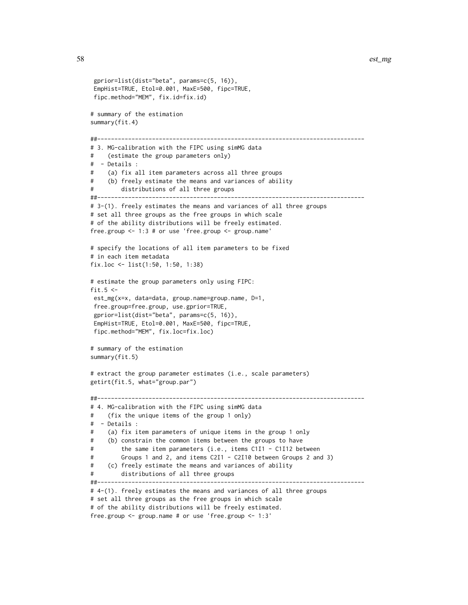```
gprior=list(dist="beta", params=c(5, 16)),
EmpHist=TRUE, Etol=0.001, MaxE=500, fipc=TRUE,
fipc.method="MEM", fix.id=fix.id)
# summary of the estimation
summary(fit.4)
##------------------------------------------------------------------------------
# 3. MG-calibration with the FIPC using simMG data
# (estimate the group parameters only)
# - Details :
# (a) fix all item parameters across all three groups
# (b) freely estimate the means and variances of ability
# distributions of all three groups
##------------------------------------------------------------------------------
# 3-(1). freely estimates the means and variances of all three groups
# set all three groups as the free groups in which scale
# of the ability distributions will be freely estimated.
free.group <- 1:3 # or use 'free.group <- group.name'
# specify the locations of all item parameters to be fixed
# in each item metadata
fix.loc <- list(1:50, 1:50, 1:38)
# estimate the group parameters only using FIPC:
fit.5 \leftarrowest_mg(x=x, data=data, group.name=group.name, D=1,
free.group=free.group, use.gprior=TRUE,
gprior=list(dist="beta", params=c(5, 16)),
EmpHist=TRUE, Etol=0.001, MaxE=500, fipc=TRUE,
fipc.method="MEM", fix.loc=fix.loc)
# summary of the estimation
summary(fit.5)
# extract the group parameter estimates (i.e., scale parameters)
getirt(fit.5, what="group.par")
##------------------------------------------------------------------------------
# 4. MG-calibration with the FIPC using simMG data
# (fix the unique items of the group 1 only)
# - Details :
# (a) fix item parameters of unique items in the group 1 only
# (b) constrain the common items between the groups to have
# the same item parameters (i.e., items C1I1 - C1I12 between
# Groups 1 and 2, and items C2I1 - C2I10 between Groups 2 and 3)
# (c) freely estimate the means and variances of ability
# distributions of all three groups
##------------------------------------------------------------------------------
# 4-(1). freely estimates the means and variances of all three groups
# set all three groups as the free groups in which scale
# of the ability distributions will be freely estimated.
```

```
free.group <- group.name # or use 'free.group <- 1:3'
```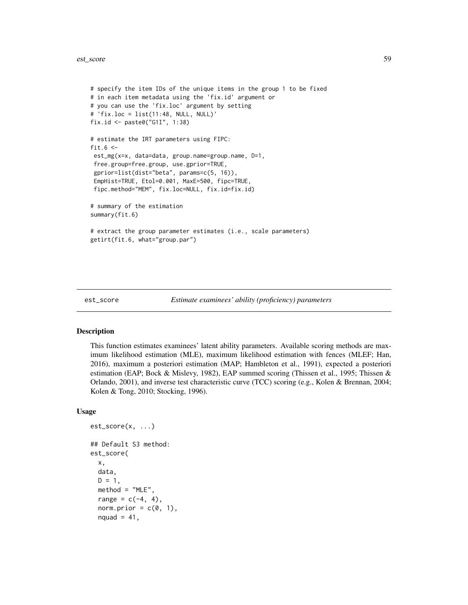#### est\_score 59

```
# specify the item IDs of the unique items in the group 1 to be fixed
# in each item metadata using the 'fix.id' argument or
# you can use the 'fix.loc' argument by setting
# 'fix.loc = list(11:48, NULL, NULL)'
fix.id <- paste0("G1I", 1:38)
# estimate the IRT parameters using FIPC:
fit.6 \leftarrowest_mg(x=x, data=data, group.name=group.name, D=1,
free.group=free.group, use.gprior=TRUE,
 gprior=list(dist="beta", params=c(5, 16)),
 EmpHist=TRUE, Etol=0.001, MaxE=500, fipc=TRUE,
 fipc.method="MEM", fix.loc=NULL, fix.id=fix.id)
# summary of the estimation
summary(fit.6)
# extract the group parameter estimates (i.e., scale parameters)
getirt(fit.6, what="group.par")
```
<span id="page-58-0"></span>

## Description

This function estimates examinees' latent ability parameters. Available scoring methods are maximum likelihood estimation (MLE), maximum likelihood estimation with fences (MLEF; Han, 2016), maximum a posteriori estimation (MAP; Hambleton et al., 1991), expected a posteriori estimation (EAP; Bock & Mislevy, 1982), EAP summed scoring (Thissen et al., 1995; Thissen & Orlando, 2001), and inverse test characteristic curve (TCC) scoring (e.g., Kolen & Brennan, 2004; Kolen & Tong, 2010; Stocking, 1996).

#### Usage

```
est_score(x, ...)
## Default S3 method:
est_score(
  x,
  data,
  D = 1.
  method = "MLE",range = c(-4, 4),
  norm.prior = c(\emptyset, 1),
  nquad = 41,
```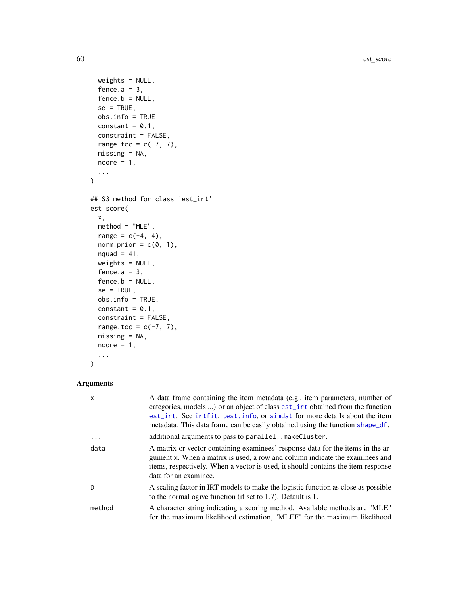60 est\_score

```
weights = NULL,fence.a = 3,
  fence.b = NULL,se = TRUE,obs.info = TRUE,constant = 0.1,
 constraint = FALSE,
 range.tcc = c(-7, 7),
 missing = NA,
 ncore = 1,
  ...
\mathcal{L}## S3 method for class 'est_irt'
est_score(
 x,
 method = "MLE",range = c(-4, 4),
 norm.prior = c(\emptyset, 1),
 nquad = 41,
 weights = NULL,
 fence.a = 3,
  fence.b = NULL,
  se = TRUE,obs.info = TRUE,
 constant = 0.1,
  constraint = FALSE,
 range.tcc = c(-7, 7),
 missing = NA,
 ncore = 1,
  ...
)
```
## Arguments

| $\mathsf{x}$ | A data frame containing the item metadata (e.g., item parameters, number of<br>categories, models ) or an object of class est_irt obtained from the function<br>est_irt. See irtfit, test.info, or simdat for more details about the item<br>metadata. This data frame can be easily obtained using the function shape_df. |
|--------------|----------------------------------------------------------------------------------------------------------------------------------------------------------------------------------------------------------------------------------------------------------------------------------------------------------------------------|
| $\cdot$      | additional arguments to pass to parallel: : makeCluster.                                                                                                                                                                                                                                                                   |
| data         | A matrix or vector containing examinees' response data for the items in the ar-<br>gument x. When a matrix is used, a row and column indicate the examinees and<br>items, respectively. When a vector is used, it should contains the item response<br>data for an examinee.                                               |
| D            | A scaling factor in IRT models to make the logistic function as close as possible<br>to the normal ogive function (if set to $1.7$ ). Default is $1.$                                                                                                                                                                      |
| method       | A character string indicating a scoring method. Available methods are "MLE"<br>for the maximum likelihood estimation, "MLEF" for the maximum likelihood                                                                                                                                                                    |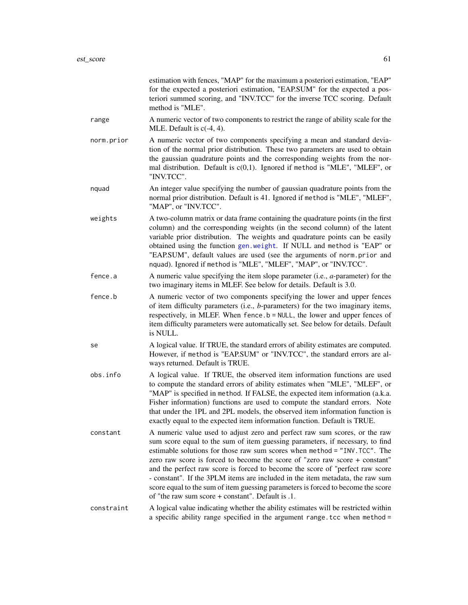|            | estimation with fences, "MAP" for the maximum a posteriori estimation, "EAP"<br>for the expected a posteriori estimation, "EAP.SUM" for the expected a pos-<br>teriori summed scoring, and "INV.TCC" for the inverse TCC scoring. Default<br>method is "MLE".                                                                                                                                                                                                                                                                                                                                                                      |
|------------|------------------------------------------------------------------------------------------------------------------------------------------------------------------------------------------------------------------------------------------------------------------------------------------------------------------------------------------------------------------------------------------------------------------------------------------------------------------------------------------------------------------------------------------------------------------------------------------------------------------------------------|
| range      | A numeric vector of two components to restrict the range of ability scale for the<br>MLE. Default is $c(-4, 4)$ .                                                                                                                                                                                                                                                                                                                                                                                                                                                                                                                  |
| norm.prior | A numeric vector of two components specifying a mean and standard devia-<br>tion of the normal prior distribution. These two parameters are used to obtain<br>the gaussian quadrature points and the corresponding weights from the nor-<br>mal distribution. Default is $c(0,1)$ . Ignored if method is "MLE", "MLEF", or<br>"INV.TCC".                                                                                                                                                                                                                                                                                           |
| nquad      | An integer value specifying the number of gaussian quadrature points from the<br>normal prior distribution. Default is 41. Ignored if method is "MLE", "MLEF",<br>"MAP", or "INV.TCC".                                                                                                                                                                                                                                                                                                                                                                                                                                             |
| weights    | A two-column matrix or data frame containing the quadrature points (in the first<br>column) and the corresponding weights (in the second column) of the latent<br>variable prior distribution. The weights and quadrature points can be easily<br>obtained using the function gen.weight. If NULL and method is "EAP" or<br>"EAP.SUM", default values are used (see the arguments of norm.prior and<br>nquad). Ignored if method is "MLE", "MLEF", "MAP", or "INV.TCC".                                                                                                                                                            |
| fence.a    | A numeric value specifying the item slope parameter (i.e., $a$ -parameter) for the<br>two imaginary items in MLEF. See below for details. Default is 3.0.                                                                                                                                                                                                                                                                                                                                                                                                                                                                          |
| fence.b    | A numeric vector of two components specifying the lower and upper fences<br>of item difficulty parameters (i.e., b-parameters) for the two imaginary items,<br>respectively, in MLEF. When fence b = NULL, the lower and upper fences of<br>item difficulty parameters were automatically set. See below for details. Default<br>is NULL.                                                                                                                                                                                                                                                                                          |
| se         | A logical value. If TRUE, the standard errors of ability estimates are computed.<br>However, if method is "EAP.SUM" or "INV.TCC", the standard errors are al-<br>ways returned. Default is TRUE.                                                                                                                                                                                                                                                                                                                                                                                                                                   |
| obs.info   | A logical value. If TRUE, the observed item information functions are used<br>to compute the standard errors of ability estimates when "MLE", "MLEF", or<br>"MAP" is specified in method. If FALSE, the expected item information (a.k.a.<br>Fisher information) functions are used to compute the standard errors. Note<br>that under the 1PL and 2PL models, the observed item information function is<br>exactly equal to the expected item information function. Default is TRUE.                                                                                                                                              |
| constant   | A numeric value used to adjust zero and perfect raw sum scores, or the raw<br>sum score equal to the sum of item guessing parameters, if necessary, to find<br>estimable solutions for those raw sum scores when method = "INV.TCC". The<br>zero raw score is forced to become the score of "zero raw score + constant"<br>and the perfect raw score is forced to become the score of "perfect raw score<br>- constant". If the 3PLM items are included in the item metadata, the raw sum<br>score equal to the sum of item guessing parameters is forced to become the score<br>of "the raw sum score + constant". Default is .1. |
| constraint | A logical value indicating whether the ability estimates will be restricted within<br>a specific ability range specified in the argument range. tcc when method =                                                                                                                                                                                                                                                                                                                                                                                                                                                                  |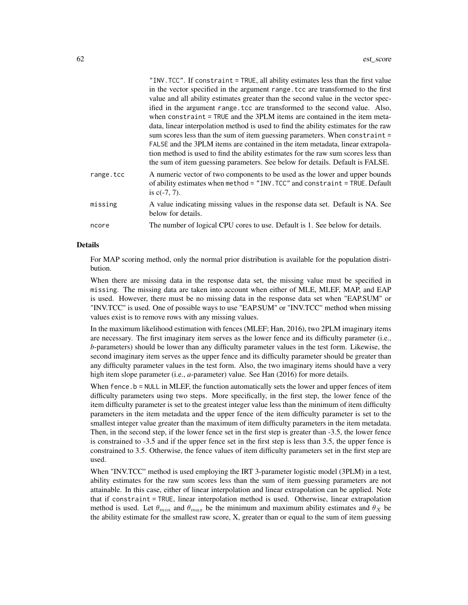|           | "INV. TCC". If constraint = TRUE, all ability estimates less than the first value   |
|-----------|-------------------------------------------------------------------------------------|
|           | in the vector specified in the argument range, tcc are transformed to the first     |
|           | value and all ability estimates greater than the second value in the vector spec-   |
|           | ified in the argument range tcc are transformed to the second value. Also,          |
|           | when constraint = TRUE and the 3PLM items are contained in the item meta-           |
|           | data, linear interpolation method is used to find the ability estimates for the raw |
|           | sum scores less than the sum of item guessing parameters. When constraint =         |
|           | FALSE and the 3PLM items are contained in the item metadata, linear extrapola-      |
|           | tion method is used to find the ability estimates for the raw sum scores less than  |
|           | the sum of item guessing parameters. See below for details. Default is FALSE.       |
| range.tcc | A numeric vector of two components to be used as the lower and upper bounds         |
|           | of ability estimates when method = "INV. TCC" and constraint = TRUE. Default        |
|           | is $c(-7, 7)$ .                                                                     |
| missing   | A value indicating missing values in the response data set. Default is NA. See      |
|           | below for details.                                                                  |
| ncore     | The number of logical CPU cores to use. Default is 1. See below for details.        |
|           |                                                                                     |

#### Details

For MAP scoring method, only the normal prior distribution is available for the population distribution.

When there are missing data in the response data set, the missing value must be specified in missing. The missing data are taken into account when either of MLE, MLEF, MAP, and EAP is used. However, there must be no missing data in the response data set when "EAP.SUM" or "INV.TCC" is used. One of possible ways to use "EAP.SUM" or "INV.TCC" method when missing values exist is to remove rows with any missing values.

In the maximum likelihood estimation with fences (MLEF; Han, 2016), two 2PLM imaginary items are necessary. The first imaginary item serves as the lower fence and its difficulty parameter (i.e., *b*-parameters) should be lower than any difficulty parameter values in the test form. Likewise, the second imaginary item serves as the upper fence and its difficulty parameter should be greater than any difficulty parameter values in the test form. Also, the two imaginary items should have a very high item slope parameter (i.e., *a*-parameter) value. See Han (2016) for more details.

When fence.b = NULL in MLEF, the function automatically sets the lower and upper fences of item difficulty parameters using two steps. More specifically, in the first step, the lower fence of the item difficulty parameter is set to the greatest integer value less than the minimum of item difficulty parameters in the item metadata and the upper fence of the item difficulty parameter is set to the smallest integer value greater than the maximum of item difficulty parameters in the item metadata. Then, in the second step, if the lower fence set in the first step is greater than -3.5, the lower fence is constrained to -3.5 and if the upper fence set in the first step is less than 3.5, the upper fence is constrained to 3.5. Otherwise, the fence values of item difficulty parameters set in the first step are used.

When "INV.TCC" method is used employing the IRT 3-parameter logistic model (3PLM) in a test, ability estimates for the raw sum scores less than the sum of item guessing parameters are not attainable. In this case, either of linear interpolation and linear extrapolation can be applied. Note that if constraint = TRUE, linear interpolation method is used. Otherwise, linear extrapolation method is used. Let  $\theta_{min}$  and  $\theta_{max}$  be the minimum and maximum ability estimates and  $\theta_X$  be the ability estimate for the smallest raw score, X, greater than or equal to the sum of item guessing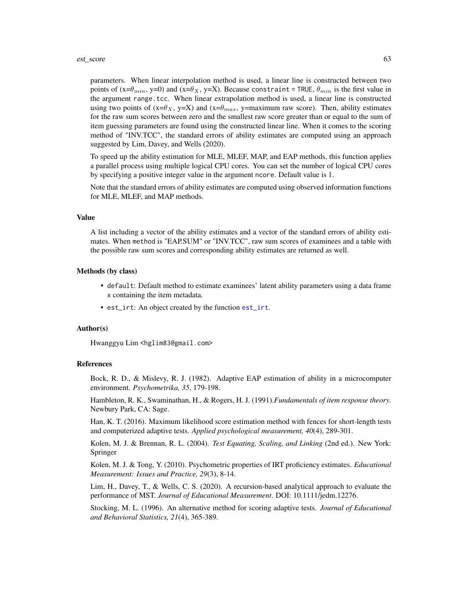#### est\_score 63

parameters. When linear interpolation method is used, a linear line is constructed between two points of  $(x=\theta_{min}, y=0)$  and  $(x=\theta_X, y=X)$ . Because constraint = TRUE,  $\theta_{min}$  is the first value in the argument range.tcc. When linear extrapolation method is used, a linear line is constructed using two points of  $(x=\theta_X, y=X)$  and  $(x=\theta_{max}, y=\theta_X)$  rangimum raw score). Then, ability estimates for the raw sum scores between zero and the smallest raw score greater than or equal to the sum of item guessing parameters are found using the constructed linear line. When it comes to the scoring method of "INV.TCC", the standard errors of ability estimates are computed using an approach suggested by Lim, Davey, and Wells (2020).

To speed up the ability estimation for MLE, MLEF, MAP, and EAP methods, this function applies a parallel process using multiple logical CPU cores. You can set the number of logical CPU cores by specifying a positive integer value in the argument ncore. Default value is 1.

Note that the standard errors of ability estimates are computed using observed information functions for MLE, MLEF, and MAP methods.

#### Value

A list including a vector of the ability estimates and a vector of the standard errors of ability estimates. When method is "EAP.SUM" or "INV.TCC", raw sum scores of examinees and a table with the possible raw sum scores and corresponding ability estimates are returned as well.

#### Methods (by class)

- default: Default method to estimate examinees' latent ability parameters using a data frame x containing the item metadata.
- est\_irt: An object created by the function [est\\_irt](#page-26-0).

#### Author(s)

Hwanggyu Lim <hglim83@gmail.com>

#### References

Bock, R. D., & Mislevy, R. J. (1982). Adaptive EAP estimation of ability in a microcomputer environment. *Psychometrika, 35*, 179-198.

Hambleton, R. K., Swaminathan, H., & Rogers, H. J. (1991).*Fundamentals of item response theory*. Newbury Park, CA: Sage.

Han, K. T. (2016). Maximum likelihood score estimation method with fences for short-length tests and computerized adaptive tests. *Applied psychological measurement, 40*(4), 289-301.

Kolen, M. J. & Brennan, R. L. (2004). *Test Equating, Scaling, and Linking* (2nd ed.). New York: Springer

Kolen, M. J. & Tong, Y. (2010). Psychometric properties of IRT proficiency estimates. *Educational Measurement: Issues and Practice, 29*(3), 8-14.

Lim, H., Davey, T., & Wells, C. S. (2020). A recursion-based analytical approach to evaluate the performance of MST. *Journal of Educational Measurement*. DOI: 10.1111/jedm.12276.

Stocking, M. L. (1996). An alternative method for scoring adaptive tests. *Journal of Educational and Behavioral Statistics, 21*(4), 365-389.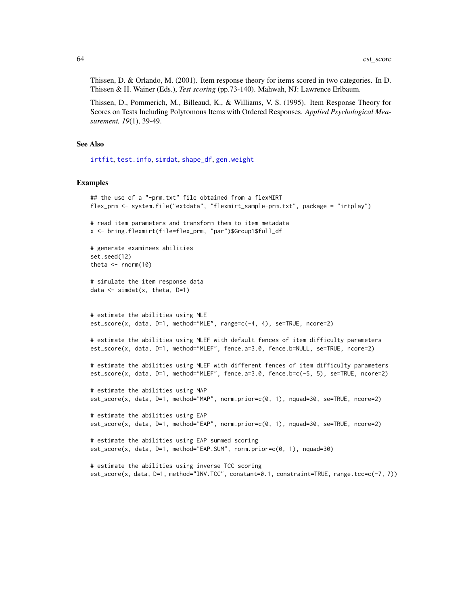Thissen, D. & Orlando, M. (2001). Item response theory for items scored in two categories. In D. Thissen & H. Wainer (Eds.), *Test scoring* (pp.73-140). Mahwah, NJ: Lawrence Erlbaum.

Thissen, D., Pommerich, M., Billeaud, K., & Williams, V. S. (1995). Item Response Theory for Scores on Tests Including Polytomous Items with Ordered Responses. *Applied Psychological Measurement, 19*(1), 39-49.

#### See Also

[irtfit](#page-70-0), [test.info](#page-115-0), [simdat](#page-107-0), [shape\\_df](#page-103-0), [gen.weight](#page-64-0)

#### Examples

```
## the use of a "-prm.txt" file obtained from a flexMIRT
flex_prm <- system.file("extdata", "flexmirt_sample-prm.txt", package = "irtplay")
# read item parameters and transform them to item metadata
x <- bring.flexmirt(file=flex_prm, "par")$Group1$full_df
# generate examinees abilities
set.seed(12)
theta \leq rnorm(10)
# simulate the item response data
data \leq simdat(x, theta, D=1)
# estimate the abilities using MLE
est_score(x, data, D=1, method="MLE", range=c(-4, 4), se=TRUE, ncore=2)
# estimate the abilities using MLEF with default fences of item difficulty parameters
est_score(x, data, D=1, method="MLEF", fence.a=3.0, fence.b=NULL, se=TRUE, ncore=2)
# estimate the abilities using MLEF with different fences of item difficulty parameters
est_score(x, data, D=1, method="MLEF", fence.a=3.0, fence.b=c(-5, 5), se=TRUE, ncore=2)
# estimate the abilities using MAP
est_score(x, data, D=1, method="MAP", norm.prior=c(0, 1), nquad=30, se=TRUE, ncore=2)
# estimate the abilities using EAP
est_score(x, data, D=1, method="EAP", norm.prior=c(0, 1), nquad=30, se=TRUE, ncore=2)
# estimate the abilities using EAP summed scoring
est_score(x, data, D=1, method="EAP.SUM", norm.prior=c(0, 1), nquad=30)
# estimate the abilities using inverse TCC scoring
est_score(x, data, D=1, method="INV.TCC", constant=0.1, constraint=TRUE, range.tcc=c(-7, 7))
```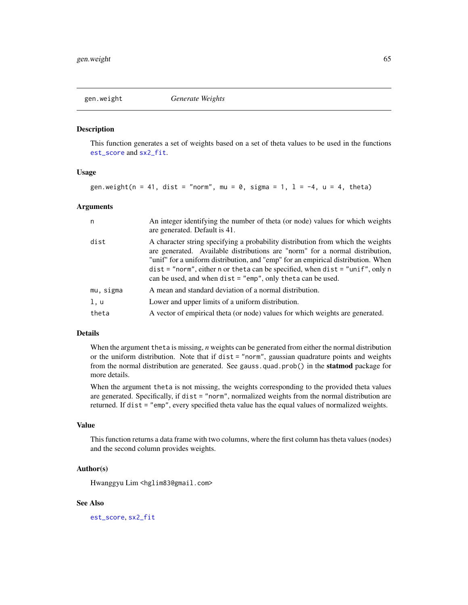<span id="page-64-0"></span>

### Description

This function generates a set of weights based on a set of theta values to be used in the functions [est\\_score](#page-58-0) and [sx2\\_fit](#page-112-0).

## Usage

gen.weight(n = 41, dist = "norm", mu = 0, sigma = 1,  $l = -4$ , u = 4, theta)

#### Arguments

| n.        | An integer identifying the number of theta (or node) values for which weights<br>are generated. Default is 41.                                                                                                                                                                                                                                                                                          |
|-----------|---------------------------------------------------------------------------------------------------------------------------------------------------------------------------------------------------------------------------------------------------------------------------------------------------------------------------------------------------------------------------------------------------------|
| dist      | A character string specifying a probability distribution from which the weights<br>are generated. Available distributions are "norm" for a normal distribution,<br>"unif" for a uniform distribution, and "emp" for an empirical distribution. When<br>$dist = "norm", either n or theta can be specified, when dist = "unif", only n$<br>can be used, and when $dist = "emp", only theta can be used.$ |
| mu, sigma | A mean and standard deviation of a normal distribution.                                                                                                                                                                                                                                                                                                                                                 |
| 1, u      | Lower and upper limits of a uniform distribution.                                                                                                                                                                                                                                                                                                                                                       |
| theta     | A vector of empirical theta (or node) values for which weights are generated.                                                                                                                                                                                                                                                                                                                           |

## Details

When the argument theta is missing, *n* weights can be generated from either the normal distribution or the uniform distribution. Note that if dist = "norm", gaussian quadrature points and weights from the normal distribution are generated. See gauss.quad.prob() in the **statmod** package for more details.

When the argument theta is not missing, the weights corresponding to the provided theta values are generated. Specifically, if dist = "norm", normalized weights from the normal distribution are returned. If dist = "emp", every specified theta value has the equal values of normalized weights.

#### Value

This function returns a data frame with two columns, where the first column has theta values (nodes) and the second column provides weights.

## Author(s)

Hwanggyu Lim <hglim83@gmail.com>

## See Also

[est\\_score](#page-58-0), [sx2\\_fit](#page-112-0)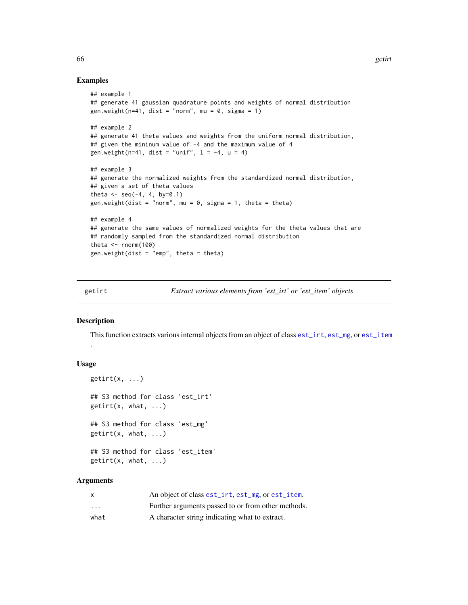#### Examples

```
## example 1
## generate 41 gaussian quadrature points and weights of normal distribution
gen.weight(n=41, dist = "norm", mu = 0, sigma = 1)
## example 2
## generate 41 theta values and weights from the uniform normal distribution,
## given the mininum value of -4 and the maximum value of 4
gen.weight(n=41, dist = "unif", l = -4, u = 4)
## example 3
## generate the normalized weights from the standardized normal distribution,
## given a set of theta values
theta \leq seq(-4, 4, by=0.1)
gen.weight(dist = "norm", mu = 0, sigma = 1, theta = theta)
## example 4
## generate the same values of normalized weights for the theta values that are
## randomly sampled from the standardized normal distribution
theta <- rnorm(100)
gen.weight(dist = "emp", theta = theta)
```
<span id="page-65-0"></span>getirt *Extract various elements from 'est\_irt' or 'est\_item' objects*

## **Description**

.

This function extracts various internal objects from an object of class [est\\_irt](#page-26-0), [est\\_mg](#page-45-0), or [est\\_item](#page-39-0)

#### Usage

```
getirt(x, \ldots)## S3 method for class 'est_irt'
getirt(x, what, ...)## S3 method for class 'est_mg'
getirt(x, what, ...)## S3 method for class 'est_item'
getirt(x, what, ...)
```
#### Arguments

| x                       | An object of class est_irt. est_mg, or est_item.   |
|-------------------------|----------------------------------------------------|
| $\cdot$ $\cdot$ $\cdot$ | Further arguments passed to or from other methods. |
| what                    | A character string indicating what to extract.     |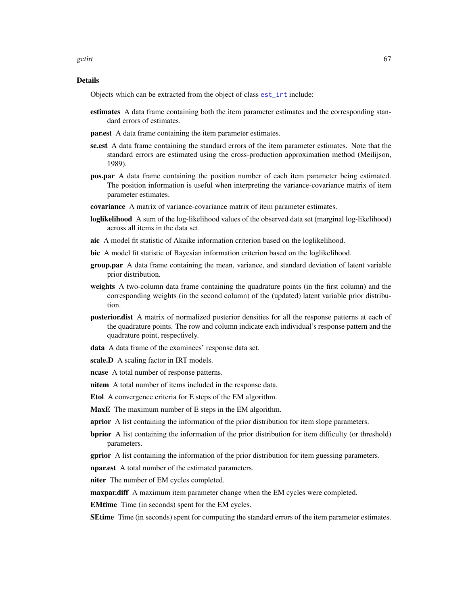getirt 67

## Details

Objects which can be extracted from the object of class [est\\_irt](#page-26-0) include:

- estimates A data frame containing both the item parameter estimates and the corresponding standard errors of estimates.
- par.est A data frame containing the item parameter estimates.
- se.est A data frame containing the standard errors of the item parameter estimates. Note that the standard errors are estimated using the cross-production approximation method (Meilijson, 1989).
- pos.par A data frame containing the position number of each item parameter being estimated. The position information is useful when interpreting the variance-covariance matrix of item parameter estimates.
- covariance A matrix of variance-covariance matrix of item parameter estimates.
- **loglikelihood** A sum of the log-likelihood values of the observed data set (marginal log-likelihood) across all items in the data set.
- aic A model fit statistic of Akaike information criterion based on the loglikelihood.
- bic A model fit statistic of Bayesian information criterion based on the loglikelihood.
- group.par A data frame containing the mean, variance, and standard deviation of latent variable prior distribution.
- weights A two-column data frame containing the quadrature points (in the first column) and the corresponding weights (in the second column) of the (updated) latent variable prior distribution.
- posterior.dist A matrix of normalized posterior densities for all the response patterns at each of the quadrature points. The row and column indicate each individual's response pattern and the quadrature point, respectively.
- data A data frame of the examinees' response data set.
- scale.D A scaling factor in IRT models.
- ncase A total number of response patterns.
- nitem A total number of items included in the response data.
- Etol A convergence criteria for E steps of the EM algorithm.
- MaxE The maximum number of E steps in the EM algorithm.
- **aprior** A list containing the information of the prior distribution for item slope parameters.
- bprior A list containing the information of the prior distribution for item difficulty (or threshold) parameters.
- **gprior** A list containing the information of the prior distribution for item guessing parameters.

npar.est A total number of the estimated parameters.

niter The number of EM cycles completed.

**maxpar.diff** A maximum item parameter change when the EM cycles were completed.

EMtime Time (in seconds) spent for the EM cycles.

**SEtime** Time (in seconds) spent for computing the standard errors of the item parameter estimates.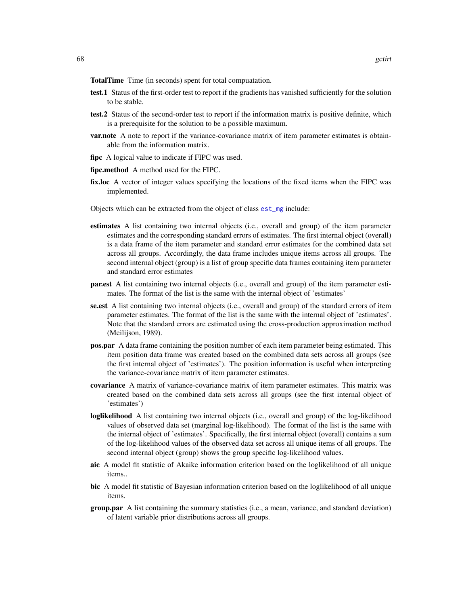TotalTime Time (in seconds) spent for total compuatation.

- test.1 Status of the first-order test to report if the gradients has vanished sufficiently for the solution to be stable.
- test.2 Status of the second-order test to report if the information matrix is positive definite, which is a prerequisite for the solution to be a possible maximum.
- **var.note** A note to report if the variance-covariance matrix of item parameter estimates is obtainable from the information matrix.
- fipc A logical value to indicate if FIPC was used.
- fipc.method A method used for the FIPC.
- fix.loc A vector of integer values specifying the locations of the fixed items when the FIPC was implemented.
- Objects which can be extracted from the object of class [est\\_mg](#page-45-0) include:
- estimates A list containing two internal objects (i.e., overall and group) of the item parameter estimates and the corresponding standard errors of estimates. The first internal object (overall) is a data frame of the item parameter and standard error estimates for the combined data set across all groups. Accordingly, the data frame includes unique items across all groups. The second internal object (group) is a list of group specific data frames containing item parameter and standard error estimates
- par.est A list containing two internal objects (i.e., overall and group) of the item parameter estimates. The format of the list is the same with the internal object of 'estimates'
- se.est A list containing two internal objects (i.e., overall and group) of the standard errors of item parameter estimates. The format of the list is the same with the internal object of 'estimates'. Note that the standard errors are estimated using the cross-production approximation method (Meilijson, 1989).
- pos.par A data frame containing the position number of each item parameter being estimated. This item position data frame was created based on the combined data sets across all groups (see the first internal object of 'estimates'). The position information is useful when interpreting the variance-covariance matrix of item parameter estimates.
- covariance A matrix of variance-covariance matrix of item parameter estimates. This matrix was created based on the combined data sets across all groups (see the first internal object of 'estimates')
- loglikelihood A list containing two internal objects (i.e., overall and group) of the log-likelihood values of observed data set (marginal log-likelihood). The format of the list is the same with the internal object of 'estimates'. Specifically, the first internal object (overall) contains a sum of the log-likelihood values of the observed data set across all unique items of all groups. The second internal object (group) shows the group specific log-likelihood values.
- aic A model fit statistic of Akaike information criterion based on the loglikelihood of all unique items..
- bic A model fit statistic of Bayesian information criterion based on the loglikelihood of all unique items.
- **group.par** A list containing the summary statistics (i.e., a mean, variance, and standard deviation) of latent variable prior distributions across all groups.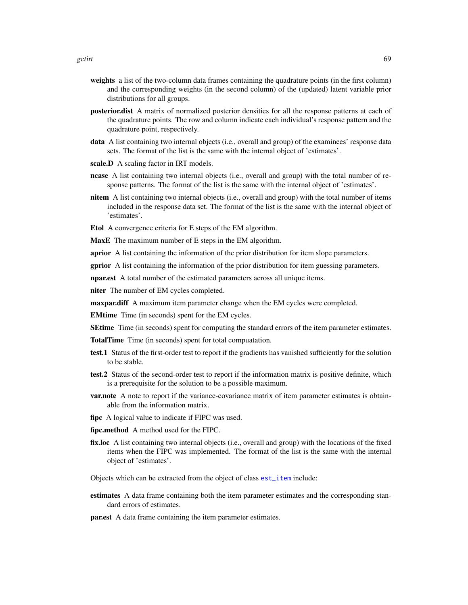- weights a list of the two-column data frames containing the quadrature points (in the first column) and the corresponding weights (in the second column) of the (updated) latent variable prior distributions for all groups.
- posterior.dist A matrix of normalized posterior densities for all the response patterns at each of the quadrature points. The row and column indicate each individual's response pattern and the quadrature point, respectively.
- data A list containing two internal objects (i.e., overall and group) of the examinees' response data sets. The format of the list is the same with the internal object of 'estimates'.
- scale.D A scaling factor in IRT models.
- ncase A list containing two internal objects (i.e., overall and group) with the total number of response patterns. The format of the list is the same with the internal object of 'estimates'.
- nitem A list containing two internal objects (i.e., overall and group) with the total number of items included in the response data set. The format of the list is the same with the internal object of 'estimates'.
- Etol A convergence criteria for E steps of the EM algorithm.

MaxE The maximum number of E steps in the EM algorithm.

**aprior** A list containing the information of the prior distribution for item slope parameters.

**gprior** A list containing the information of the prior distribution for item guessing parameters.

npar.est A total number of the estimated parameters across all unique items.

niter The number of EM cycles completed.

**maxpar.diff** A maximum item parameter change when the EM cycles were completed.

EMtime Time (in seconds) spent for the EM cycles.

**SEtime** Time (in seconds) spent for computing the standard errors of the item parameter estimates.

TotalTime Time (in seconds) spent for total compuatation.

- test.1 Status of the first-order test to report if the gradients has vanished sufficiently for the solution to be stable.
- test.2 Status of the second-order test to report if the information matrix is positive definite, which is a prerequisite for the solution to be a possible maximum.
- **var.note** A note to report if the variance-covariance matrix of item parameter estimates is obtainable from the information matrix.
- fipc A logical value to indicate if FIPC was used.
- fipc.method A method used for the FIPC.
- fix.loc A list containing two internal objects (i.e., overall and group) with the locations of the fixed items when the FIPC was implemented. The format of the list is the same with the internal object of 'estimates'.

Objects which can be extracted from the object of class [est\\_item](#page-39-0) include:

estimates A data frame containing both the item parameter estimates and the corresponding standard errors of estimates.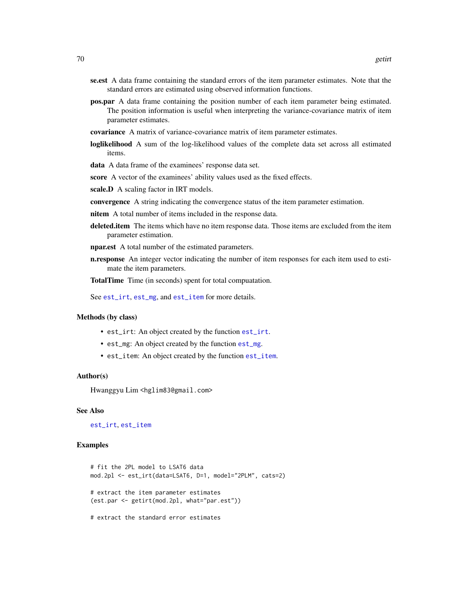- se.est A data frame containing the standard errors of the item parameter estimates. Note that the standard errors are estimated using observed information functions.
- pos.par A data frame containing the position number of each item parameter being estimated. The position information is useful when interpreting the variance-covariance matrix of item parameter estimates.
- covariance A matrix of variance-covariance matrix of item parameter estimates.
- loglikelihood A sum of the log-likelihood values of the complete data set across all estimated items.
- data A data frame of the examinees' response data set.
- score A vector of the examinees' ability values used as the fixed effects.
- scale.D A scaling factor in IRT models.
- convergence A string indicating the convergence status of the item parameter estimation.
- nitem A total number of items included in the response data.
- deleted.item The items which have no item response data. Those items are excluded from the item parameter estimation.
- npar.est A total number of the estimated parameters.
- **n.response** An integer vector indicating the number of item responses for each item used to estimate the item parameters.

TotalTime Time (in seconds) spent for total compuatation.

See [est\\_irt](#page-26-0), [est\\_mg](#page-45-0), and [est\\_item](#page-39-0) for more details.

#### Methods (by class)

- est\_irt: An object created by the function [est\\_irt](#page-26-0).
- est\_mg: An object created by the function [est\\_mg](#page-45-0).
- est\_item: An object created by the function [est\\_item](#page-39-0).

#### Author(s)

Hwanggyu Lim <hglim83@gmail.com>

#### See Also

[est\\_irt](#page-26-0), [est\\_item](#page-39-0)

### Examples

```
# fit the 2PL model to LSAT6 data
mod.2pl <- est_irt(data=LSAT6, D=1, model="2PLM", cats=2)
# extract the item parameter estimates
(est.par <- getirt(mod.2pl, what="par.est"))
# extract the standard error estimates
```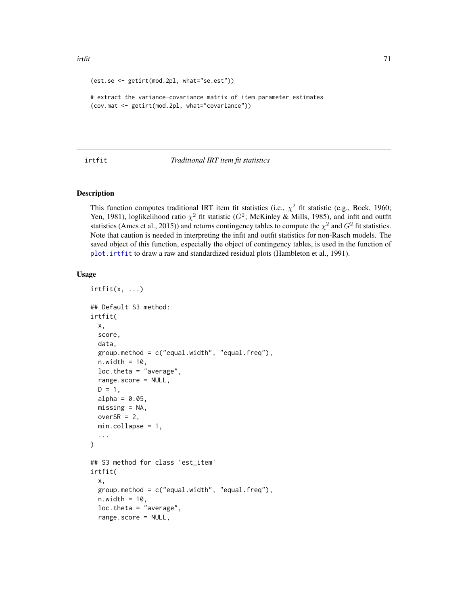```
(est.se <- getirt(mod.2pl, what="se.est"))
# extract the variance-covariance matrix of item parameter estimates
(cov.mat <- getirt(mod.2pl, what="covariance"))
```
# <span id="page-70-0"></span>irtfit *Traditional IRT item fit statistics*

## Description

This function computes traditional IRT item fit statistics (i.e.,  $\chi^2$  fit statistic (e.g., Bock, 1960; Yen, 1981), loglikelihood ratio  $\chi^2$  fit statistic ( $G^2$ ; McKinley & Mills, 1985), and infit and outfit statistics (Ames et al., 2015)) and returns contingency tables to compute the  $\chi^2$  and  $G^2$  fit statistics. Note that caution is needed in interpreting the infit and outfit statistics for non-Rasch models. The saved object of this function, especially the object of contingency tables, is used in the function of [plot.irtfit](#page-84-0) to draw a raw and standardized residual plots (Hambleton et al., 1991).

#### Usage

```
irtfit(x, \ldots)## Default S3 method:
irtfit(
  x,
  score,
  data,
  group . method = c("equal .width", "equal .freq]),n.width = 10,loc.theta = "average",
  range.score = NULL,
 D = 1,
  alpha = 0.05,
 missing = NA,
 overSR = 2,
 min.collapse = 1,
  ...
)
## S3 method for class 'est_item'
irtfit(
  x,
  group.method = c("equal.width", "equal.freq"),
 n.width = 10,loc.theta = "average",
  range.score = NULL,
```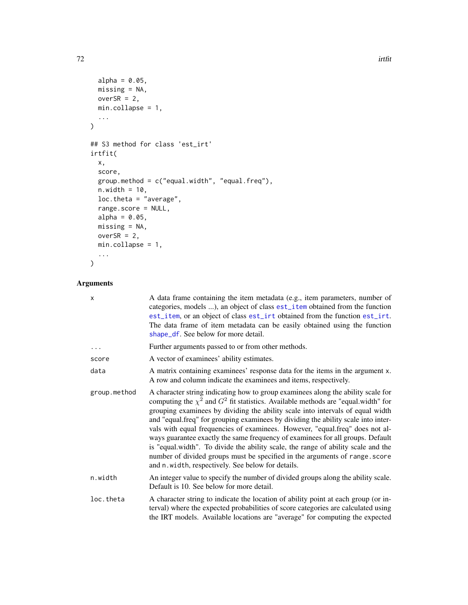```
alpha = 0.05,
 missing = NA,
 overSR = 2,
 min.collapse = 1,
  ...
\mathcal{L}## S3 method for class 'est_irt'
irtfit(
 x,
 score,
 group.method = c("equal.width", "equal.freq"),
 n.width = 10,loc.theta = "average",
 range.score = NULL,
 alpha = 0.05,
 missing = NA,
 overSR = 2,
 min.collapse = 1,
 ...
\mathcal{L}
```
# Arguments

| X            | A data frame containing the item metadata (e.g., item parameters, number of<br>categories, models ), an object of class est_item obtained from the function<br>est_item, or an object of class est_irt obtained from the function est_irt.<br>The data frame of item metadata can be easily obtained using the function<br>shape_df. See below for more detail.                                                                                                                                                                                                                                                                                                                                                                                |
|--------------|------------------------------------------------------------------------------------------------------------------------------------------------------------------------------------------------------------------------------------------------------------------------------------------------------------------------------------------------------------------------------------------------------------------------------------------------------------------------------------------------------------------------------------------------------------------------------------------------------------------------------------------------------------------------------------------------------------------------------------------------|
| .            | Further arguments passed to or from other methods.                                                                                                                                                                                                                                                                                                                                                                                                                                                                                                                                                                                                                                                                                             |
| score        | A vector of examinees' ability estimates.                                                                                                                                                                                                                                                                                                                                                                                                                                                                                                                                                                                                                                                                                                      |
| data         | A matrix containing examinees' response data for the items in the argument x.<br>A row and column indicate the examinees and items, respectively.                                                                                                                                                                                                                                                                                                                                                                                                                                                                                                                                                                                              |
| group.method | A character string indicating how to group examinees along the ability scale for<br>computing the $\chi^2$ and $G^2$ fit statistics. Available methods are "equal.width" for<br>grouping examinees by dividing the ability scale into intervals of equal width<br>and "equal.freq" for grouping examinees by dividing the ability scale into inter-<br>vals with equal frequencies of examinees. However, "equal.freq" does not al-<br>ways guarantee exactly the same frequency of examinees for all groups. Default<br>is "equal.width". To divide the ability scale, the range of ability scale and the<br>number of divided groups must be specified in the arguments of range.score<br>and n. width, respectively. See below for details. |
| n.width      | An integer value to specify the number of divided groups along the ability scale.<br>Default is 10. See below for more detail.                                                                                                                                                                                                                                                                                                                                                                                                                                                                                                                                                                                                                 |
| loc.theta    | A character string to indicate the location of ability point at each group (or in-<br>terval) where the expected probabilities of score categories are calculated using<br>the IRT models. Available locations are "average" for computing the expected                                                                                                                                                                                                                                                                                                                                                                                                                                                                                        |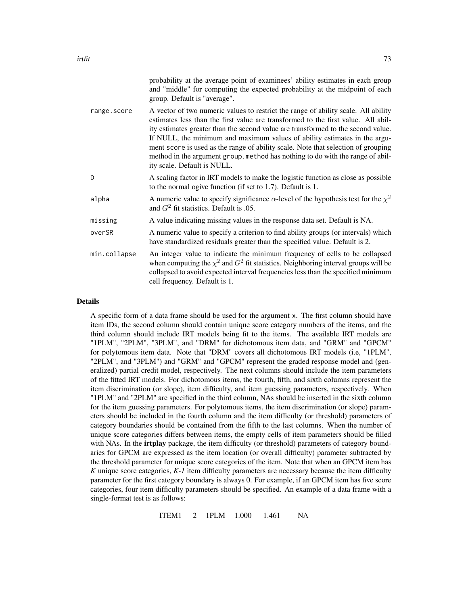|             | probability at the average point of examinees' ability estimates in each group<br>and "middle" for computing the expected probability at the midpoint of each<br>group. Default is "average".                                                                                                                                                                                                                                                                                                                                                  |
|-------------|------------------------------------------------------------------------------------------------------------------------------------------------------------------------------------------------------------------------------------------------------------------------------------------------------------------------------------------------------------------------------------------------------------------------------------------------------------------------------------------------------------------------------------------------|
| range.score | A vector of two numeric values to restrict the range of ability scale. All ability<br>estimates less than the first value are transformed to the first value. All abil-<br>ity estimates greater than the second value are transformed to the second value.<br>If NULL, the minimum and maximum values of ability estimates in the argu-<br>ment score is used as the range of ability scale. Note that selection of grouping<br>method in the argument group, method has nothing to do with the range of abil-<br>ity scale. Default is NULL. |

- D A scaling factor in IRT models to make the logistic function as close as possible to the normal ogive function (if set to 1.7). Default is 1. alpha A numeric value to specify significance  $\alpha$ -level of the hypothesis test for the  $\chi^2$ and  $G<sup>2</sup>$  fit statistics. Default is .05.
- missing A value indicating missing values in the response data set. Default is NA.
- overSR A numeric value to specify a criterion to find ability groups (or intervals) which have standardized residuals greater than the specified value. Default is 2.
- min.collapse An integer value to indicate the minimum frequency of cells to be collapsed when computing the  $\chi^2$  and  $G^2$  fit statistics. Neighboring interval groups will be collapsed to avoid expected interval frequencies less than the specified minimum cell frequency. Default is 1.

### Details

A specific form of a data frame should be used for the argument x. The first column should have item IDs, the second column should contain unique score category numbers of the items, and the third column should include IRT models being fit to the items. The available IRT models are "1PLM", "2PLM", "3PLM", and "DRM" for dichotomous item data, and "GRM" and "GPCM" for polytomous item data. Note that "DRM" covers all dichotomous IRT models (i.e, "1PLM", "2PLM", and "3PLM") and "GRM" and "GPCM" represent the graded response model and (generalized) partial credit model, respectively. The next columns should include the item parameters of the fitted IRT models. For dichotomous items, the fourth, fifth, and sixth columns represent the item discrimination (or slope), item difficulty, and item guessing parameters, respectively. When "1PLM" and "2PLM" are specified in the third column, NAs should be inserted in the sixth column for the item guessing parameters. For polytomous items, the item discrimination (or slope) parameters should be included in the fourth column and the item difficulty (or threshold) parameters of category boundaries should be contained from the fifth to the last columns. When the number of unique score categories differs between items, the empty cells of item parameters should be filled with NAs. In the **irtplay** package, the item difficulty (or threshold) parameters of category boundaries for GPCM are expressed as the item location (or overall difficulty) parameter subtracted by the threshold parameter for unique score categories of the item. Note that when an GPCM item has *K* unique score categories, *K-1* item difficulty parameters are necessary because the item difficulty parameter for the first category boundary is always 0. For example, if an GPCM item has five score categories, four item difficulty parameters should be specified. An example of a data frame with a single-format test is as follows:

ITEM1 2 1PLM 1.000 1.461 NA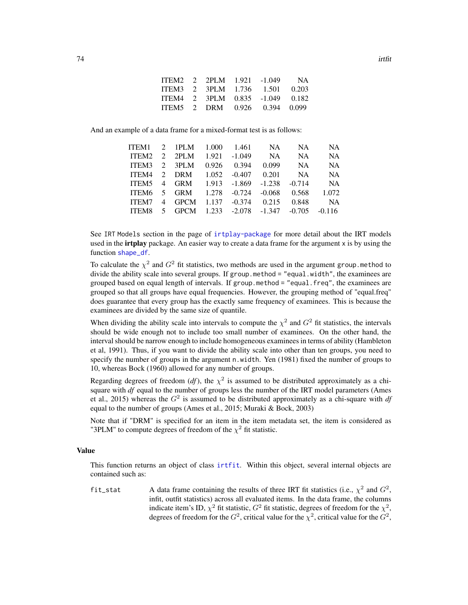| ITEM2 2 2PLM 1.921 -1.049 |  |                                 | <b>NA</b> |
|---------------------------|--|---------------------------------|-----------|
|                           |  | ITEM3 2 3PLM 1.736 1.501 0.203  |           |
|                           |  | ITEM4 2 3PLM 0.835 -1.049 0.182 |           |
|                           |  | ITEM5 2 DRM 0.926 0.394 0.099   |           |

And an example of a data frame for a mixed-format test is as follows:

| ITEM1        |                 | $2$ 1PLM       | 1.000 | 1.461           | <b>NA</b> | <b>NA</b> | NA.       |
|--------------|-----------------|----------------|-------|-----------------|-----------|-----------|-----------|
| ITEM2        |                 | $2$ 2PLM       | 1.921 | $-1.049$        | NA.       | NA.       | <b>NA</b> |
| ITEM3        |                 | $2 \quad 3PLM$ | 0.926 | 0.394           | 0.099     | <b>NA</b> | <b>NA</b> |
| ITEM4        |                 | 2 DRM          | 1.052 | $-0.407$        | 0.201     | <b>NA</b> | <b>NA</b> |
| ITEM5        | $\overline{4}$  | <b>GRM</b>     | 1.913 | $-1.869$        | $-1.238$  | $-0.714$  | <b>NA</b> |
| ITEM6        | $5\overline{)}$ | <b>GRM</b>     | 1.278 | $-0.724$        | $-0.068$  | 0.568     | 1.072     |
| <b>ITEM7</b> | $\overline{4}$  | <b>GPCM</b>    | 1.137 | $-0.374$        | 0.215     | 0.848     | <b>NA</b> |
| ITEM8        | 5 <sup>7</sup>  | <b>GPCM</b>    |       | $1.233 - 2.078$ | $-1.347$  | $-0.705$  | $-0.116$  |
|              |                 |                |       |                 |           |           |           |

See IRT Models section in the page of [irtplay-package](#page-2-0) for more detail about the IRT models used in the **irtplay** package. An easier way to create a data frame for the argument x is by using the function [shape\\_df](#page-103-0).

To calculate the  $\chi^2$  and  $G^2$  fit statistics, two methods are used in the argument group. method to divide the ability scale into several groups. If group.method = "equal.width", the examinees are grouped based on equal length of intervals. If group.method = "equal.freq", the examinees are grouped so that all groups have equal frequencies. However, the grouping method of "equal.freq" does guarantee that every group has the exactly same frequency of examinees. This is because the examinees are divided by the same size of quantile.

When dividing the ability scale into intervals to compute the  $\chi^2$  and  $G^2$  fit statistics, the intervals should be wide enough not to include too small number of examinees. On the other hand, the interval should be narrow enough to include homogeneous examinees in terms of ability (Hambleton et al, 1991). Thus, if you want to divide the ability scale into other than ten groups, you need to specify the number of groups in the argument n.width. Yen (1981) fixed the number of groups to 10, whereas Bock (1960) allowed for any number of groups.

Regarding degrees of freedom  $(df)$ , the  $\chi^2$  is assumed to be distributed approximately as a chisquare with *df* equal to the number of groups less the number of the IRT model parameters (Ames et al., 2015) whereas the  $G^2$  is assumed to be distributed approximately as a chi-square with  $df$ equal to the number of groups (Ames et al., 2015; Muraki & Bock, 2003)

Note that if "DRM" is specified for an item in the item metadata set, the item is considered as "3PLM" to compute degrees of freedom of the  $\chi^2$  fit statistic.

### Value

This function returns an object of class [irtfit](#page-70-0). Within this object, several internal objects are contained such as:

fit\_stat A data frame containing the results of three IRT fit statistics (i.e.,  $\chi^2$  and  $G^2$ , infit, outfit statistics) across all evaluated items. In the data frame, the columns indicate item's ID,  $\chi^2$  fit statistic,  $G^2$  fit statistic, degrees of freedom for the  $\chi^2$ , degrees of freedom for the  $G^2$ , critical value for the  $\chi^2$ , critical value for the  $G^2$ ,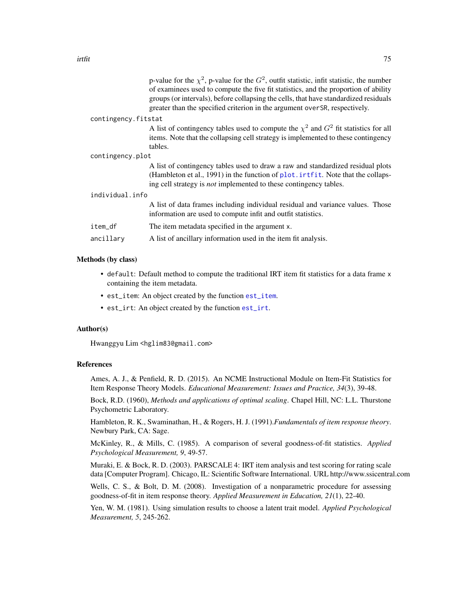| A list of contingency tables used to compute the $\chi^2$ and $G^2$ fit statistics for all<br>items. Note that the collapsing cell strategy is implemented to these contingency |
|---------------------------------------------------------------------------------------------------------------------------------------------------------------------------------|
|                                                                                                                                                                                 |
| A list of contingency tables used to draw a raw and standardized residual plots<br>(Hambleton et al., 1991) in the function of plot. interest in Note that the collaps-         |
|                                                                                                                                                                                 |
| A list of data frames including individual residual and variance values. Those                                                                                                  |
|                                                                                                                                                                                 |
|                                                                                                                                                                                 |
|                                                                                                                                                                                 |
|                                                                                                                                                                                 |

#### Methods (by class)

- default: Default method to compute the traditional IRT item fit statistics for a data frame x containing the item metadata.
- est\_item: An object created by the function [est\\_item](#page-39-0).
- est\_irt: An object created by the function [est\\_irt](#page-26-0).

### Author(s)

Hwanggyu Lim <hglim83@gmail.com>

### References

Ames, A. J., & Penfield, R. D. (2015). An NCME Instructional Module on Item-Fit Statistics for Item Response Theory Models. *Educational Measurement: Issues and Practice, 34*(3), 39-48.

Bock, R.D. (1960), *Methods and applications of optimal scaling*. Chapel Hill, NC: L.L. Thurstone Psychometric Laboratory.

Hambleton, R. K., Swaminathan, H., & Rogers, H. J. (1991).*Fundamentals of item response theory*. Newbury Park, CA: Sage.

McKinley, R., & Mills, C. (1985). A comparison of several goodness-of-fit statistics. *Applied Psychological Measurement, 9*, 49-57.

Muraki, E. & Bock, R. D. (2003). PARSCALE 4: IRT item analysis and test scoring for rating scale data [Computer Program]. Chicago, IL: Scientific Software International. URL http://www.ssicentral.com

Wells, C. S., & Bolt, D. M. (2008). Investigation of a nonparametric procedure for assessing goodness-of-fit in item response theory. *Applied Measurement in Education, 21*(1), 22-40.

Yen, W. M. (1981). Using simulation results to choose a latent trait model. *Applied Psychological Measurement, 5*, 245-262.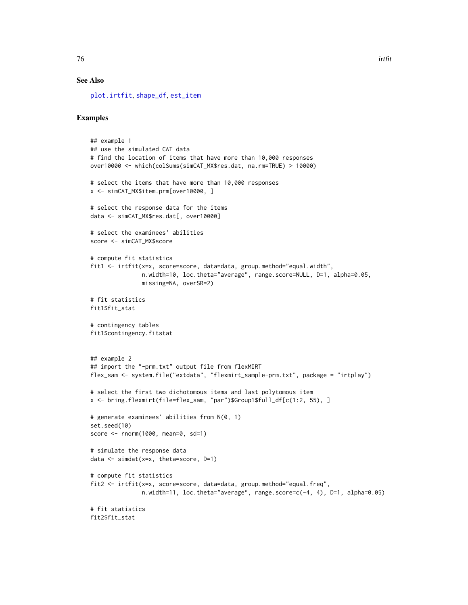### See Also

[plot.irtfit](#page-84-0), [shape\\_df](#page-103-0), [est\\_item](#page-39-0)

### Examples

```
## example 1
## use the simulated CAT data
# find the location of items that have more than 10,000 responses
over10000 <- which(colSums(simCAT_MX$res.dat, na.rm=TRUE) > 10000)
# select the items that have more than 10,000 responses
x <- simCAT_MX$item.prm[over10000, ]
# select the response data for the items
data <- simCAT_MX$res.dat[, over10000]
# select the examinees' abilities
score <- simCAT_MX$score
# compute fit statistics
fit1 <- irtfit(x=x, score=score, data=data, group.method="equal.width",
               n.width=10, loc.theta="average", range.score=NULL, D=1, alpha=0.05,
               missing=NA, overSR=2)
# fit statistics
fit1$fit_stat
# contingency tables
fit1$contingency.fitstat
## example 2
## import the "-prm.txt" output file from flexMIRT
flex_sam <- system.file("extdata", "flexmirt_sample-prm.txt", package = "irtplay")
# select the first two dichotomous items and last polytomous item
x <- bring.flexmirt(file=flex_sam, "par")$Group1$full_df[c(1:2, 55), ]
# generate examinees' abilities from N(0, 1)
set.seed(10)
score <- rnorm(1000, mean=0, sd=1)
# simulate the response data
data \leq simdat(x=x, theta=score, D=1)
# compute fit statistics
fit2 <- irtfit(x=x, score=score, data=data, group.method="equal.freq",
               n.width=11, loc.theta="average", range.score=c(-4, 4), D=1, alpha=0.05)
# fit statistics
fit2$fit_stat
```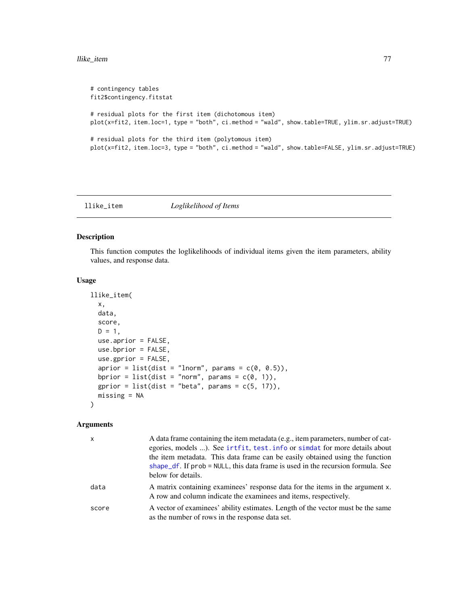### llike\_item 77

```
# contingency tables
fit2$contingency.fitstat
# residual plots for the first item (dichotomous item)
plot(x=fit2, item.loc=1, type = "both", ci.method = "wald", show.table=TRUE, ylim.sr.adjust=TRUE)
# residual plots for the third item (polytomous item)
plot(x=fit2, item.loc=3, type = "both", ci.method = "wald", show.table=FALSE, ylim.sr.adjust=TRUE)
```
llike\_item *Loglikelihood of Items*

# Description

This function computes the loglikelihoods of individual items given the item parameters, ability values, and response data.

# Usage

```
llike_item(
  x,
  data,
  score,
 D = 1,use.aprior = FALSE,
  use.bprior = FALSE,
  use.gprior = FALSE,
  aprior = list(dist = "Inorm", params = c(0, 0.5)),bprior = list(dist = "norm", params = c(\emptyset, 1)),
  gprior = list(dist = "beta", params = c(5, 17)),missing = NA
)
```
# Arguments

| x     | A data frame containing the item metadata (e.g., item parameters, number of cat-<br>egories, models ). See irtfit, test. info or simdat for more details about<br>the item metadata. This data frame can be easily obtained using the function<br>shape_df. If prob = NULL, this data frame is used in the recursion formula. See<br>below for details. |
|-------|---------------------------------------------------------------------------------------------------------------------------------------------------------------------------------------------------------------------------------------------------------------------------------------------------------------------------------------------------------|
| data  | A matrix containing examinees' response data for the items in the argument x.<br>A row and column indicate the examinees and items, respectively.                                                                                                                                                                                                       |
| score | A vector of examinees' ability estimates. Length of the vector must be the same<br>as the number of rows in the response data set.                                                                                                                                                                                                                      |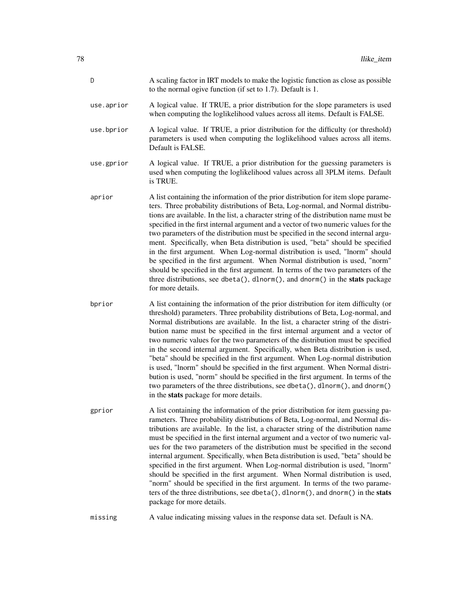| D          | A scaling factor in IRT models to make the logistic function as close as possible<br>to the normal ogive function (if set to 1.7). Default is 1.                                                                                                                                                                                                                                                                                                                                                                                                                                                                                                                                                                                                                                                                                                                                                       |
|------------|--------------------------------------------------------------------------------------------------------------------------------------------------------------------------------------------------------------------------------------------------------------------------------------------------------------------------------------------------------------------------------------------------------------------------------------------------------------------------------------------------------------------------------------------------------------------------------------------------------------------------------------------------------------------------------------------------------------------------------------------------------------------------------------------------------------------------------------------------------------------------------------------------------|
| use.aprior | A logical value. If TRUE, a prior distribution for the slope parameters is used<br>when computing the loglikelihood values across all items. Default is FALSE.                                                                                                                                                                                                                                                                                                                                                                                                                                                                                                                                                                                                                                                                                                                                         |
| use.bprior | A logical value. If TRUE, a prior distribution for the difficulty (or threshold)<br>parameters is used when computing the loglikelihood values across all items.<br>Default is FALSE.                                                                                                                                                                                                                                                                                                                                                                                                                                                                                                                                                                                                                                                                                                                  |
| use.gprior | A logical value. If TRUE, a prior distribution for the guessing parameters is<br>used when computing the loglikelihood values across all 3PLM items. Default<br>is TRUE.                                                                                                                                                                                                                                                                                                                                                                                                                                                                                                                                                                                                                                                                                                                               |
| aprior     | A list containing the information of the prior distribution for item slope parame-<br>ters. Three probability distributions of Beta, Log-normal, and Normal distribu-<br>tions are available. In the list, a character string of the distribution name must be<br>specified in the first internal argument and a vector of two numeric values for the<br>two parameters of the distribution must be specified in the second internal argu-<br>ment. Specifically, when Beta distribution is used, "beta" should be specified<br>in the first argument. When Log-normal distribution is used, "lnorm" should<br>be specified in the first argument. When Normal distribution is used, "norm"<br>should be specified in the first argument. In terms of the two parameters of the<br>three distributions, see dbeta(), dlnorm(), and dnorm() in the stats package<br>for more details.                   |
| bprior     | A list containing the information of the prior distribution for item difficulty (or<br>threshold) parameters. Three probability distributions of Beta, Log-normal, and<br>Normal distributions are available. In the list, a character string of the distri-<br>bution name must be specified in the first internal argument and a vector of<br>two numeric values for the two parameters of the distribution must be specified<br>in the second internal argument. Specifically, when Beta distribution is used,<br>"beta" should be specified in the first argument. When Log-normal distribution<br>is used, "lnorm" should be specified in the first argument. When Normal distri-<br>bution is used, "norm" should be specified in the first argument. In terms of the<br>two parameters of the three distributions, see dbeta(), dlnorm(), and dnorm()<br>in the stats package for more details. |
| gprior     | A list containing the information of the prior distribution for item guessing pa-<br>rameters. Three probability distributions of Beta, Log-normal, and Normal dis-<br>tributions are available. In the list, a character string of the distribution name<br>must be specified in the first internal argument and a vector of two numeric val-<br>ues for the two parameters of the distribution must be specified in the second<br>internal argument. Specifically, when Beta distribution is used, "beta" should be<br>specified in the first argument. When Log-normal distribution is used, "lnorm"<br>should be specified in the first argument. When Normal distribution is used,<br>"norm" should be specified in the first argument. In terms of the two parame-<br>ters of the three distributions, see dbeta(), dlnorm(), and dnorm() in the stats                                           |

missing A value indicating missing values in the response data set. Default is NA.

package for more details.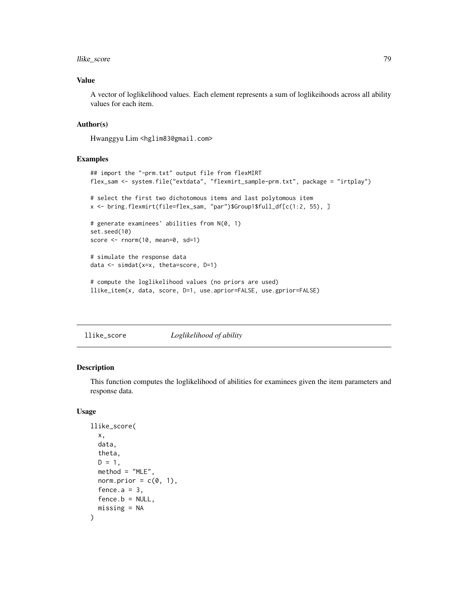# llike\_score 79

# Value

A vector of loglikelihood values. Each element represents a sum of loglikeihoods across all ability values for each item.

# Author(s)

Hwanggyu Lim <hglim83@gmail.com>

### Examples

```
## import the "-prm.txt" output file from flexMIRT
flex_sam <- system.file("extdata", "flexmirt_sample-prm.txt", package = "irtplay")
# select the first two dichotomous items and last polytomous item
x <- bring.flexmirt(file=flex_sam, "par")$Group1$full_df[c(1:2, 55), ]
# generate examinees' abilities from N(0, 1)
set.seed(10)
score <- rnorm(10, mean=0, sd=1)
# simulate the response data
data <- simdat(x=x, theta=score, D=1)
# compute the loglikelihood values (no priors are used)
llike_item(x, data, score, D=1, use.aprior=FALSE, use.gprior=FALSE)
```
llike\_score *Loglikelihood of ability*

### Description

This function computes the loglikelihood of abilities for examinees given the item parameters and response data.

### Usage

```
llike_score(
  x,
  data,
  theta,
  D = 1,
  method = "MLE",norm.prior = c(\emptyset, 1),
  fence.a = 3.
  fence.b = NULL,missing = NA
)
```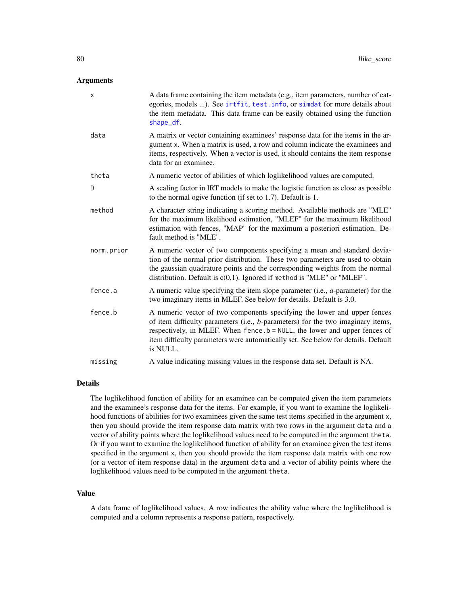### **Arguments**

| X          | A data frame containing the item metadata (e.g., item parameters, number of cat-<br>egories, models ). See irtfit, test. info, or simdat for more details about<br>the item metadata. This data frame can be easily obtained using the function<br>shape_df.                                                                               |
|------------|--------------------------------------------------------------------------------------------------------------------------------------------------------------------------------------------------------------------------------------------------------------------------------------------------------------------------------------------|
| data       | A matrix or vector containing examinees' response data for the items in the ar-<br>gument x. When a matrix is used, a row and column indicate the examinees and<br>items, respectively. When a vector is used, it should contains the item response<br>data for an examinee.                                                               |
| theta      | A numeric vector of abilities of which loglikelihood values are computed.                                                                                                                                                                                                                                                                  |
| D          | A scaling factor in IRT models to make the logistic function as close as possible<br>to the normal ogive function (if set to 1.7). Default is 1.                                                                                                                                                                                           |
| method     | A character string indicating a scoring method. Available methods are "MLE"<br>for the maximum likelihood estimation, "MLEF" for the maximum likelihood<br>estimation with fences, "MAP" for the maximum a posteriori estimation. De-<br>fault method is "MLE".                                                                            |
| norm.prior | A numeric vector of two components specifying a mean and standard devia-<br>tion of the normal prior distribution. These two parameters are used to obtain<br>the gaussian quadrature points and the corresponding weights from the normal<br>distribution. Default is $c(0,1)$ . Ignored if method is "MLE" or "MLEF".                    |
| fence.a    | A numeric value specifying the item slope parameter (i.e., $a$ -parameter) for the<br>two imaginary items in MLEF. See below for details. Default is 3.0.                                                                                                                                                                                  |
| fence.b    | A numeric vector of two components specifying the lower and upper fences<br>of item difficulty parameters (i.e., b-parameters) for the two imaginary items,<br>respectively, in MLEF. When fence .b = NULL, the lower and upper fences of<br>item difficulty parameters were automatically set. See below for details. Default<br>is NULL. |
| missing    | A value indicating missing values in the response data set. Default is NA.                                                                                                                                                                                                                                                                 |

# Details

The loglikelihood function of ability for an examinee can be computed given the item parameters and the examinee's response data for the items. For example, if you want to examine the loglikelihood functions of abilities for two examinees given the same test items specified in the argument x, then you should provide the item response data matrix with two rows in the argument data and a vector of ability points where the loglikelihood values need to be computed in the argument theta. Or if you want to examine the loglikelihood function of ability for an examinee given the test items specified in the argument x, then you should provide the item response data matrix with one row (or a vector of item response data) in the argument data and a vector of ability points where the loglikelihood values need to be computed in the argument theta.

# Value

A data frame of loglikelihood values. A row indicates the ability value where the loglikelihood is computed and a column represents a response pattern, respectively.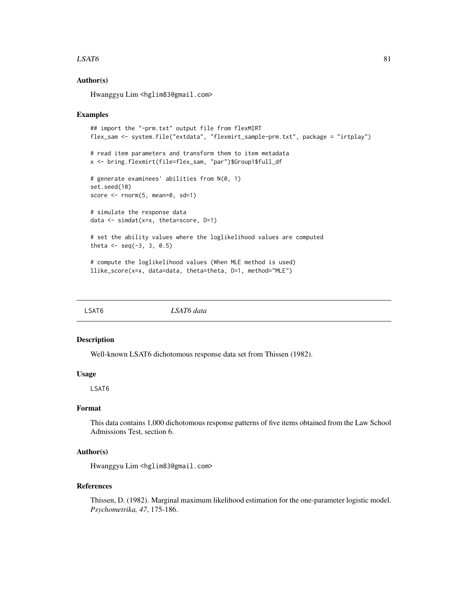### $LSAT6$  81

# Author(s)

Hwanggyu Lim <hglim83@gmail.com>

### Examples

```
## import the "-prm.txt" output file from flexMIRT
flex_sam <- system.file("extdata", "flexmirt_sample-prm.txt", package = "irtplay")
# read item parameters and transform them to item metadata
x <- bring.flexmirt(file=flex_sam, "par")$Group1$full_df
# generate examinees' abilities from N(0, 1)
set.seed(10)
score \leq rnorm(5, mean=0, sd=1)
# simulate the response data
data <- simdat(x=x, theta=score, D=1)
# set the ability values where the loglikelihood values are computed
theta <- seq(-3, 3, 0.5)
# compute the loglikelihood values (When MLE method is used)
llike_score(x=x, data=data, theta=theta, D=1, method="MLE")
```
LSAT6 *LSAT6 data*

### Description

Well-known LSAT6 dichotomous response data set from Thissen (1982).

# Usage

LSAT6

# Format

This data contains 1,000 dichotomous response patterns of five items obtained from the Law School Admissions Test, section 6.

# Author(s)

Hwanggyu Lim <hglim83@gmail.com>

#### References

Thissen, D. (1982). Marginal maximum likelihood estimation for the one-parameter logistic model. *Psychometrika, 47*, 175-186.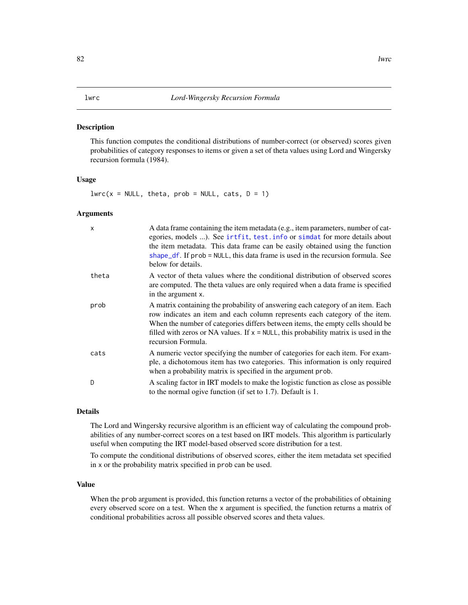#### Description

This function computes the conditional distributions of number-correct (or observed) scores given probabilities of category responses to items or given a set of theta values using Lord and Wingersky recursion formula (1984).

# Usage

 $lwrc(x = NULL, theta, prob = NULL, cats, D = 1)$ 

### Arguments

| $\times$ | A data frame containing the item metadata (e.g., item parameters, number of cat-<br>egories, models ). See irtfit, test. info or simdat for more details about<br>the item metadata. This data frame can be easily obtained using the function<br>shape_df. If prob = NULL, this data frame is used in the recursion formula. See<br>below for details.          |
|----------|------------------------------------------------------------------------------------------------------------------------------------------------------------------------------------------------------------------------------------------------------------------------------------------------------------------------------------------------------------------|
| theta    | A vector of theta values where the conditional distribution of observed scores<br>are computed. The theta values are only required when a data frame is specified<br>in the argument x.                                                                                                                                                                          |
| prob     | A matrix containing the probability of answering each category of an item. Each<br>row indicates an item and each column represents each category of the item.<br>When the number of categories differs between items, the empty cells should be<br>filled with zeros or NA values. If $x = NULL$ , this probability matrix is used in the<br>recursion Formula. |
| cats     | A numeric vector specifying the number of categories for each item. For exam-<br>ple, a dichotomous item has two categories. This information is only required<br>when a probability matrix is specified in the argument prob.                                                                                                                                   |
| D        | A scaling factor in IRT models to make the logistic function as close as possible<br>to the normal ogive function (if set to $1.7$ ). Default is $1.$                                                                                                                                                                                                            |

# Details

The Lord and Wingersky recursive algorithm is an efficient way of calculating the compound probabilities of any number-correct scores on a test based on IRT models. This algorithm is particularly useful when computing the IRT model-based observed score distribution for a test.

To compute the conditional distributions of observed scores, either the item metadata set specified in x or the probability matrix specified in prob can be used.

### Value

When the prob argument is provided, this function returns a vector of the probabilities of obtaining every observed score on a test. When the x argument is specified, the function returns a matrix of conditional probabilities across all possible observed scores and theta values.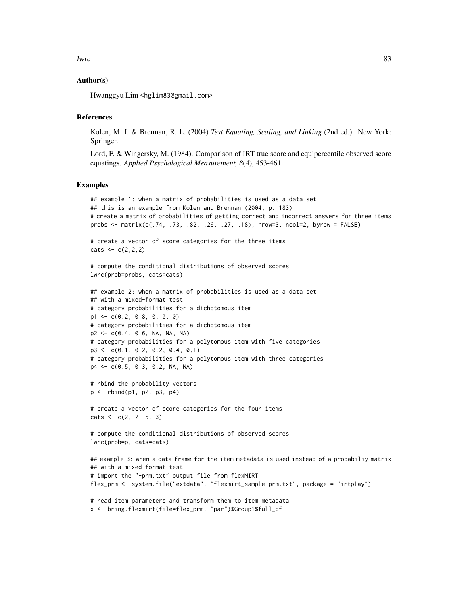```
lwrc 33
```
# Author(s)

Hwanggyu Lim <hglim83@gmail.com>

# References

Kolen, M. J. & Brennan, R. L. (2004) *Test Equating, Scaling, and Linking* (2nd ed.). New York: Springer.

Lord, F. & Wingersky, M. (1984). Comparison of IRT true score and equipercentile observed score equatings. *Applied Psychological Measurement, 8*(4), 453-461.

### Examples

```
## example 1: when a matrix of probabilities is used as a data set
## this is an example from Kolen and Brennan (2004, p. 183)
# create a matrix of probabilities of getting correct and incorrect answers for three items
probs <- matrix(c(.74, .73, .82, .26, .27, .18), nrow=3, ncol=2, byrow = FALSE)
```
# create a vector of score categories for the three items  $\text{cats} < -c(2,2,2)$ 

```
# compute the conditional distributions of observed scores
lwrc(prob=probs, cats=cats)
```

```
## example 2: when a matrix of probabilities is used as a data set
## with a mixed-format test
# category probabilities for a dichotomous item
p1 \leq -c(0.2, 0.8, 0, 0, 0)# category probabilities for a dichotomous item
p2 <- c(0.4, 0.6, NA, NA, NA)
# category probabilities for a polytomous item with five categories
p3 <- c(0.1, 0.2, 0.2, 0.4, 0.1)
# category probabilities for a polytomous item with three categories
p4 <- c(0.5, 0.3, 0.2, NA, NA)
```

```
# rbind the probability vectors
p <- rbind(p1, p2, p3, p4)
```

```
# create a vector of score categories for the four items
\text{cats} \leq c(2, 2, 5, 3)
```
# compute the conditional distributions of observed scores lwrc(prob=p, cats=cats)

```
## example 3: when a data frame for the item metadata is used instead of a probabiliy matrix
## with a mixed-format test
# import the "-prm.txt" output file from flexMIRT
flex_prm <- system.file("extdata", "flexmirt_sample-prm.txt", package = "irtplay")
```
# read item parameters and transform them to item metadata x <- bring.flexmirt(file=flex\_prm, "par")\$Group1\$full\_df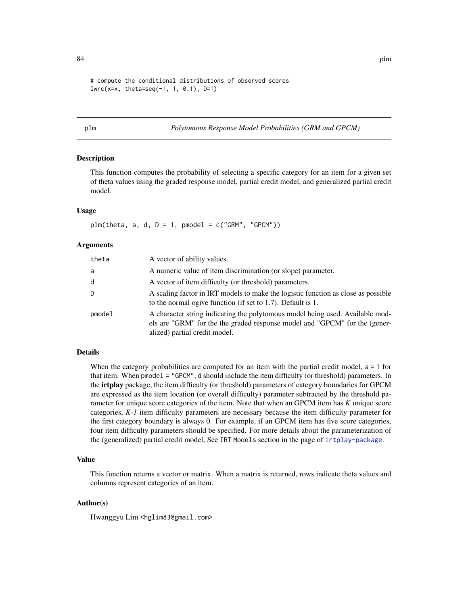```
# compute the conditional distributions of observed scores
lwrc(x=x, theta=seq(-1, 1, 0.1), D=1)
```
### plm *Polytomous Response Model Probabilities (GRM and GPCM)*

# Description

This function computes the probability of selecting a specific category for an item for a given set of theta values using the graded response model, partial credit model, and generalized partial credit model.

### Usage

 $plm(theta, a, d, D = 1, pmodel = c("GRM", "GPCM"))$ 

### Arguments

| theta  | A vector of ability values.                                                                                                                                                                  |
|--------|----------------------------------------------------------------------------------------------------------------------------------------------------------------------------------------------|
| a      | A numeric value of item discrimination (or slope) parameter.                                                                                                                                 |
| d      | A vector of item difficulty (or threshold) parameters.                                                                                                                                       |
| D      | A scaling factor in IRT models to make the logistic function as close as possible<br>to the normal ogive function (if set to 1.7). Default is 1.                                             |
| pmodel | A character string indicating the polytomous model being used. Available mod-<br>els are "GRM" for the the graded response model and "GPCM" for the (gener-<br>alized) partial credit model. |

# Details

When the category probabilities are computed for an item with the partial credit model,  $a = 1$  for that item. When pmodel = "GPCM", d should include the item difficulty (or threshold) parameters. In the irtplay package, the item difficulty (or threshold) parameters of category boundaries for GPCM are expressed as the item location (or overall difficulty) parameter subtracted by the threshold parameter for unique score categories of the item. Note that when an GPCM item has *K* unique score categories, *K-1* item difficulty parameters are necessary because the item difficulty parameter for the first category boundary is always 0. For example, if an GPCM item has five score categories, four item difficulty parameters should be specified. For more details about the parameterization of the (generalized) partial credit model, See IRT Models section in the page of [irtplay-package](#page-2-0).

## Value

This function returns a vector or matrix. When a matrix is returned, rows indicate theta values and columns represent categories of an item.

# Author(s)

Hwanggyu Lim <hglim83@gmail.com>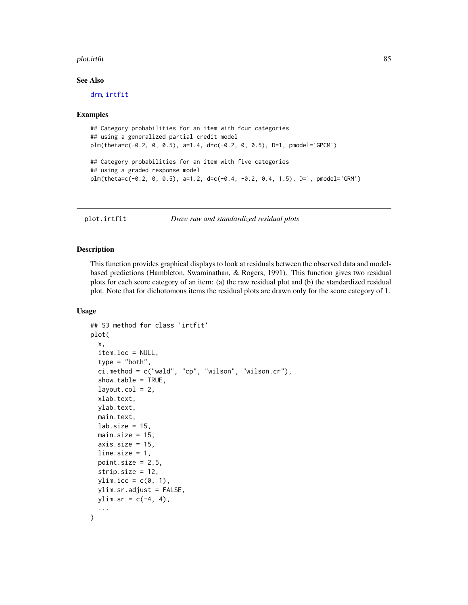### plot.irtfit 85

### See Also

[drm](#page-25-0), [irtfit](#page-70-0)

### Examples

```
## Category probabilities for an item with four categories
## using a generalized partial credit model
plm(theta=c(-0.2, 0, 0.5), a=1.4, d=c(-0.2, 0, 0.5), D=1, pmodel='GPCM')
## Category probabilities for an item with five categories
## using a graded response model
plm(theta=c(-0.2, 0, 0.5), a=1.2, d=c(-0.4, -0.2, 0.4, 1.5), D=1, pmodel='GRM')
```
<span id="page-84-0"></span>plot.irtfit *Draw raw and standardized residual plots*

### **Description**

This function provides graphical displays to look at residuals between the observed data and modelbased predictions (Hambleton, Swaminathan, & Rogers, 1991). This function gives two residual plots for each score category of an item: (a) the raw residual plot and (b) the standardized residual plot. Note that for dichotomous items the residual plots are drawn only for the score category of 1.

# Usage

```
## S3 method for class 'irtfit'
plot(
 x,
  item.loc = NULL,
  type = "both",ci.method = c("wald", "cp", "wilson", "wilson.cr"),
  show.table = TRUE,
  layout.col = 2,
  xlab.text,
 ylab.text,
 main.text,
 lab.size = 15,
 main.size = 15,
  axis.size = 15,
  line.size = 1,
 point.size = 2.5,
  strip.size = 12,
 ylim.icc = c(\emptyset, 1),
 ylim.sr.adjust = FALSE,
 ylim.sr = c(-4, 4),...
)
```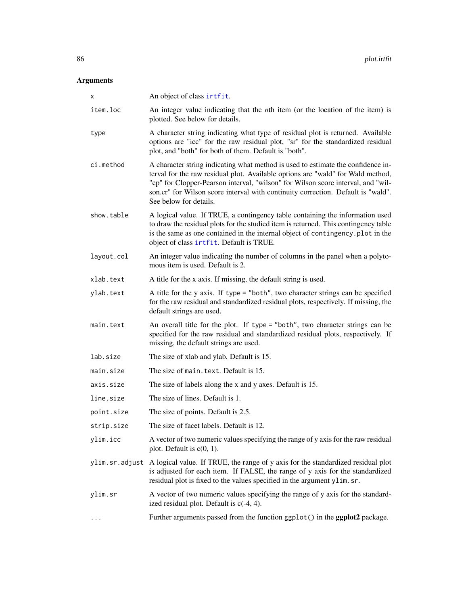# Arguments

| x          | An object of class irtfit.                                                                                                                                                                                                                                                                                                                                            |
|------------|-----------------------------------------------------------------------------------------------------------------------------------------------------------------------------------------------------------------------------------------------------------------------------------------------------------------------------------------------------------------------|
| item.loc   | An integer value indicating that the <i>n</i> th item (or the location of the item) is<br>plotted. See below for details.                                                                                                                                                                                                                                             |
| type       | A character string indicating what type of residual plot is returned. Available<br>options are "icc" for the raw residual plot, "sr" for the standardized residual<br>plot, and "both" for both of them. Default is "both".                                                                                                                                           |
| ci.method  | A character string indicating what method is used to estimate the confidence in-<br>terval for the raw residual plot. Available options are "wald" for Wald method,<br>"cp" for Clopper-Pearson interval, "wilson" for Wilson score interval, and "wil-<br>son.cr" for Wilson score interval with continuity correction. Default is "wald".<br>See below for details. |
| show.table | A logical value. If TRUE, a contingency table containing the information used<br>to draw the residual plots for the studied item is returned. This contingency table<br>is the same as one contained in the internal object of contingency. plot in the<br>object of class irtfit. Default is TRUE.                                                                   |
| layout.col | An integer value indicating the number of columns in the panel when a polyto-<br>mous item is used. Default is 2.                                                                                                                                                                                                                                                     |
| xlab.text  | A title for the x axis. If missing, the default string is used.                                                                                                                                                                                                                                                                                                       |
| ylab.text  | A title for the y axis. If type = "both", two character strings can be specified<br>for the raw residual and standardized residual plots, respectively. If missing, the<br>default strings are used.                                                                                                                                                                  |
| main.text  | An overall title for the plot. If type = "both", two character strings can be<br>specified for the raw residual and standardized residual plots, respectively. If<br>missing, the default strings are used.                                                                                                                                                           |
| lab.size   | The size of xlab and ylab. Default is 15.                                                                                                                                                                                                                                                                                                                             |
| main.size  | The size of main. text. Default is 15.                                                                                                                                                                                                                                                                                                                                |
| axis.size  | The size of labels along the x and y axes. Default is 15.                                                                                                                                                                                                                                                                                                             |
| line.size  | The size of lines. Default is 1.                                                                                                                                                                                                                                                                                                                                      |
| point.size | The size of points. Default is 2.5.                                                                                                                                                                                                                                                                                                                                   |
| strip.size | The size of facet labels. Default is 12.                                                                                                                                                                                                                                                                                                                              |
| ylim.icc   | A vector of two numeric values specifying the range of y axis for the raw residual<br>plot. Default is $c(0, 1)$ .                                                                                                                                                                                                                                                    |
|            | ylim.sr.adjust A logical value. If TRUE, the range of y axis for the standardized residual plot<br>is adjusted for each item. If FALSE, the range of y axis for the standardized<br>residual plot is fixed to the values specified in the argument ylim.sr.                                                                                                           |
| ylim.sr    | A vector of two numeric values specifying the range of y axis for the standard-<br>ized residual plot. Default is $c(-4, 4)$ .                                                                                                                                                                                                                                        |
|            | Further arguments passed from the function ggplot() in the ggplot2 package.                                                                                                                                                                                                                                                                                           |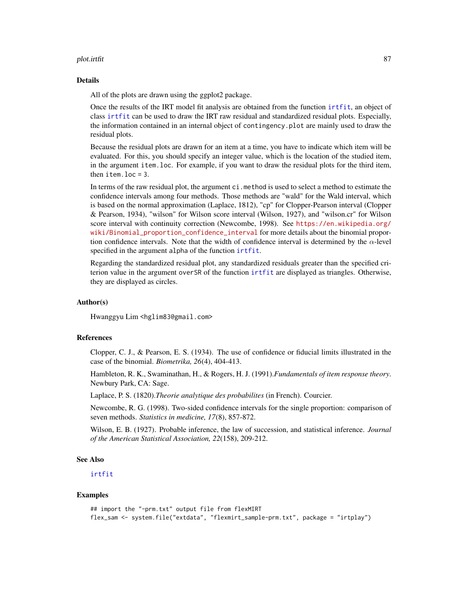### plot.irtfit 87 and 87 and 87 and 87 and 87 and 87 and 87 and 87 and 87 and 87 and 87 and 87 and 87 and 87 and 8

### Details

All of the plots are drawn using the ggplot2 package.

Once the results of the IRT model fit analysis are obtained from the function [irtfit](#page-70-0), an object of class [irtfit](#page-70-0) can be used to draw the IRT raw residual and standardized residual plots. Especially, the information contained in an internal object of contingency.plot are mainly used to draw the residual plots.

Because the residual plots are drawn for an item at a time, you have to indicate which item will be evaluated. For this, you should specify an integer value, which is the location of the studied item, in the argument item.loc. For example, if you want to draw the residual plots for the third item, then item.loc = 3.

In terms of the raw residual plot, the argument ci.method is used to select a method to estimate the confidence intervals among four methods. Those methods are "wald" for the Wald interval, which is based on the normal approximation (Laplace, 1812), "cp" for Clopper-Pearson interval (Clopper & Pearson, 1934), "wilson" for Wilson score interval (Wilson, 1927), and "wilson.cr" for Wilson score interval with continuity correction (Newcombe, 1998). See [https://en.wikipedia.org/](https://en.wikipedia.org/wiki/Binomial_proportion_confidence_interval) [wiki/Binomial\\_proportion\\_confidence\\_interval](https://en.wikipedia.org/wiki/Binomial_proportion_confidence_interval) for more details about the binomial proportion confidence intervals. Note that the width of confidence interval is determined by the  $\alpha$ -level specified in the argument alpha of the function [irtfit](#page-70-0).

Regarding the standardized residual plot, any standardized residuals greater than the specified criterion value in the argument overSR of the function [irtfit](#page-70-0) are displayed as triangles. Otherwise, they are displayed as circles.

# Author(s)

Hwanggyu Lim <hglim83@gmail.com>

### References

Clopper, C. J., & Pearson, E. S. (1934). The use of confidence or fiducial limits illustrated in the case of the binomial. *Biometrika, 26*(4), 404-413.

Hambleton, R. K., Swaminathan, H., & Rogers, H. J. (1991).*Fundamentals of item response theory*. Newbury Park, CA: Sage.

Laplace, P. S. (1820).*Theorie analytique des probabilites* (in French). Courcier.

Newcombe, R. G. (1998). Two-sided confidence intervals for the single proportion: comparison of seven methods. *Statistics in medicine, 17*(8), 857-872.

Wilson, E. B. (1927). Probable inference, the law of succession, and statistical inference. *Journal of the American Statistical Association, 22*(158), 209-212.

### See Also

[irtfit](#page-70-0)

### Examples

```
## import the "-prm.txt" output file from flexMIRT
flex_sam <- system.file("extdata", "flexmirt_sample-prm.txt", package = "irtplay")
```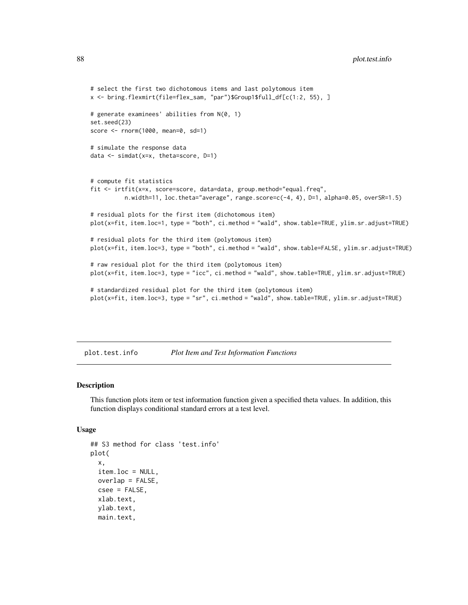```
# select the first two dichotomous items and last polytomous item
x <- bring.flexmirt(file=flex_sam, "par")$Group1$full_df[c(1:2, 55), ]
# generate examinees' abilities from N(0, 1)
set.seed(23)
score <- rnorm(1000, mean=0, sd=1)
# simulate the response data
data <- simdat(x=x, theta=score, D=1)
# compute fit statistics
fit <- irtfit(x=x, score=score, data=data, group.method="equal.freq",
          n.width=11, loc.theta="average", range.score=c(-4, 4), D=1, alpha=0.05, overSR=1.5)
# residual plots for the first item (dichotomous item)
plot(x=fit, item.loc=1, type = "both", ci.method = "wald", show.table=TRUE, ylim.sr.adjust=TRUE)
# residual plots for the third item (polytomous item)
plot(x=fit, item.loc=3, type = "both", ci.method = "wald", show.table=FALSE, ylim.sr.adjust=TRUE)
# raw residual plot for the third item (polytomous item)
plot(x=fit, item.loc=3, type = "icc", ci.method = "wald", show.table=TRUE, ylim.sr.adjust=TRUE)
# standardized residual plot for the third item (polytomous item)
plot(x=fit, item.loc=3, type = "sr", ci.method = "wald", show.table=TRUE, ylim.sr.adjust=TRUE)
```
plot.test.info *Plot Item and Test Information Functions*

### Description

This function plots item or test information function given a specified theta values. In addition, this function displays conditional standard errors at a test level.

### Usage

```
## S3 method for class 'test.info'
plot(
  x,
  item.loc = NULL,
  overlap = FALSE,
  csee = FALSE,
  xlab.text,
  ylab.text,
  main.text,
```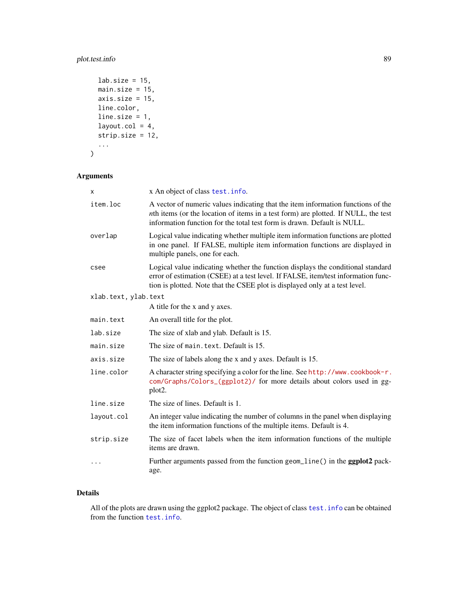# plot.test.info 89

```
lab.size = 15,
 main.size = 15,
 axis.size = 15,
 line.color,
 line.size = 1,
 layout.col = 4,
 strip.size = 12,
  ...
)
```
# Arguments

| X                    | x An object of class test. info.                                                                                                                                                                                                                    |
|----------------------|-----------------------------------------------------------------------------------------------------------------------------------------------------------------------------------------------------------------------------------------------------|
| item.loc             | A vector of numeric values indicating that the item information functions of the<br>nth items (or the location of items in a test form) are plotted. If NULL, the test<br>information function for the total test form is drawn. Default is NULL.   |
| overlap              | Logical value indicating whether multiple item information functions are plotted<br>in one panel. If FALSE, multiple item information functions are displayed in<br>multiple panels, one for each.                                                  |
| csee                 | Logical value indicating whether the function displays the conditional standard<br>error of estimation (CSEE) at a test level. If FALSE, item/test information func-<br>tion is plotted. Note that the CSEE plot is displayed only at a test level. |
| xlab.text, ylab.text |                                                                                                                                                                                                                                                     |
|                      | A title for the x and y axes.                                                                                                                                                                                                                       |
| main.text            | An overall title for the plot.                                                                                                                                                                                                                      |
| lab.size             | The size of xlab and ylab. Default is 15.                                                                                                                                                                                                           |
| main.size            | The size of main. text. Default is 15.                                                                                                                                                                                                              |
| axis.size            | The size of labels along the x and y axes. Default is 15.                                                                                                                                                                                           |
| line.color           | A character string specifying a color for the line. See http://www.cookbook-r.<br>com/Graphs/Colors_(ggplot2)/ for more details about colors used in gg-<br>plot <sub>2</sub> .                                                                     |
| line.size            | The size of lines. Default is 1.                                                                                                                                                                                                                    |
| layout.col           | An integer value indicating the number of columns in the panel when displaying<br>the item information functions of the multiple items. Default is 4.                                                                                               |
| strip.size           | The size of facet labels when the item information functions of the multiple<br>items are drawn.                                                                                                                                                    |
| $\ddots$             | Further arguments passed from the function geom_line() in the <b>ggplot2</b> pack-<br>age.                                                                                                                                                          |

# Details

All of the plots are drawn using the ggplot2 package. The object of class test. info can be obtained from the function [test.info](#page-115-0).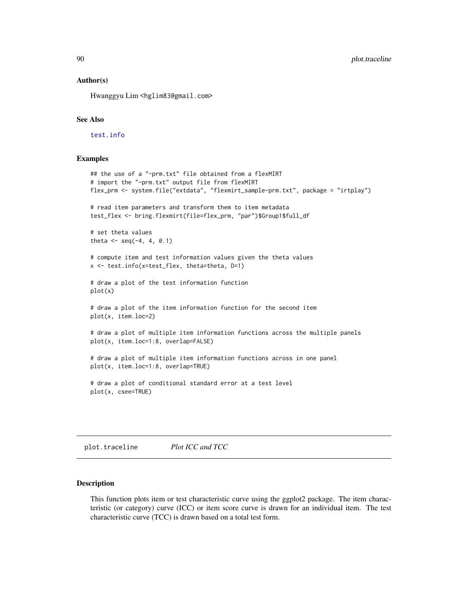### Author(s)

Hwanggyu Lim <hglim83@gmail.com>

# See Also

[test.info](#page-115-0)

### Examples

```
## the use of a "-prm.txt" file obtained from a flexMIRT
# import the "-prm.txt" output file from flexMIRT
flex_prm <- system.file("extdata", "flexmirt_sample-prm.txt", package = "irtplay")
# read item parameters and transform them to item metadata
test_flex <- bring.flexmirt(file=flex_prm, "par")$Group1$full_df
# set theta values
theta \leq seq(-4, 4, 0.1)
# compute item and test information values given the theta values
x <- test.info(x=test_flex, theta=theta, D=1)
# draw a plot of the test information function
plot(x)
# draw a plot of the item information function for the second item
plot(x, item.loc=2)
# draw a plot of multiple item information functions across the multiple panels
plot(x, item.loc=1:8, overlap=FALSE)
# draw a plot of multiple item information functions across in one panel
plot(x, item.loc=1:8, overlap=TRUE)
# draw a plot of conditional standard error at a test level
plot(x, csee=TRUE)
```
plot.traceline *Plot ICC and TCC*

### **Description**

This function plots item or test characteristic curve using the ggplot2 package. The item characteristic (or category) curve (ICC) or item score curve is drawn for an individual item. The test characteristic curve (TCC) is drawn based on a total test form.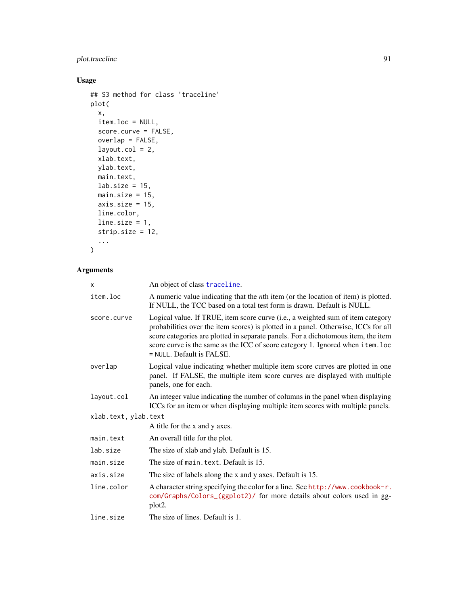# plot.traceline 91

# Usage

```
## S3 method for class 'traceline'
plot(
  x,
  item.loc = NULL,
  score.curve = FALSE,
  overlap = FALSE,
  layout.col = 2,
  xlab.text,
  ylab.text,
  main.text,
  lab.size = 15,
  main.size = 15,
  axis.size = 15,
  line.color,
  line.size = 1,
  strip.size = 12,
  ...
\mathcal{L}
```

```
Arguments
```

| X                    | An object of class traceline.                                                                                                                                                                                                                                                                                                                                             |
|----------------------|---------------------------------------------------------------------------------------------------------------------------------------------------------------------------------------------------------------------------------------------------------------------------------------------------------------------------------------------------------------------------|
| item.loc             | A numeric value indicating that the <i>n</i> th item (or the location of item) is plotted.<br>If NULL, the TCC based on a total test form is drawn. Default is NULL.                                                                                                                                                                                                      |
| score.curve          | Logical value. If TRUE, item score curve (i.e., a weighted sum of item category<br>probabilities over the item scores) is plotted in a panel. Otherwise, ICCs for all<br>score categories are plotted in separate panels. For a dichotomous item, the item<br>score curve is the same as the ICC of score category 1. Ignored when item. loc<br>= NULL. Default is FALSE. |
| overlap              | Logical value indicating whether multiple item score curves are plotted in one<br>panel. If FALSE, the multiple item score curves are displayed with multiple<br>panels, one for each.                                                                                                                                                                                    |
| layout.col           | An integer value indicating the number of columns in the panel when displaying<br>ICCs for an item or when displaying multiple item scores with multiple panels.                                                                                                                                                                                                          |
| xlab.text, ylab.text |                                                                                                                                                                                                                                                                                                                                                                           |
|                      | A title for the x and y axes.                                                                                                                                                                                                                                                                                                                                             |
| main.text            | An overall title for the plot.                                                                                                                                                                                                                                                                                                                                            |
| lab.size             | The size of xlab and ylab. Default is 15.                                                                                                                                                                                                                                                                                                                                 |
| main.size            | The size of main. text. Default is 15.                                                                                                                                                                                                                                                                                                                                    |
| axis.size            | The size of labels along the x and y axes. Default is 15.                                                                                                                                                                                                                                                                                                                 |
| line.color           | A character string specifying the color for a line. See http://www.cookbook-r.<br>com/Graphs/Colors_(ggplot2)/ for more details about colors used in gg-<br>plot <sub>2</sub> .                                                                                                                                                                                           |
| line.size            | The size of lines. Default is 1.                                                                                                                                                                                                                                                                                                                                          |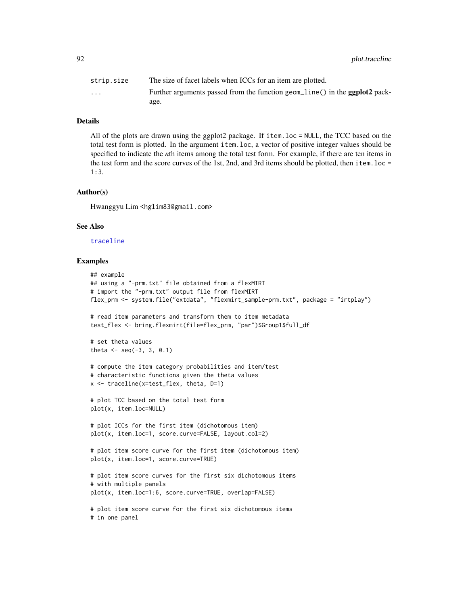92 plot.traceline

| strip.size              | The size of facet labels when ICCs for an item are plotted.                        |
|-------------------------|------------------------------------------------------------------------------------|
| $\cdot$ $\cdot$ $\cdot$ | Further arguments passed from the function geom_line() in the <b>ggplot2</b> pack- |
|                         | age.                                                                               |

# Details

All of the plots are drawn using the ggplot2 package. If item.loc = NULL, the TCC based on the total test form is plotted. In the argument item.loc, a vector of positive integer values should be specified to indicate the *n*th items among the total test form. For example, if there are ten items in the test form and the score curves of the 1st, 2nd, and 3rd items should be plotted, then item.loc = 1:3.

### Author(s)

Hwanggyu Lim <hglim83@gmail.com>

### See Also

### [traceline](#page-118-0)

### Examples

```
## example
## using a "-prm.txt" file obtained from a flexMIRT
# import the "-prm.txt" output file from flexMIRT
flex_prm <- system.file("extdata", "flexmirt_sample-prm.txt", package = "irtplay")
# read item parameters and transform them to item metadata
test_flex <- bring.flexmirt(file=flex_prm, "par")$Group1$full_df
# set theta values
theta \leq seq(-3, 3, 0.1)
# compute the item category probabilities and item/test
# characteristic functions given the theta values
x <- traceline(x=test_flex, theta, D=1)
# plot TCC based on the total test form
plot(x, item.loc=NULL)
# plot ICCs for the first item (dichotomous item)
plot(x, item.loc=1, score.curve=FALSE, layout.col=2)
# plot item score curve for the first item (dichotomous item)
plot(x, item.loc=1, score.curve=TRUE)
# plot item score curves for the first six dichotomous items
# with multiple panels
plot(x, item.loc=1:6, score.curve=TRUE, overlap=FALSE)
# plot item score curve for the first six dichotomous items
# in one panel
```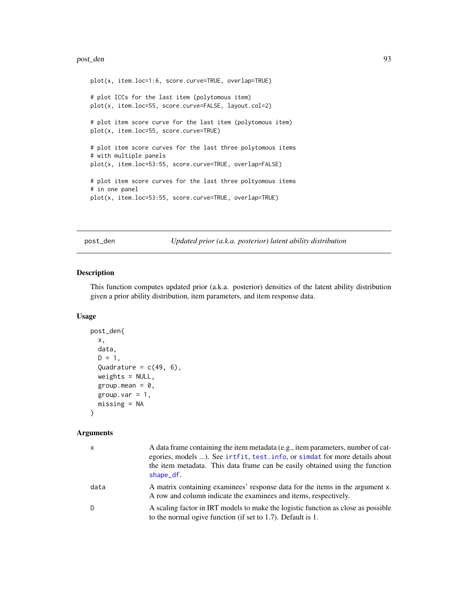### post\_den 93

```
plot(x, item.loc=1:6, score.curve=TRUE, overlap=TRUE)
# plot ICCs for the last item (polytomous item)
plot(x, item.loc=55, score.curve=FALSE, layout.col=2)
# plot item score curve for the last item (polytomous item)
plot(x, item.loc=55, score.curve=TRUE)
# plot item score curves for the last three polytomous items
# with multiple panels
plot(x, item.loc=53:55, score.curve=TRUE, overlap=FALSE)
# plot item score curves for the last three poltyomous items
# in one panel
plot(x, item.loc=53:55, score.curve=TRUE, overlap=TRUE)
```
post\_den *Updated prior (a.k.a. posterior) latent ability distribution*

# Description

This function computes updated prior (a.k.a. posterior) densities of the latent ability distribution given a prior ability distribution, item parameters, and item response data.

### Usage

```
post_den(
  x,
  data,
  D = 1,
  Quadrature = c(49, 6),
 weights = NULL,
  group.mean = 0,
  group.var = 1,
  missing = NA
```
)

### Arguments

| $\mathsf{x}$ | A data frame containing the item metadata (e.g., item parameters, number of cat-<br>egories, models ). See irtfit, test. info, or simidat for more details about<br>the item metadata. This data frame can be easily obtained using the function<br>shape_df. |
|--------------|---------------------------------------------------------------------------------------------------------------------------------------------------------------------------------------------------------------------------------------------------------------|
| data         | A matrix containing examinees' response data for the items in the argument x.<br>A row and column indicate the examinees and items, respectively.                                                                                                             |
| D            | A scaling factor in IRT models to make the logistic function as close as possible<br>to the normal ogive function (if set to 1.7). Default is 1.                                                                                                              |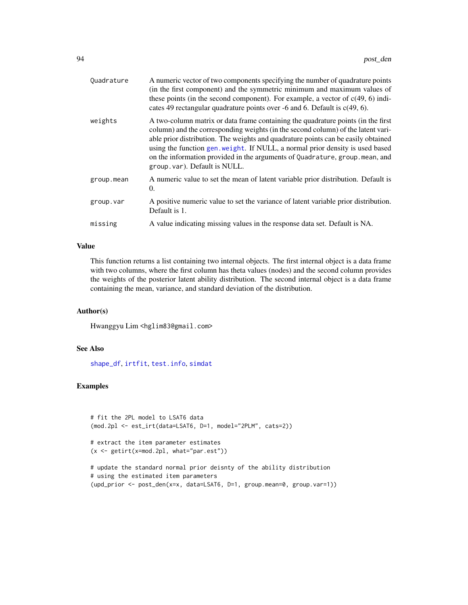| Quadrature | A numeric vector of two components specifying the number of quadrature points<br>(in the first component) and the symmetric minimum and maximum values of<br>these points (in the second component). For example, a vector of $c(49, 6)$ indi-<br>cates 49 rectangular quadrature points over $-6$ and 6. Default is $c(49, 6)$ .                                                                                                                          |
|------------|------------------------------------------------------------------------------------------------------------------------------------------------------------------------------------------------------------------------------------------------------------------------------------------------------------------------------------------------------------------------------------------------------------------------------------------------------------|
| weights    | A two-column matrix or data frame containing the quadrature points (in the first<br>column) and the corresponding weights (in the second column) of the latent vari-<br>able prior distribution. The weights and quadrature points can be easily obtained<br>using the function gen. weight. If NULL, a normal prior density is used based<br>on the information provided in the arguments of Quadrature, group. mean, and<br>group.var). Default is NULL. |
| group.mean | A numeric value to set the mean of latent variable prior distribution. Default is<br>0.                                                                                                                                                                                                                                                                                                                                                                    |
| group.var  | A positive numeric value to set the variance of latent variable prior distribution.<br>Default is 1.                                                                                                                                                                                                                                                                                                                                                       |
| missing    | A value indicating missing values in the response data set. Default is NA.                                                                                                                                                                                                                                                                                                                                                                                 |

### Value

This function returns a list containing two internal objects. The first internal object is a data frame with two columns, where the first column has theta values (nodes) and the second column provides the weights of the posterior latent ability distribution. The second internal object is a data frame containing the mean, variance, and standard deviation of the distribution.

# Author(s)

Hwanggyu Lim <hglim83@gmail.com>

# See Also

[shape\\_df](#page-103-0), [irtfit](#page-70-0), [test.info](#page-115-0), [simdat](#page-107-0)

# Examples

```
# fit the 2PL model to LSAT6 data
(mod.2pl <- est_irt(data=LSAT6, D=1, model="2PLM", cats=2))
# extract the item parameter estimates
(x <- getirt(x=mod.2pl, what="par.est"))
# update the standard normal prior deisnty of the ability distribution
# using the estimated item parameters
(upd_prior <- post_den(x=x, data=LSAT6, D=1, group.mean=0, group.var=1))
```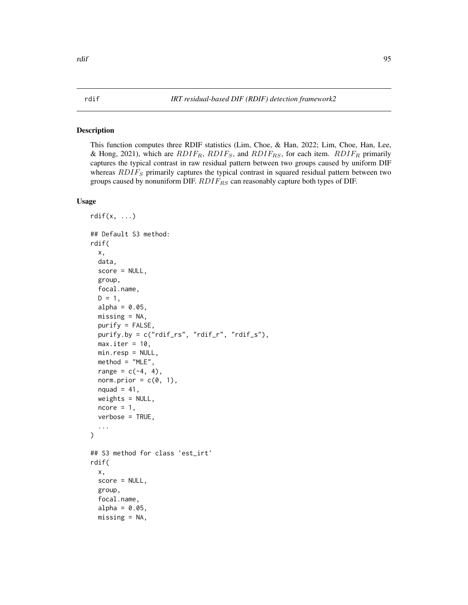### Description

This function computes three RDIF statistics (Lim, Choe, & Han, 2022; Lim, Choe, Han, Lee, & Hong, 2021), which are  $RDIF_R$ ,  $RDIF_S$ , and  $RDIF_{RS}$ , for each item.  $RDIF_R$  primarily captures the typical contrast in raw residual pattern between two groups caused by uniform DIF whereas  $RDIF<sub>S</sub>$  primarily captures the typical contrast in squared residual pattern between two groups caused by nonuniform DIF.  $RDIF_{RS}$  can reasonably capture both types of DIF.

# Usage

```
rdiff(x, \ldots)## Default S3 method:
rdif(
  x,
  data,
  score = NULL,
  group,
  focal.name,
 D = 1,
  alpha = 0.05,
 missing = NA,
 purify = FALSE,
 purify.by = c("rdif_rs", "rdif_r", "rdif_s"),
 max.iter = 10,
 min.resp = NULL,
 method = "MLE",range = c(-4, 4),
  norm.prior = c(\emptyset, 1),
  nquad = 41,
 weights = NULL,ncore = 1,
  verbose = TRUE,
  ...
)
## S3 method for class 'est_irt'
rdif(
  x,
  score = NULL,
 group,
  focal.name,
  alpha = 0.05,
 missing = NA,
```
# <span id="page-94-0"></span>rdif *IRT residual-based DIF (RDIF) detection framework2*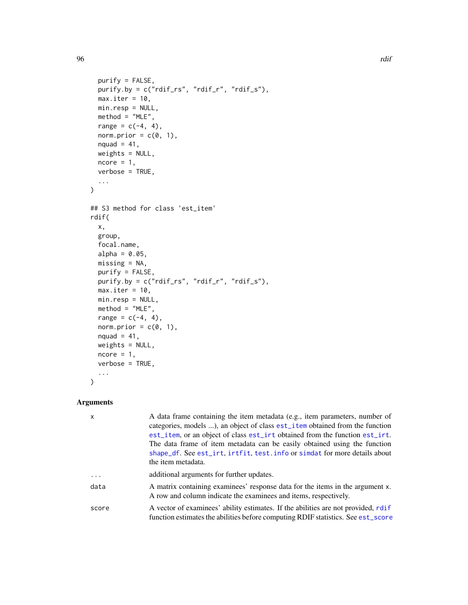```
purity = FALSE,purify.by = c("rdif_rs", "rdif_r", "rdif_s"),
 max.iter = 10,
 min.resp = NULL,
 method = "MLE",range = c(-4, 4),
 norm.prior = c(\emptyset, 1),
 nquad = 41,
 weights = NULL,
 ncore = 1,
 verbose = TRUE,
  ...
\mathcal{L}## S3 method for class 'est_item'
rdif(
 x,
 group,
 focal.name,
 alpha = 0.05,
 missing = NA,
 purity = FALSE,purify.by = c("rdif_rs", "rdif_r", "rdif_s"),
 max.iter = 10,
 min.resp = NULL,
 method = "MLE",range = c(-4, 4),
 norm.prior = c(\emptyset, 1),
 nquad = 41,
 weights = NULL,
 ncore = 1,
 verbose = TRUE,
  ...
\mathcal{L}
```
# Arguments

| $\boldsymbol{\mathsf{x}}$ | A data frame containing the item metadata (e.g., item parameters, number of<br>categories, models ), an object of class est_item obtained from the function<br>est_item, or an object of class est_irt obtained from the function est_irt.<br>The data frame of item metadata can be easily obtained using the function<br>shape_df. See est_irt, irtfit, test. info or simdat for more details about<br>the item metadata. |
|---------------------------|-----------------------------------------------------------------------------------------------------------------------------------------------------------------------------------------------------------------------------------------------------------------------------------------------------------------------------------------------------------------------------------------------------------------------------|
| .                         | additional arguments for further updates.                                                                                                                                                                                                                                                                                                                                                                                   |
| data                      | A matrix containing examinees' response data for the items in the argument x.<br>A row and column indicate the examinees and items, respectively.                                                                                                                                                                                                                                                                           |
| score                     | A vector of examinees' ability estimates. If the abilities are not provided, rdif<br>function estimates the abilities before computing RDIF statistics. See est_score                                                                                                                                                                                                                                                       |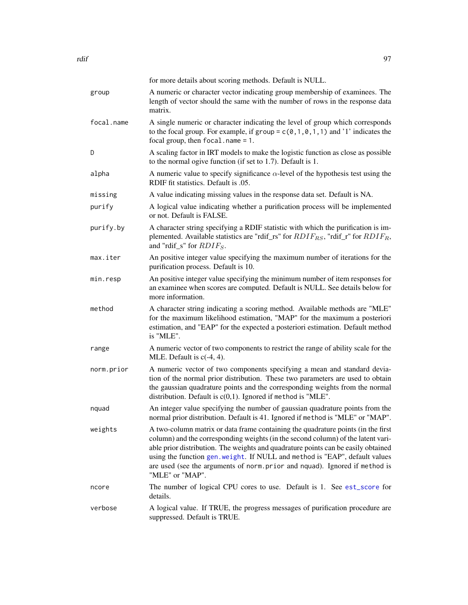|            | for more details about scoring methods. Default is NULL.                                                                                                                                                                                                                                                                                                                                                                                  |
|------------|-------------------------------------------------------------------------------------------------------------------------------------------------------------------------------------------------------------------------------------------------------------------------------------------------------------------------------------------------------------------------------------------------------------------------------------------|
| group      | A numeric or character vector indicating group membership of examinees. The<br>length of vector should the same with the number of rows in the response data<br>matrix.                                                                                                                                                                                                                                                                   |
| focal.name | A single numeric or character indicating the level of group which corresponds<br>to the focal group. For example, if group = $c(0, 1, 0, 1, 1)$ and '1' indicates the<br>focal group, then $focal.name = 1$ .                                                                                                                                                                                                                             |
| D          | A scaling factor in IRT models to make the logistic function as close as possible<br>to the normal ogive function (if set to 1.7). Default is 1.                                                                                                                                                                                                                                                                                          |
| alpha      | A numeric value to specify significance $\alpha$ -level of the hypothesis test using the<br>RDIF fit statistics. Default is .05.                                                                                                                                                                                                                                                                                                          |
| missing    | A value indicating missing values in the response data set. Default is NA.                                                                                                                                                                                                                                                                                                                                                                |
| purify     | A logical value indicating whether a purification process will be implemented<br>or not. Default is FALSE.                                                                                                                                                                                                                                                                                                                                |
| purify.by  | A character string specifying a RDIF statistic with which the purification is im-<br>plemented. Available statistics are "rdif_rs" for $RDIF_{RS}$ , "rdif_r" for $RDIF_R$ ,<br>and "rdif_s" for $RDIF_S$ .                                                                                                                                                                                                                               |
| max.iter   | An positive integer value specifying the maximum number of iterations for the<br>purification process. Default is 10.                                                                                                                                                                                                                                                                                                                     |
| min.resp   | An positive integer value specifying the minimum number of item responses for<br>an examinee when scores are computed. Default is NULL. See details below for<br>more information.                                                                                                                                                                                                                                                        |
| method     | A character string indicating a scoring method. Available methods are "MLE"<br>for the maximum likelihood estimation, "MAP" for the maximum a posteriori<br>estimation, and "EAP" for the expected a posteriori estimation. Default method<br>is "MLE".                                                                                                                                                                                   |
| range      | A numeric vector of two components to restrict the range of ability scale for the<br>MLE. Default is $c(-4, 4)$ .                                                                                                                                                                                                                                                                                                                         |
| norm.prior | A numeric vector of two components specifying a mean and standard devia-<br>tion of the normal prior distribution. These two parameters are used to obtain<br>the gaussian quadrature points and the corresponding weights from the normal<br>distribution. Default is $c(0,1)$ . Ignored if method is "MLE".                                                                                                                             |
| nquad      | An integer value specifying the number of gaussian quadrature points from the<br>normal prior distribution. Default is 41. Ignored if method is "MLE" or "MAP".                                                                                                                                                                                                                                                                           |
| weights    | A two-column matrix or data frame containing the quadrature points (in the first<br>column) and the corresponding weights (in the second column) of the latent vari-<br>able prior distribution. The weights and quadrature points can be easily obtained<br>using the function gen. weight. If NULL and method is "EAP", default values<br>are used (see the arguments of norm.prior and nquad). Ignored if method is<br>"MLE" or "MAP". |
| ncore      | The number of logical CPU cores to use. Default is 1. See est_score for<br>details.                                                                                                                                                                                                                                                                                                                                                       |
| verbose    | A logical value. If TRUE, the progress messages of purification procedure are<br>suppressed. Default is TRUE.                                                                                                                                                                                                                                                                                                                             |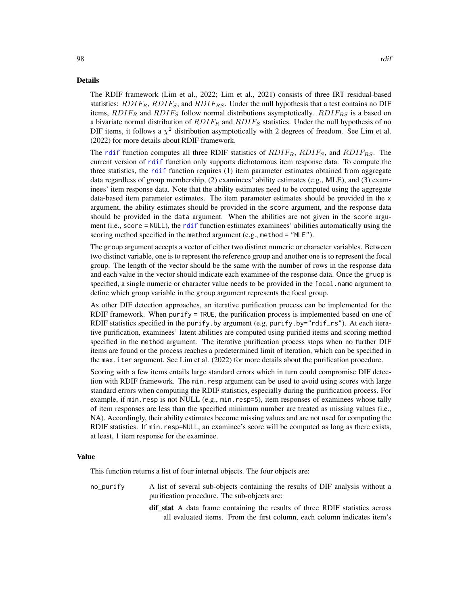### Details

98 rdif

The RDIF framework (Lim et al., 2022; Lim et al., 2021) consists of three IRT residual-based statistics:  $RDIF_R$ ,  $RDIF_S$ , and  $RDIF_{RS}$ . Under the null hypothesis that a test contains no DIF items,  $RDIF_R$  and  $RDIF_S$  follow normal distributions asymptotically.  $RDIF_{RS}$  is a based on a bivariate normal distribution of  $RDIF_R$  and  $RDIF_S$  statistics. Under the null hypothesis of no DIF items, it follows a  $\chi^2$  distribution asymptotically with 2 degrees of freedom. See Lim et al. (2022) for more details about RDIF framework.

The [rdif](#page-94-0) function computes all three RDIF statistics of  $RDIF_R$ ,  $RDIF_S$ , and  $RDIF_{RS}$ . The current version of [rdif](#page-94-0) function only supports dichotomous item response data. To compute the three statistics, the [rdif](#page-94-0) function requires (1) item parameter estimates obtained from aggregate data regardless of group membership, (2) examinees' ability estimates (e.g., MLE), and (3) examinees' item response data. Note that the ability estimates need to be computed using the aggregate data-based item parameter estimates. The item parameter estimates should be provided in the x argument, the ability estimates should be provided in the score argument, and the response data should be provided in the data argument. When the abilities are not given in the score argument (i.e., score = NULL), the [rdif](#page-94-0) function estimates examinees' abilities automatically using the scoring method specified in the method argument (e.g., method = "MLE").

The group argument accepts a vector of either two distinct numeric or character variables. Between two distinct variable, one is to represent the reference group and another one is to represent the focal group. The length of the vector should be the same with the number of rows in the response data and each value in the vector should indicate each examinee of the response data. Once the gruop is specified, a single numeric or character value needs to be provided in the focal. name argument to define which group variable in the group argument represents the focal group.

As other DIF detection approaches, an iterative purification process can be implemented for the RDIF framework. When purify = TRUE, the purification process is implemented based on one of RDIF statistics specified in the purify.by argument (e.g, purify.by="rdif\_rs"). At each iterative purification, examinees' latent abilities are computed using purified items and scoring method specified in the method argument. The iterative purification process stops when no further DIF items are found or the process reaches a predetermined limit of iteration, which can be specified in the max.iter argument. See Lim et al. (2022) for more details about the purification procedure.

Scoring with a few items entails large standard errors which in turn could compromise DIF detection with RDIF framework. The min.resp argument can be used to avoid using scores with large standard errors when computing the RDIF statistics, especially during the purification process. For example, if min.resp is not NULL (e.g., min.resp=5), item responses of examinees whose tally of item responses are less than the specified minimum number are treated as missing values (i.e., NA). Accordingly, their ability estimates become missing values and are not used for computing the RDIF statistics. If min.resp=NULL, an examinee's score will be computed as long as there exists, at least, 1 item response for the examinee.

### Value

This function returns a list of four internal objects. The four objects are:

- no\_purify A list of several sub-objects containing the results of DIF analysis without a purification procedure. The sub-objects are:
	- dif stat A data frame containing the results of three RDIF statistics across all evaluated items. From the first column, each column indicates item's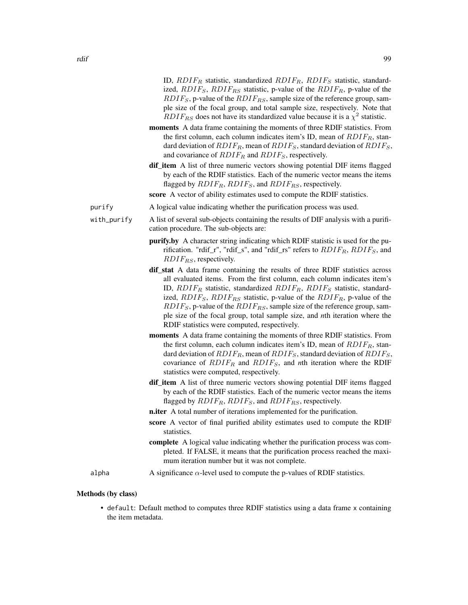|             | ID, $RDIF_R$ statistic, standardized $RDIF_R$ , $RDIF_S$ statistic, standard-<br>ized, $RDIF_S$ , $RDIF_{RS}$ statistic, p-value of the $RDIF_R$ , p-value of the<br>$RDIFS$ , p-value of the $RDIFRS$ , sample size of the reference group, sam-<br>ple size of the focal group, and total sample size, respectively. Note that<br>$RDIF_{RS}$ does not have its standardized value because it is a $\chi^2$ statistic.                                                                                                                             |
|-------------|------------------------------------------------------------------------------------------------------------------------------------------------------------------------------------------------------------------------------------------------------------------------------------------------------------------------------------------------------------------------------------------------------------------------------------------------------------------------------------------------------------------------------------------------------|
|             | moments A data frame containing the moments of three RDIF statistics. From<br>the first column, each column indicates item's ID, mean of $RDIF_R$ , stan-<br>dard deviation of $RDIF_R$ , mean of $RDIF_S$ , standard deviation of $RDIF_S$ ,<br>and covariance of $RDIF_R$ and $RDIF_S$ , respectively.                                                                                                                                                                                                                                             |
|             | <b>dif_item</b> A list of three numeric vectors showing potential DIF items flagged<br>by each of the RDIF statistics. Each of the numeric vector means the items<br>flagged by $RDIF_R$ , $RDIF_S$ , and $RDIF_{RS}$ , respectively.                                                                                                                                                                                                                                                                                                                |
|             | score A vector of ability estimates used to compute the RDIF statistics.                                                                                                                                                                                                                                                                                                                                                                                                                                                                             |
| purify      | A logical value indicating whether the purification process was used.                                                                                                                                                                                                                                                                                                                                                                                                                                                                                |
| with_purify | A list of several sub-objects containing the results of DIF analysis with a purifi-<br>cation procedure. The sub-objects are:                                                                                                                                                                                                                                                                                                                                                                                                                        |
|             | <b>purify.by</b> A character string indicating which RDIF statistic is used for the pu-<br>rification. "rdif_r", "rdif_s", and "rdif_rs" refers to $RDIF_R$ , $RDIF_S$ , and<br>$RDIF_{RS}$ , respectively.                                                                                                                                                                                                                                                                                                                                          |
|             | dif_stat A data frame containing the results of three RDIF statistics across<br>all evaluated items. From the first column, each column indicates item's<br>ID, $RDIF_R$ statistic, standardized $RDIF_R$ , $RDIF_S$ statistic, standard-<br>ized, $RDIF_S$ , $RDIF_{RS}$ statistic, p-value of the $RDIF_R$ , p-value of the<br>$RDIFS$ , p-value of the $RDIFRS$ , sample size of the reference group, sam-<br>ple size of the focal group, total sample size, and <i>n</i> th iteration where the<br>RDIF statistics were computed, respectively. |
|             | moments A data frame containing the moments of three RDIF statistics. From<br>the first column, each column indicates item's ID, mean of $RDIF_R$ , stan-<br>dard deviation of $RDIF_R$ , mean of $RDIF_S$ , standard deviation of $RDIF_S$ ,<br>covariance of $RDIF_R$ and $RDIF_S$ , and nth iteration where the RDIF<br>statistics were computed, respectively.                                                                                                                                                                                   |
|             | <b>dif_item</b> A list of three numeric vectors showing potential DIF items flagged<br>by each of the RDIF statistics. Each of the numeric vector means the items<br>flagged by $RDIF_R$ , $RDIF_S$ , and $RDIF_{RS}$ , respectively.                                                                                                                                                                                                                                                                                                                |
|             | <b>n.iter</b> A total number of iterations implemented for the purification.                                                                                                                                                                                                                                                                                                                                                                                                                                                                         |
|             | score A vector of final purified ability estimates used to compute the RDIF<br>statistics.                                                                                                                                                                                                                                                                                                                                                                                                                                                           |
|             | complete A logical value indicating whether the purification process was com-<br>pleted. If FALSE, it means that the purification process reached the maxi-<br>mum iteration number but it was not complete.                                                                                                                                                                                                                                                                                                                                         |
| alpha       | A significance $\alpha$ -level used to compute the p-values of RDIF statistics.                                                                                                                                                                                                                                                                                                                                                                                                                                                                      |

- Methods (by class)
	- default: Default method to computes three RDIF statistics using a data frame x containing the item metadata.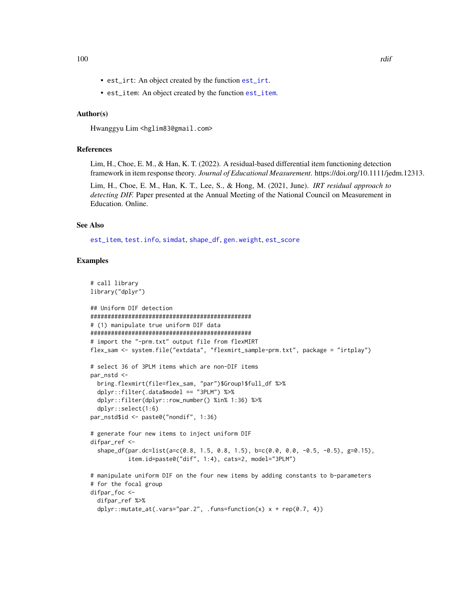- est\_irt: An object created by the function [est\\_irt](#page-26-0).
- est\_item: An object created by the function [est\\_item](#page-39-0).

# Author(s)

Hwanggyu Lim <hglim83@gmail.com>

# References

Lim, H., Choe, E. M., & Han, K. T. (2022). A residual-based differential item functioning detection framework in item response theory. *Journal of Educational Measurement*. https://doi.org/10.1111/jedm.12313.

Lim, H., Choe, E. M., Han, K. T., Lee, S., & Hong, M. (2021, June). *IRT residual approach to detecting DIF.* Paper presented at the Annual Meeting of the National Council on Measurement in Education. Online.

# See Also

[est\\_item](#page-39-0), [test.info](#page-115-0), [simdat](#page-107-0), [shape\\_df](#page-103-0), [gen.weight](#page-64-0), [est\\_score](#page-58-0)

# Examples

```
# call library
library("dplyr")
## Uniform DIF detection
###############################################
# (1) manipulate true uniform DIF data
###############################################
# import the "-prm.txt" output file from flexMIRT
flex_sam <- system.file("extdata", "flexmirt_sample-prm.txt", package = "irtplay")
# select 36 of 3PLM items which are non-DIF items
par_nstd <-
  bring.flexmirt(file=flex_sam, "par")$Group1$full_df %>%
  dplyr::filter(.data$model == "3PLM") %>%
  dplyr::filter(dplyr::row_number() %in% 1:36) %>%
  dplyr::select(1:6)
par_nstd$id <- paste0("nondif", 1:36)
# generate four new items to inject uniform DIF
difpar_ref <-
  shape_df(par.dc=list(a=c(0.8, 1.5, 0.8, 1.5), b=c(0.0, 0.0, -0.5, -0.5), g=0.15),
           item.id=paste0("dif", 1:4), cats=2, model="3PLM")
# manipulate uniform DIF on the four new items by adding constants to b-parameters
# for the focal group
difpar_foc <-
  difpar_ref %>%
  dplyr::mutate_at(.vars="par.2", .funs=function(x) x + rep(0.7, 4))
```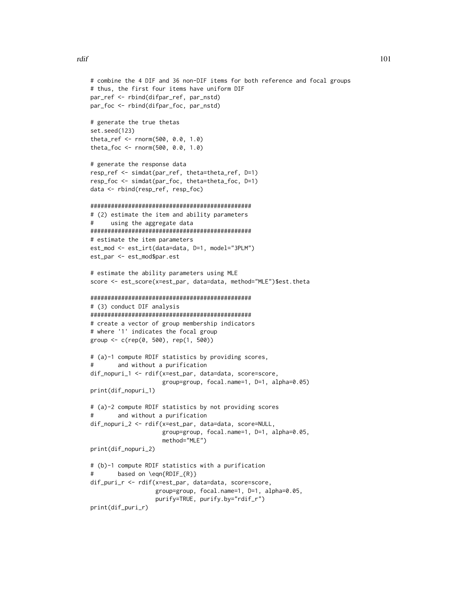```
# combine the 4 DIF and 36 non-DIF items for both reference and focal groups
# thus, the first four items have uniform DIF
par_ref <- rbind(difpar_ref, par_nstd)
par_foc <- rbind(difpar_foc, par_nstd)
# generate the true thetas
set.seed(123)
theta_ref <- rnorm(500, 0.0, 1.0)
theta_foc <- rnorm(500, 0.0, 1.0)
# generate the response data
resp_ref <- simdat(par_ref, theta=theta_ref, D=1)
resp_foc <- simdat(par_foc, theta=theta_foc, D=1)
data <- rbind(resp_ref, resp_foc)
###############################################
# (2) estimate the item and ability parameters
# using the aggregate data
###############################################
# estimate the item parameters
est_mod <- est_irt(data=data, D=1, model="3PLM")
est_par <- est_mod$par.est
# estimate the ability parameters using MLE
score <- est_score(x=est_par, data=data, method="MLE")$est.theta
###############################################
# (3) conduct DIF analysis
###############################################
# create a vector of group membership indicators
# where '1' indicates the focal group
group <- c(rep(0, 500), rep(1, 500))
# (a)-1 compute RDIF statistics by providing scores,
        and without a purification
dif_nopuri_1 <- rdif(x=est_par, data=data, score=score,
                     group=group, focal.name=1, D=1, alpha=0.05)
print(dif_nopuri_1)
# (a)-2 compute RDIF statistics by not providing scores
        and without a purification
dif_nopuri_2 <- rdif(x=est_par, data=data, score=NULL,
                     group=group, focal.name=1, D=1, alpha=0.05,
                     method="MLE")
print(dif_nopuri_2)
# (b)-1 compute RDIF statistics with a purification
# based on \eqn{RDIF_{R}}
dif_puri_r <- rdif(x=est_par, data=data, score=score,
                   group=group, focal.name=1, D=1, alpha=0.05,
                   purify=TRUE, purify.by="rdif_r")
print(dif_puri_r)
```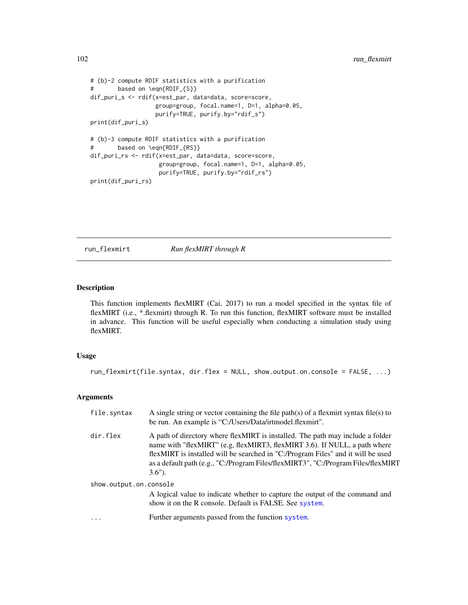```
# (b)-2 compute RDIF statistics with a purification
# based on \eqn{RDIF_{S}}
dif_puri_s <- rdif(x=est_par, data=data, score=score,
                  group=group, focal.name=1, D=1, alpha=0.05,
                  purify=TRUE, purify.by="rdif_s")
print(dif_puri_s)
# (b)-3 compute RDIF statistics with a purification
# based on \eqn{RDIF_{RS}}
dif_puri_rs <- rdif(x=est_par, data=data, score=score,
                    group=group, focal.name=1, D=1, alpha=0.05,
                    purify=TRUE, purify.by="rdif_rs")
print(dif_puri_rs)
```
run\_flexmirt *Run flexMIRT through R*

# Description

This function implements flexMIRT (Cai, 2017) to run a model specified in the syntax file of flexMIRT (i.e., \*.flexmirt) through R. To run this function, flexMIRT software must be installed in advance. This function will be useful especially when conducting a simulation study using flexMIRT.

# Usage

run\_flexmirt(file.syntax, dir.flex = NULL, show.output.on.console = FALSE, ...)

# Arguments

| file.syntax            | A single string or vector containing the file path(s) of a flexmirt syntax file(s) to<br>be run. An example is "C:/Users/Data/irtmodel.flexmirt".                                                                                                                                                                                                  |
|------------------------|----------------------------------------------------------------------------------------------------------------------------------------------------------------------------------------------------------------------------------------------------------------------------------------------------------------------------------------------------|
| dir.flex               | A path of directory where flexMIRT is installed. The path may include a folder<br>name with "flexMIRT" (e.g, flexMIRT3, flexMIRT 3.6). If NULL, a path where<br>flexMIRT is installed will be searched in "C:/Program Files" and it will be used<br>as a default path (e.g., "C:/Program Files/flexMIRT3", "C:/Program Files/flexMIRT<br>$3.6"$ ). |
| show.output.on.console |                                                                                                                                                                                                                                                                                                                                                    |
|                        | A logical value to indicate whether to capture the output of the command and<br>show it on the R console. Default is FALSE. See system.                                                                                                                                                                                                            |
| $\cdot$                | Further arguments passed from the function system.                                                                                                                                                                                                                                                                                                 |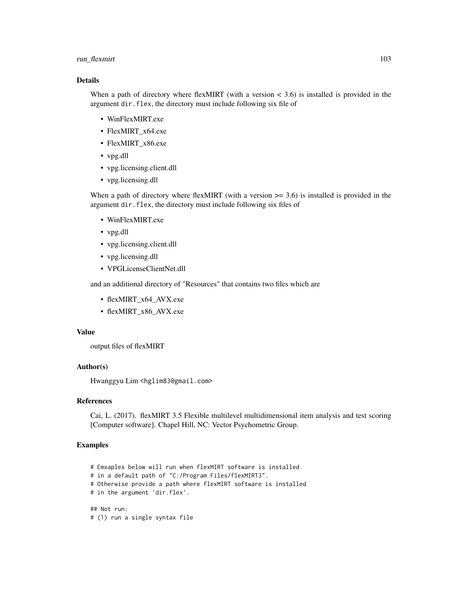# run\_flexmirt 103

# Details

When a path of directory where flexMIRT (with a version  $<$  3.6) is installed is provided in the argument dir.flex, the directory must include following six file of

- WinFlexMIRT.exe
- FlexMIRT x64.exe
- FlexMIRT\_x86.exe
- vpg.dll
- vpg.licensing.client.dll
- vpg.licensing.dll

When a path of directory where flexMIRT (with a version  $\ge$  = 3.6) is installed is provided in the argument dir.flex, the directory must include following six files of

- WinFlexMIRT.exe
- vpg.dll
- vpg.licensing.client.dll
- vpg.licensing.dll
- VPGLicenseClientNet.dll

and an additional directory of "Resources" that contains two files which are

- flexMIRT\_x64\_AVX.exe
- flexMIRT\_x86\_AVX.exe

### Value

output files of flexMIRT

### Author(s)

Hwanggyu Lim <hglim83@gmail.com>

### References

Cai, L. (2017). flexMIRT 3.5 Flexible multilevel multidimensional item analysis and test scoring [Computer software]. Chapel Hill, NC: Vector Psychometric Group.

# Examples

```
# Emxaples below will run when flexMIRT software is installed
# in a default path of "C:/Program Files/flexMIRT3".
# Otherwise provide a path where flexMIRT software is installed
# in the argument 'dir.flex'.
## Not run:
```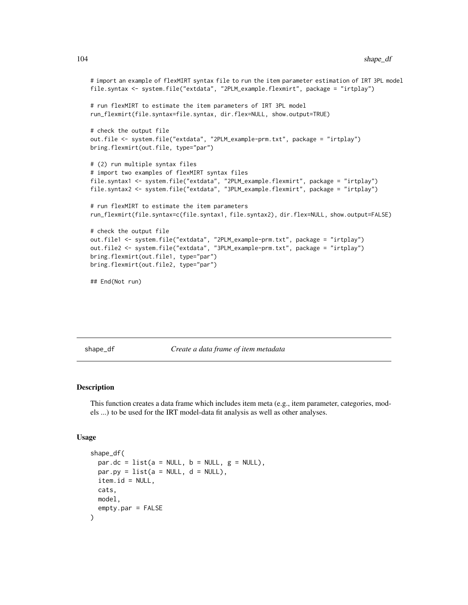```
# import an example of flexMIRT syntax file to run the item parameter estimation of IRT 3PL model
file.syntax <- system.file("extdata", "2PLM_example.flexmirt", package = "irtplay")
# run flexMIRT to estimate the item parameters of IRT 3PL model
run_flexmirt(file.syntax=file.syntax, dir.flex=NULL, show.output=TRUE)
# check the output file
out.file <- system.file("extdata", "2PLM_example-prm.txt", package = "irtplay")
bring.flexmirt(out.file, type="par")
# (2) run multiple syntax files
# import two examples of flexMIRT syntax files
file.syntax1 <- system.file("extdata", "2PLM_example.flexmirt", package = "irtplay")
file.syntax2 <- system.file("extdata", "3PLM_example.flexmirt", package = "irtplay")
# run flexMIRT to estimate the item parameters
run_flexmirt(file.syntax=c(file.syntax1, file.syntax2), dir.flex=NULL, show.output=FALSE)
# check the output file
out.file1 <- system.file("extdata", "2PLM_example-prm.txt", package = "irtplay")
out.file2 <- system.file("extdata", "3PLM_example-prm.txt", package = "irtplay")
bring.flexmirt(out.file1, type="par")
bring.flexmirt(out.file2, type="par")
## End(Not run)
```
<span id="page-103-0"></span>shape\_df *Create a data frame of item metadata*

### Description

This function creates a data frame which includes item meta (e.g., item parameter, categories, models ...) to be used for the IRT model-data fit analysis as well as other analyses.

### Usage

```
shape_df(
 par.dc = list(a = NULL, b = NULL, g = NULL),
 par.py = list(a = NULL, d = NULL),
 item.id = NULL,
 cats,
 model,
  empty.par = FALSE
)
```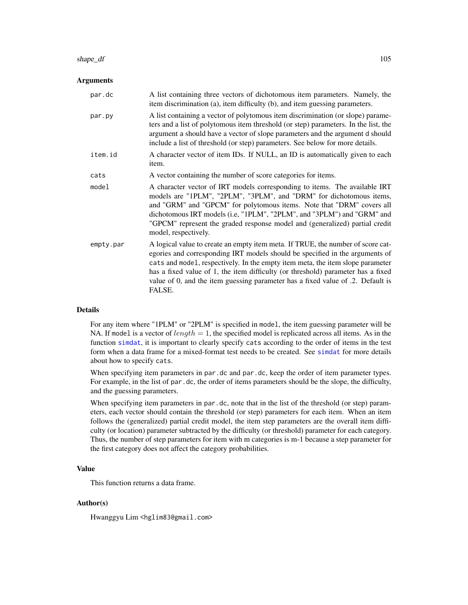### shape\_df 105

### Arguments

| par.dc    | A list containing three vectors of dichotomous item parameters. Namely, the<br>item discrimination (a), item difficulty (b), and item guessing parameters.                                                                                                                                                                                                                                                                         |
|-----------|------------------------------------------------------------------------------------------------------------------------------------------------------------------------------------------------------------------------------------------------------------------------------------------------------------------------------------------------------------------------------------------------------------------------------------|
| par.py    | A list containing a vector of polytomous item discrimination (or slope) parame-<br>ters and a list of polytomous item threshold (or step) parameters. In the list, the<br>argument a should have a vector of slope parameters and the argument d should<br>include a list of threshold (or step) parameters. See below for more details.                                                                                           |
| item.id   | A character vector of item IDs. If NULL, an ID is automatically given to each<br>item.                                                                                                                                                                                                                                                                                                                                             |
| cats      | A vector containing the number of score categories for items.                                                                                                                                                                                                                                                                                                                                                                      |
| model     | A character vector of IRT models corresponding to items. The available IRT<br>models are "1PLM", "2PLM", "3PLM", and "DRM" for dichotomous items,<br>and "GRM" and "GPCM" for polytomous items. Note that "DRM" covers all<br>dichotomous IRT models (i.e, "1PLM", "2PLM", and "3PLM") and "GRM" and<br>"GPCM" represent the graded response model and (generalized) partial credit<br>model, respectively.                        |
| empty.par | A logical value to create an empty item meta. If TRUE, the number of score cat-<br>egories and corresponding IRT models should be specified in the arguments of<br>cats and model, respectively. In the empty item meta, the item slope parameter<br>has a fixed value of 1, the item difficulty (or threshold) parameter has a fixed<br>value of 0, and the item guessing parameter has a fixed value of .2. Default is<br>FALSE. |

# Details

For any item where "1PLM" or "2PLM" is specified in model, the item guessing parameter will be NA. If model is a vector of length  $= 1$ , the specified model is replicated across all items. As in the function [simdat](#page-107-0), it is important to clearly specify cats according to the order of items in the test form when a data frame for a mixed-format test needs to be created. See [simdat](#page-107-0) for more details about how to specify cats.

When specifying item parameters in par.dc and par.dc, keep the order of item parameter types. For example, in the list of par.dc, the order of items parameters should be the slope, the difficulty, and the guessing parameters.

When specifying item parameters in par.dc, note that in the list of the threshold (or step) parameters, each vector should contain the threshold (or step) parameters for each item. When an item follows the (generalized) partial credit model, the item step parameters are the overall item difficulty (or location) parameter subtracted by the difficulty (or threshold) parameter for each category. Thus, the number of step parameters for item with m categories is m-1 because a step parameter for the first category does not affect the category probabilities.

# Value

This function returns a data frame.

### Author(s)

Hwanggyu Lim <hglim83@gmail.com>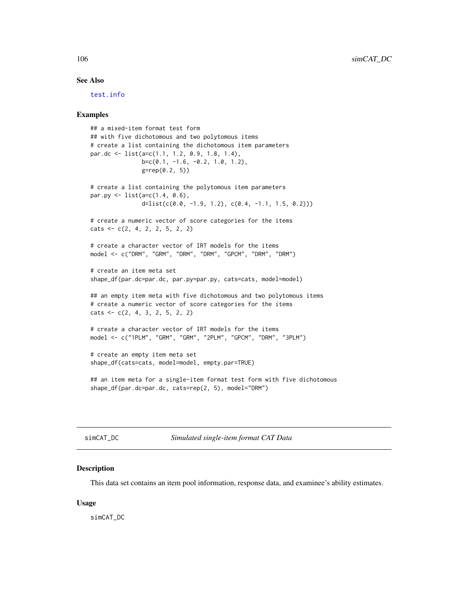### See Also

[test.info](#page-115-0)

### Examples

```
## a mixed-item format test form
## with five dichotomous and two polytomous items
# create a list containing the dichotomous item parameters
par.dc <- list(a=c(1.1, 1.2, 0.9, 1.8, 1.4),
               b=c(0.1, -1.6, -0.2, 1.0, 1.2),
               g=rep(0.2, 5))
# create a list containing the polytomous item parameters
par.py \le list(a=c(1.4, 0.6),
               d=list(c(0.0, -1.9, 1.2), c(0.4, -1.1, 1.5, 0.2)))# create a numeric vector of score categories for the items
\text{cats} \leq c(2, 4, 2, 2, 5, 2, 2)# create a character vector of IRT models for the items
model <- c("DRM", "GRM", "DRM", "DRM", "GPCM", "DRM", "DRM")
# create an item meta set
shape_df(par.dc=par.dc, par.py=par.py, cats=cats, model=model)
## an empty item meta with five dichotomous and two polytomous items
# create a numeric vector of score categories for the items
\text{cats} \leq \text{c}(2, 4, 3, 2, 5, 2, 2)# create a character vector of IRT models for the items
model <- c("1PLM", "GRM", "GRM", "2PLM", "GPCM", "DRM", "3PLM")
# create an empty item meta set
shape_df(cats=cats, model=model, empty.par=TRUE)
## an item meta for a single-item format test form with five dichotomous
shape_df(par.dc=par.dc, cats=rep(2, 5), model="DRM")
```
simCAT\_DC *Simulated single-item format CAT Data*

### Description

This data set contains an item pool information, response data, and examinee's ability estimates.

### Usage

simCAT\_DC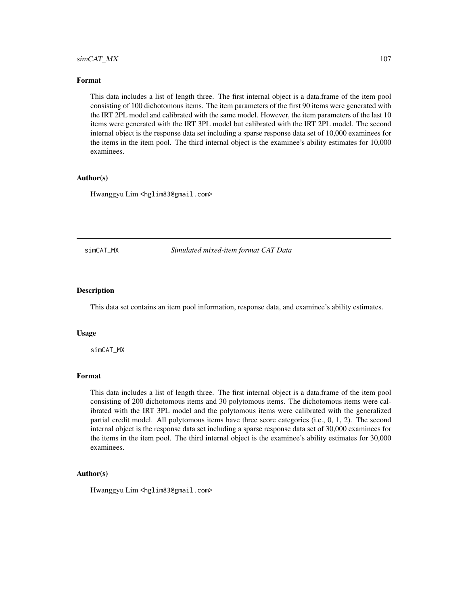# simCAT\_MX 107

### Format

This data includes a list of length three. The first internal object is a data.frame of the item pool consisting of 100 dichotomous items. The item parameters of the first 90 items were generated with the IRT 2PL model and calibrated with the same model. However, the item parameters of the last 10 items were generated with the IRT 3PL model but calibrated with the IRT 2PL model. The second internal object is the response data set including a sparse response data set of 10,000 examinees for the items in the item pool. The third internal object is the examinee's ability estimates for 10,000 examinees.

### Author(s)

Hwanggyu Lim <hglim83@gmail.com>

simCAT\_MX *Simulated mixed-item format CAT Data*

### Description

This data set contains an item pool information, response data, and examinee's ability estimates.

### Usage

simCAT\_MX

# Format

This data includes a list of length three. The first internal object is a data.frame of the item pool consisting of 200 dichotomous items and 30 polytomous items. The dichotomous items were calibrated with the IRT 3PL model and the polytomous items were calibrated with the generalized partial credit model. All polytomous items have three score categories (i.e., 0, 1, 2). The second internal object is the response data set including a sparse response data set of 30,000 examinees for the items in the item pool. The third internal object is the examinee's ability estimates for 30,000 examinees.

# Author(s)

Hwanggyu Lim <hglim83@gmail.com>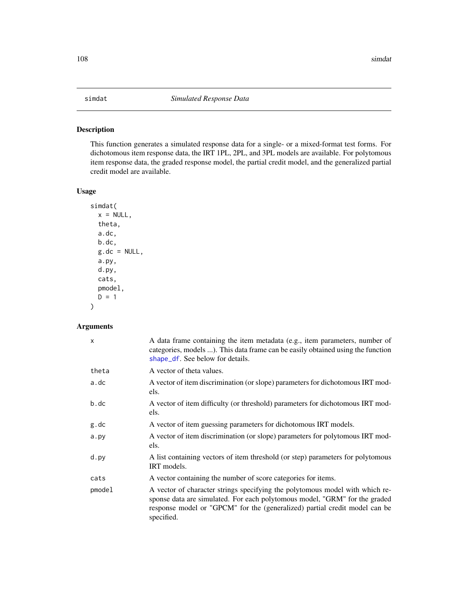# <span id="page-107-0"></span>Description

This function generates a simulated response data for a single- or a mixed-format test forms. For dichotomous item response data, the IRT 1PL, 2PL, and 3PL models are available. For polytomous item response data, the graded response model, the partial credit model, and the generalized partial credit model are available.

# Usage

```
simdat(
  x = NULL,theta,
  a.dc,
 b.dc,
  g.dc = NULL,a.py,
  d.py,
  cats,
 pmodel,
 D = 1)
```
# Arguments

| X      | A data frame containing the item metadata (e.g., item parameters, number of<br>categories, models ). This data frame can be easily obtained using the function<br>shape_df. See below for details.                                                     |
|--------|--------------------------------------------------------------------------------------------------------------------------------------------------------------------------------------------------------------------------------------------------------|
| theta  | A vector of theta values.                                                                                                                                                                                                                              |
| a.dc   | A vector of item discrimination (or slope) parameters for dichotomous IRT mod-<br>els.                                                                                                                                                                 |
| b.dc   | A vector of item difficulty (or threshold) parameters for dichotomous IRT mod-<br>els.                                                                                                                                                                 |
| g.dc   | A vector of item guessing parameters for dichotomous IRT models.                                                                                                                                                                                       |
| a.py   | A vector of item discrimination (or slope) parameters for polytomous IRT mod-<br>els.                                                                                                                                                                  |
| d.py   | A list containing vectors of item threshold (or step) parameters for polytomous<br>IRT models.                                                                                                                                                         |
| cats   | A vector containing the number of score categories for items.                                                                                                                                                                                          |
| pmodel | A vector of character strings specifying the polytomous model with which re-<br>sponse data are simulated. For each polytomous model, "GRM" for the graded<br>response model or "GPCM" for the (generalized) partial credit model can be<br>specified. |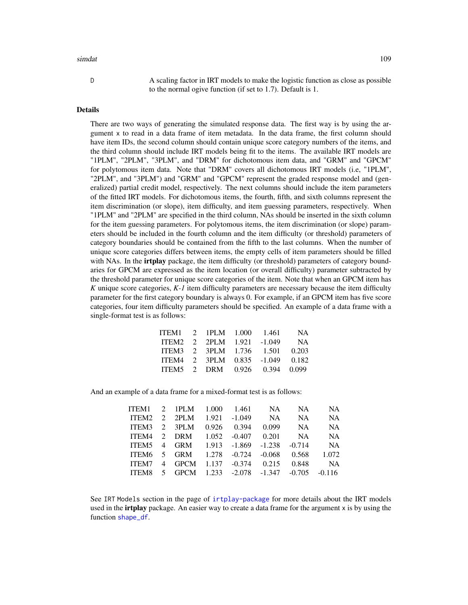#### <span id="page-108-0"></span>simdat the contract of the contract of the contract of the contract of the contract of the contract of the contract of the contract of the contract of the contract of the contract of the contract of the contract of the con

D A scaling factor in IRT models to make the logistic function as close as possible to the normal ogive function (if set to 1.7). Default is 1.

## Details

There are two ways of generating the simulated response data. The first way is by using the argument x to read in a data frame of item metadata. In the data frame, the first column should have item IDs, the second column should contain unique score category numbers of the items, and the third column should include IRT models being fit to the items. The available IRT models are "1PLM", "2PLM", "3PLM", and "DRM" for dichotomous item data, and "GRM" and "GPCM" for polytomous item data. Note that "DRM" covers all dichotomous IRT models (i.e, "1PLM", "2PLM", and "3PLM") and "GRM" and "GPCM" represent the graded response model and (generalized) partial credit model, respectively. The next columns should include the item parameters of the fitted IRT models. For dichotomous items, the fourth, fifth, and sixth columns represent the item discrimination (or slope), item difficulty, and item guessing parameters, respectively. When "1PLM" and "2PLM" are specified in the third column, NAs should be inserted in the sixth column for the item guessing parameters. For polytomous items, the item discrimination (or slope) parameters should be included in the fourth column and the item difficulty (or threshold) parameters of category boundaries should be contained from the fifth to the last columns. When the number of unique score categories differs between items, the empty cells of item parameters should be filled with NAs. In the irtplay package, the item difficulty (or threshold) parameters of category boundaries for GPCM are expressed as the item location (or overall difficulty) parameter subtracted by the threshold parameter for unique score categories of the item. Note that when an GPCM item has *K* unique score categories, *K-1* item difficulty parameters are necessary because the item difficulty parameter for the first category boundary is always 0. For example, if an GPCM item has five score categories, four item difficulty parameters should be specified. An example of a data frame with a single-format test is as follows:

| ITEM1 2 1PLM 1.000 1.461  |  |                                 | <b>NA</b> |
|---------------------------|--|---------------------------------|-----------|
| ITEM2 2 2PLM 1.921 -1.049 |  |                                 | <b>NA</b> |
| ITEM3 2 3PLM 1.736 1.501  |  |                                 | 0.203     |
|                           |  | ITEM4 2 3PLM 0.835 -1.049 0.182 |           |
|                           |  | ITEM5 2 DRM 0.926 0.394 0.099   |           |

And an example of a data frame for a mixed-format test is as follows:

| ITEM1        |                | 2 1PLM 1.000             |       | 1.461                    | NA.      | NA.       | NA.       |
|--------------|----------------|--------------------------|-------|--------------------------|----------|-----------|-----------|
| ITEM2        |                | 2 2PLM                   |       | $1.921 - 1.049$          | NA       | <b>NA</b> | <b>NA</b> |
| ITEM3 2 3PLM |                |                          | 0.926 | 0.394                    | 0.099    | NA        | <b>NA</b> |
| ITEM4        |                | 2 DRM                    | 1.052 | $-0.407$ 0.201           |          | NA.       | <b>NA</b> |
| ITEM5        |                | 4 GRM 1.913 -1.869       |       |                          | $-1.238$ | $-0.714$  | <b>NA</b> |
|              |                | ITEM6 5 GRM 1.278 -0.724 |       |                          | $-0.068$ | 0.568     | 1.072     |
| ITEM7        |                | 4 GPCM                   |       | $1.137 - 0.374$          | 0.215    | 0.848     | <b>NA</b> |
| ITEM8        | 5 <sup>7</sup> |                          |       | GPCM 1.233 -2.078 -1.347 |          | $-0.705$  | $-0.116$  |

See IRT Models section in the page of [irtplay-package](#page-2-0) for more details about the IRT models used in the **irtplay** package. An easier way to create a data frame for the argument x is by using the function [shape\\_df](#page-103-0).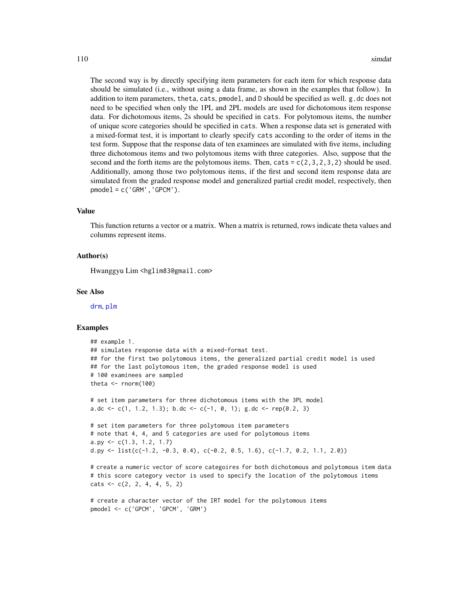<span id="page-109-0"></span>The second way is by directly specifying item parameters for each item for which response data should be simulated (i.e., without using a data frame, as shown in the examples that follow). In addition to item parameters, theta, cats, pmodel, and D should be specified as well. g.dc does not need to be specified when only the 1PL and 2PL models are used for dichotomous item response data. For dichotomous items, 2s should be specified in cats. For polytomous items, the number of unique score categories should be specified in cats. When a response data set is generated with a mixed-format test, it is important to clearly specify cats according to the order of items in the test form. Suppose that the response data of ten examinees are simulated with five items, including three dichotomous items and two polytomous items with three categories. Also, suppose that the second and the forth items are the polytomous items. Then, cats =  $c(2,3,2,3,2)$  should be used. Additionally, among those two polytomous items, if the first and second item response data are simulated from the graded response model and generalized partial credit model, respectively, then  $pmode1 = c('GRM', 'GPCM').$ 

#### Value

This function returns a vector or a matrix. When a matrix is returned, rows indicate theta values and columns represent items.

## Author(s)

Hwanggyu Lim <hglim83@gmail.com>

#### See Also

[drm](#page-25-0), [plm](#page-83-0)

```
## example 1.
## simulates response data with a mixed-format test.
## for the first two polytomous items, the generalized partial credit model is used
## for the last polytomous item, the graded response model is used
# 100 examinees are sampled
theta <- rnorm(100)
# set item parameters for three dichotomous items with the 3PL model
a.dc <- c(1, 1.2, 1.3); b.dc <- c(-1, 0, 1); g.dc <- rep(0.2, 3)# set item parameters for three polytomous item parameters
# note that 4, 4, and 5 categories are used for polytomous items
a.py \leq c(1.3, 1.2, 1.7)d.py <- list(c(-1.2, -0.3, 0.4), c(-0.2, 0.5, 1.6), c(-1.7, 0.2, 1.1, 2.0))
# create a numeric vector of score categoires for both dichotomous and polytomous item data
# this score category vector is used to specify the location of the polytomous items
\text{cats} \leq \text{c}(2, 2, 4, 4, 5, 2)# create a character vector of the IRT model for the polytomous items
pmodel <- c('GPCM', 'GPCM', 'GRM')
```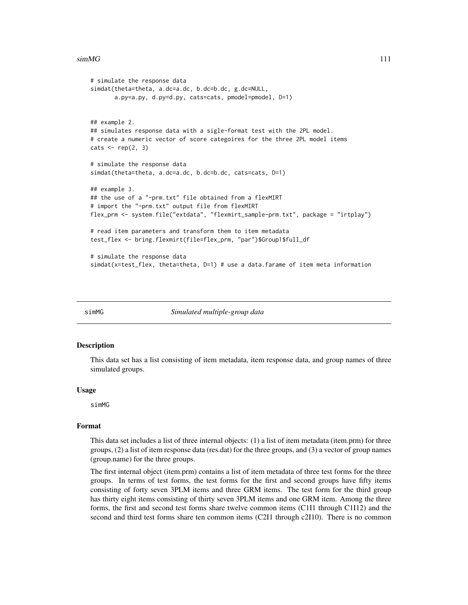#### <span id="page-110-0"></span> $\sin(MG)$  111

```
# simulate the response data
simdat(theta=theta, a.dc=a.dc, b.dc=b.dc, g.dc=NULL,
       a.py=a.py, d.py=d.py, cats=cats, pmodel=pmodel, D=1)
## example 2.
## simulates response data with a sigle-format test with the 2PL model.
# create a numeric vector of score categoires for the three 2PL model items
\text{cats} \leftarrow \text{rep}(2, 3)# simulate the response data
simdat(theta=theta, a.dc=a.dc, b.dc=b.dc, cats=cats, D=1)
## example 3.
## the use of a "-prm.txt" file obtained from a flexMIRT
# import the "-prm.txt" output file from flexMIRT
flex_prm <- system.file("extdata", "flexmirt_sample-prm.txt", package = "irtplay")
# read item parameters and transform them to item metadata
test_flex <- bring.flexmirt(file=flex_prm, "par")$Group1$full_df
# simulate the response data
simdat(x=test_flex, theta=theta, D=1) # use a data.farame of item meta information
```
simMG *Simulated multiple-group data*

#### **Description**

This data set has a list consisting of item metadata, item response data, and group names of three simulated groups.

#### Usage

simMG

## Format

This data set includes a list of three internal objects: (1) a list of item metadata (item.prm) for three groups, (2) a list of item response data (res.dat) for the three groups, and (3) a vector of group names (group.name) for the three groups.

The first internal object (item.prm) contains a list of item metadata of three test forms for the three groups. In terms of test forms, the test forms for the first and second groups have fifty items consisting of forty seven 3PLM items and three GRM items. The test form for the third group has thirty eight items consisting of thirty seven 3PLM items and one GRM item. Among the three forms, the first and second test forms share twelve common items (C1I1 through C1I12) and the second and third test forms share ten common items (C2I1 through c2I10). There is no common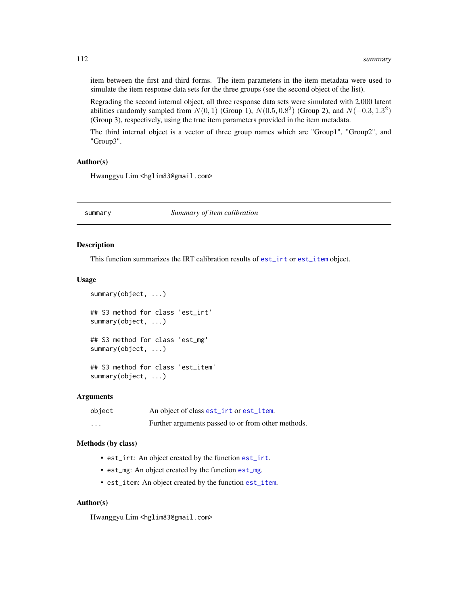<span id="page-111-0"></span>item between the first and third forms. The item parameters in the item metadata were used to simulate the item response data sets for the three groups (see the second object of the list).

Regrading the second internal object, all three response data sets were simulated with 2,000 latent abilities randomly sampled from  $N(0, 1)$  (Group 1),  $N(0.5, 0.8^2)$  (Group 2), and  $N(-0.3, 1.3^2)$ (Group 3), respectively, using the true item parameters provided in the item metadata.

The third internal object is a vector of three group names which are "Group1", "Group2", and "Group3".

## Author(s)

Hwanggyu Lim <hglim83@gmail.com>

summary *Summary of item calibration*

#### Description

This function summarizes the IRT calibration results of [est\\_irt](#page-26-0) or [est\\_item](#page-39-0) object.

#### Usage

```
summary(object, ...)
## S3 method for class 'est_irt'
summary(object, ...)
## S3 method for class 'est_mg'
summary(object, ...)
```
## S3 method for class 'est\_item' summary(object, ...)

### Arguments

| object   | An object of class est_irt or est_item.            |
|----------|----------------------------------------------------|
| $\cdots$ | Further arguments passed to or from other methods. |

### Methods (by class)

- est\_irt: An object created by the function [est\\_irt](#page-26-0).
- est\_mg: An object created by the function [est\\_mg](#page-45-0).
- est\_item: An object created by the function [est\\_item](#page-39-0).

## Author(s)

Hwanggyu Lim <hglim83@gmail.com>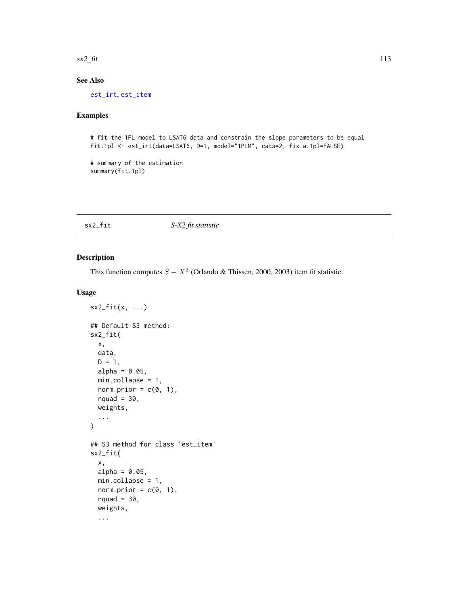<span id="page-112-1"></span> $\frac{\text{sx2}_\text{f}}{113}$ 

# See Also

[est\\_irt](#page-26-0), [est\\_item](#page-39-0)

# Examples

# fit the 1PL model to LSAT6 data and constrain the slope parameters to be equal fit.1pl <- est\_irt(data=LSAT6, D=1, model="1PLM", cats=2, fix.a.1pl=FALSE)

# summary of the estimation summary(fit.1pl)

<span id="page-112-0"></span>sx2\_fit *S-X2 fit statistic*

## Description

This function computes  $S - X^2$  (Orlando & Thissen, 2000, 2003) item fit statistic.

## Usage

```
sx2_fit(x, ...)## Default S3 method:
sx2_fit(
  x,
  data,
  D = 1,alpha = 0.05,
  min.collapse = 1,
  norm.prior = c(\emptyset, 1),
  nquad = 30,
  weights,
  ...
)
## S3 method for class 'est_item'
sx2_fit(
  x,
  alpha = 0.05,
  min.collapse = 1,
  norm.prior = c(\emptyset, 1),
  nquad = 30,
  weights,
  ...
```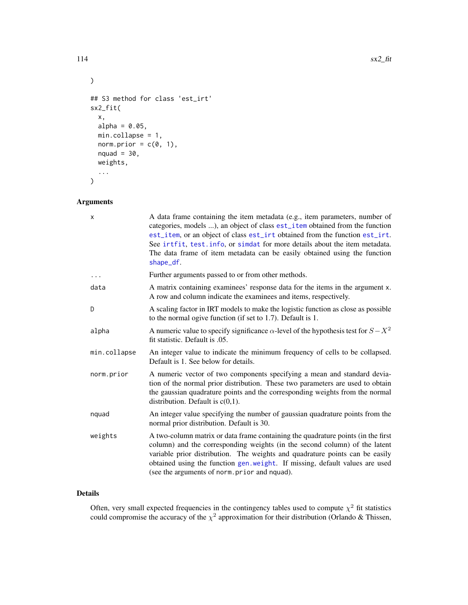```
)
## S3 method for class 'est_irt'
sx2_fit(
 x,
 alpha = 0.05,
 min.collapse = 1,
 norm.prior = c(\emptyset, 1),
 nquad = 30,
 weights,
  ...
)
```
# Arguments

| X            | A data frame containing the item metadata (e.g., item parameters, number of<br>categories, models ), an object of class est_item obtained from the function<br>est_item, or an object of class est_irt obtained from the function est_irt.<br>See irtfit, test. info, or simdat for more details about the item metadata.<br>The data frame of item metadata can be easily obtained using the function<br>shape_df. |
|--------------|---------------------------------------------------------------------------------------------------------------------------------------------------------------------------------------------------------------------------------------------------------------------------------------------------------------------------------------------------------------------------------------------------------------------|
| .            | Further arguments passed to or from other methods.                                                                                                                                                                                                                                                                                                                                                                  |
| data         | A matrix containing examinees' response data for the items in the argument x.<br>A row and column indicate the examinees and items, respectively.                                                                                                                                                                                                                                                                   |
| D            | A scaling factor in IRT models to make the logistic function as close as possible<br>to the normal ogive function (if set to 1.7). Default is 1.                                                                                                                                                                                                                                                                    |
| alpha        | A numeric value to specify significance $\alpha$ -level of the hypothesis test for $S - X^2$<br>fit statistic. Default is .05.                                                                                                                                                                                                                                                                                      |
| min.collapse | An integer value to indicate the minimum frequency of cells to be collapsed.<br>Default is 1. See below for details.                                                                                                                                                                                                                                                                                                |
| norm.prior   | A numeric vector of two components specifying a mean and standard devia-<br>tion of the normal prior distribution. These two parameters are used to obtain<br>the gaussian quadrature points and the corresponding weights from the normal<br>distribution. Default is $c(0,1)$ .                                                                                                                                   |
| nquad        | An integer value specifying the number of gaussian quadrature points from the<br>normal prior distribution. Default is 30.                                                                                                                                                                                                                                                                                          |
| weights      | A two-column matrix or data frame containing the quadrature points (in the first<br>column) and the corresponding weights (in the second column) of the latent<br>variable prior distribution. The weights and quadrature points can be easily<br>obtained using the function gen.weight. If missing, default values are used<br>(see the arguments of norm.prior and nquad).                                       |

## Details

Often, very small expected frequencies in the contingency tables used to compute  $\chi^2$  fit statistics could compromise the accuracy of the  $\chi^2$  approximation for their distribution (Orlando & Thissen,

<span id="page-113-0"></span>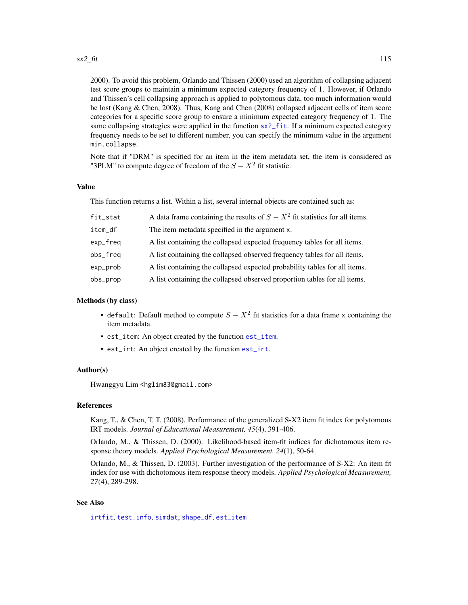<span id="page-114-0"></span>2000). To avoid this problem, Orlando and Thissen (2000) used an algorithm of collapsing adjacent test score groups to maintain a minimum expected category frequency of 1. However, if Orlando and Thissen's cell collapsing approach is applied to polytomous data, too much information would be lost (Kang & Chen, 2008). Thus, Kang and Chen (2008) collapsed adjacent cells of item score categories for a specific score group to ensure a minimum expected category frequency of 1. The same collapsing strategies were applied in the function  $sx2$ \_fit. If a minimum expected category frequency needs to be set to different number, you can specify the minimum value in the argument min.collapse.

Note that if "DRM" is specified for an item in the item metadata set, the item is considered as "3PLM" to compute degree of freedom of the  $S - X^2$  fit statistic.

## Value

This function returns a list. Within a list, several internal objects are contained such as:

| fit_stat | A data frame containing the results of $S - X^2$ fit statistics for all items. |
|----------|--------------------------------------------------------------------------------|
| item_df  | The item metadata specified in the argument x.                                 |
| exp_freq | A list containing the collapsed expected frequency tables for all items.       |
| obs_freq | A list containing the collapsed observed frequency tables for all items.       |
| exp_prob | A list containing the collapsed expected probability tables for all items.     |
| obs_prop | A list containing the collapsed observed proportion tables for all items.      |

#### Methods (by class)

- default: Default method to compute  $S X^2$  fit statistics for a data frame x containing the item metadata.
- est\_item: An object created by the function [est\\_item](#page-39-0).
- est\_irt: An object created by the function [est\\_irt](#page-26-0).

## Author(s)

Hwanggyu Lim <hglim83@gmail.com>

## References

Kang, T., & Chen, T. T. (2008). Performance of the generalized S-X2 item fit index for polytomous IRT models. *Journal of Educational Measurement, 45*(4), 391-406.

Orlando, M., & Thissen, D. (2000). Likelihood-based item-fit indices for dichotomous item response theory models. *Applied Psychological Measurement, 24*(1), 50-64.

Orlando, M., & Thissen, D. (2003). Further investigation of the performance of S-X2: An item fit index for use with dichotomous item response theory models. *Applied Psychological Measurement, 27*(4), 289-298.

## See Also

[irtfit](#page-70-0), [test.info](#page-115-0), [simdat](#page-107-0), [shape\\_df](#page-103-0), [est\\_item](#page-39-0)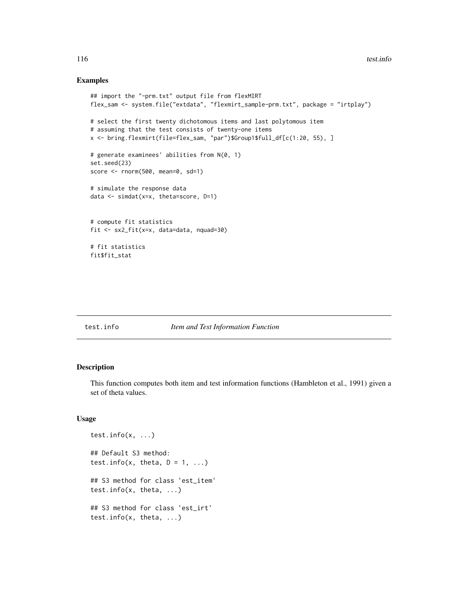## Examples

```
## import the "-prm.txt" output file from flexMIRT
flex_sam <- system.file("extdata", "flexmirt_sample-prm.txt", package = "irtplay")
# select the first twenty dichotomous items and last polytomous item
# assuming that the test consists of twenty-one items
x <- bring.flexmirt(file=flex_sam, "par")$Group1$full_df[c(1:20, 55), ]
# generate examinees' abilities from N(0, 1)
set.seed(23)
score <- rnorm(500, mean=0, sd=1)
# simulate the response data
data <- simdat(x=x, theta=score, D=1)
# compute fit statistics
fit <- sx2_fit(x=x, data=data, nquad=30)
# fit statistics
fit$fit_stat
```
## <span id="page-115-0"></span>test.info *Item and Test Information Function*

#### Description

This function computes both item and test information functions (Hambleton et al., 1991) given a set of theta values.

## Usage

```
test.info(x, ...)
## Default S3 method:
test.info(x, theta, D = 1, ...)
## S3 method for class 'est_item'
test.info(x, theta, ...)
## S3 method for class 'est_irt'
test.info(x, theta, ...)
```
<span id="page-115-1"></span>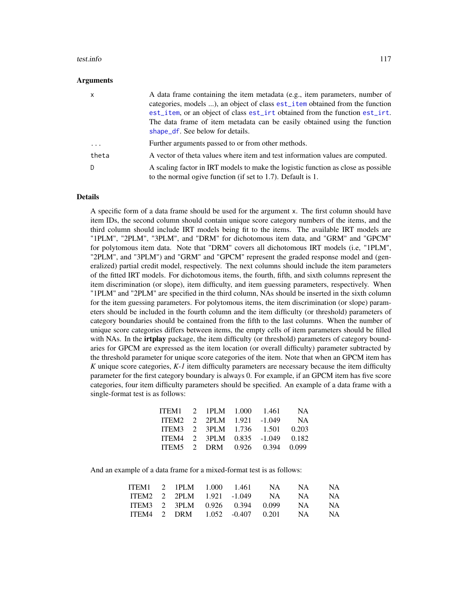#### <span id="page-116-0"></span>test.info 117

#### **Arguments**

| $\mathsf{x}$ | A data frame containing the item metadata (e.g., item parameters, number of<br>categories, models ), an object of class est_item obtained from the function<br>est_item, or an object of class est_irt obtained from the function est_irt.<br>The data frame of item metadata can be easily obtained using the function<br>shape_df. See below for details. |
|--------------|-------------------------------------------------------------------------------------------------------------------------------------------------------------------------------------------------------------------------------------------------------------------------------------------------------------------------------------------------------------|
| .            | Further arguments passed to or from other methods.                                                                                                                                                                                                                                                                                                          |
| theta        | A vector of theta values where item and test information values are computed.                                                                                                                                                                                                                                                                               |
| D            | A scaling factor in IRT models to make the logistic function as close as possible<br>to the normal ogive function (if set to 1.7). Default is 1.                                                                                                                                                                                                            |

#### Details

A specific form of a data frame should be used for the argument x. The first column should have item IDs, the second column should contain unique score category numbers of the items, and the third column should include IRT models being fit to the items. The available IRT models are "1PLM", "2PLM", "3PLM", and "DRM" for dichotomous item data, and "GRM" and "GPCM" for polytomous item data. Note that "DRM" covers all dichotomous IRT models (i.e, "1PLM", "2PLM", and "3PLM") and "GRM" and "GPCM" represent the graded response model and (generalized) partial credit model, respectively. The next columns should include the item parameters of the fitted IRT models. For dichotomous items, the fourth, fifth, and sixth columns represent the item discrimination (or slope), item difficulty, and item guessing parameters, respectively. When "1PLM" and "2PLM" are specified in the third column, NAs should be inserted in the sixth column for the item guessing parameters. For polytomous items, the item discrimination (or slope) parameters should be included in the fourth column and the item difficulty (or threshold) parameters of category boundaries should be contained from the fifth to the last columns. When the number of unique score categories differs between items, the empty cells of item parameters should be filled with NAs. In the **irtplay** package, the item difficulty (or threshold) parameters of category boundaries for GPCM are expressed as the item location (or overall difficulty) parameter subtracted by the threshold parameter for unique score categories of the item. Note that when an GPCM item has *K* unique score categories, *K-1* item difficulty parameters are necessary because the item difficulty parameter for the first category boundary is always 0. For example, if an GPCM item has five score categories, four item difficulty parameters should be specified. An example of a data frame with a single-format test is as follows:

| ITEM1 2 1PLM 1.000 1.461        |  |  | <b>NA</b> |
|---------------------------------|--|--|-----------|
| ITEM2 2 2PLM 1.921 -1.049       |  |  | <b>NA</b> |
| ITEM3 2 3PLM 1.736 1.501        |  |  | 0.203     |
| ITEM4 2 3PLM 0.835 -1.049 0.182 |  |  |           |
| ITEM5 2 DRM 0.926 0.394 0.099   |  |  |           |
|                                 |  |  |           |

And an example of a data frame for a mixed-format test is as follows:

| ITEM1 2 1PLM 1.000 1.461 |  |  | NA 11                             | NA 1 | NA. |
|--------------------------|--|--|-----------------------------------|------|-----|
|                          |  |  | ITEM2 2 2PLM 1.921 -1.049 NA NA   |      | NA. |
|                          |  |  | ITEM3 2 3PLM 0.926 0.394 0.099 NA |      | NA. |
|                          |  |  | ITEM4 2 DRM 1.052 -0.407 0.201 NA |      | NA. |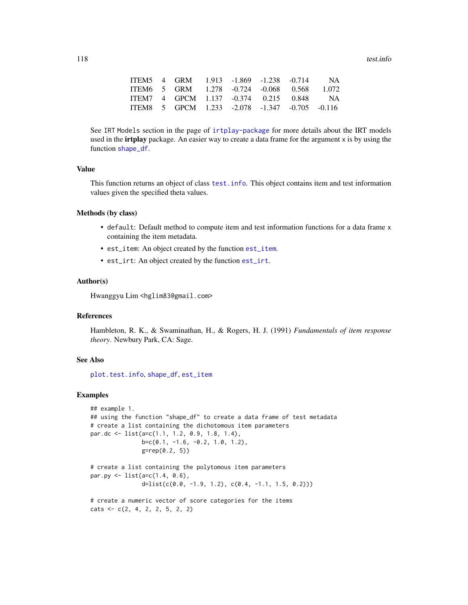<span id="page-117-0"></span>118 test.info

|  | ITEM5 4 GRM 1.913 -1.869 -1.238 -0.714 NA      |  |  |  |
|--|------------------------------------------------|--|--|--|
|  | ITEM6 5 GRM 1.278 -0.724 -0.068 0.568 1.072    |  |  |  |
|  | ITEM7 4 GPCM 1.137 -0.374 0.215 0.848 NA       |  |  |  |
|  | ITEM8 5 GPCM 1.233 -2.078 -1.347 -0.705 -0.116 |  |  |  |

See IRT Models section in the page of [irtplay-package](#page-2-0) for more details about the IRT models used in the **irtplay** package. An easier way to create a data frame for the argument x is by using the function [shape\\_df](#page-103-0).

## Value

This function returns an object of class [test.info](#page-115-0). This object contains item and test information values given the specified theta values.

#### Methods (by class)

- default: Default method to compute item and test information functions for a data frame x containing the item metadata.
- est\_item: An object created by the function [est\\_item](#page-39-0).
- est\_irt: An object created by the function [est\\_irt](#page-26-0).

## Author(s)

Hwanggyu Lim <hglim83@gmail.com>

#### References

Hambleton, R. K., & Swaminathan, H., & Rogers, H. J. (1991) *Fundamentals of item response theory*. Newbury Park, CA: Sage.

## See Also

[plot.test.info](#page-87-0), [shape\\_df](#page-103-0), [est\\_item](#page-39-0)

```
## example 1.
## using the function "shape_df" to create a data frame of test metadata
# create a list containing the dichotomous item parameters
par.dc <- list(a=c(1.1, 1.2, 0.9, 1.8, 1.4),
               b=c(0.1, -1.6, -0.2, 1.0, 1.2),
               g=rep(0.2, 5))
# create a list containing the polytomous item parameters
par.py <- list(a=c(1.4, 0.6),
               d=list(c(0.0, -1.9, 1.2), c(0.4, -1.1, 1.5, 0.2)))
```

```
# create a numeric vector of score categories for the items
\text{cats} \leq c(2, 4, 2, 2, 5, 2, 2)
```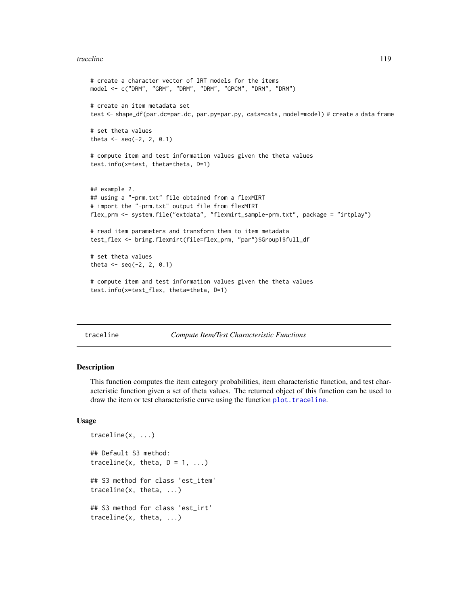#### <span id="page-118-1"></span>traceline 119

```
# create a character vector of IRT models for the items
model <- c("DRM", "GRM", "DRM", "DRM", "GPCM", "DRM", "DRM")
# create an item metadata set
test <- shape_df(par.dc=par.dc, par.py=par.py, cats=cats, model=model) # create a data frame
# set theta values
theta <- seq(-2, 2, 0.1)
# compute item and test information values given the theta values
test.info(x=test, theta=theta, D=1)
## example 2.
## using a "-prm.txt" file obtained from a flexMIRT
# import the "-prm.txt" output file from flexMIRT
flex_prm <- system.file("extdata", "flexmirt_sample-prm.txt", package = "irtplay")
# read item parameters and transform them to item metadata
test_flex <- bring.flexmirt(file=flex_prm, "par")$Group1$full_df
# set theta values
theta <- seq(-2, 2, 0.1)
# compute item and test information values given the theta values
test.info(x=test_flex, theta=theta, D=1)
```
#### <span id="page-118-0"></span>traceline *Compute Item/Test Characteristic Functions*

#### Description

This function computes the item category probabilities, item characteristic function, and test characteristic function given a set of theta values. The returned object of this function can be used to draw the item or test characteristic curve using the function [plot.traceline](#page-89-0).

## Usage

```
traceline(x, ...)
## Default S3 method:
traceline(x, theta, D = 1, ...)
## S3 method for class 'est_item'
traceline(x, theta, ...)
## S3 method for class 'est_irt'
traceline(x, theta, ...)
```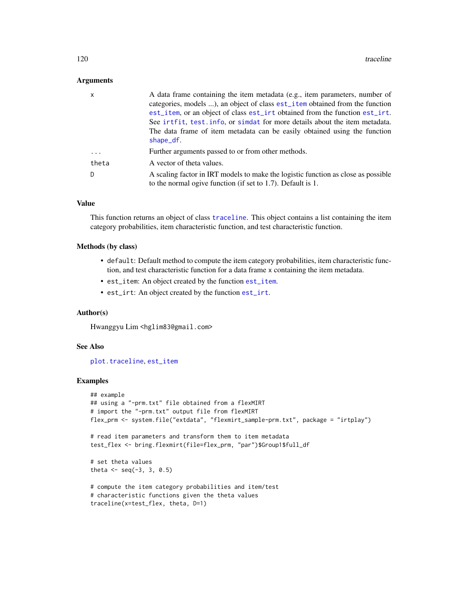### <span id="page-119-0"></span>**Arguments**

| $\mathsf{x}$ | A data frame containing the item metadata (e.g., item parameters, number of<br>categories, models ), an object of class est_item obtained from the function<br>est_item, or an object of class est_irt obtained from the function est_irt.<br>See irtfit, test info, or simetat for more details about the item metadata. |
|--------------|---------------------------------------------------------------------------------------------------------------------------------------------------------------------------------------------------------------------------------------------------------------------------------------------------------------------------|
|              | The data frame of item metadata can be easily obtained using the function<br>shape_df.                                                                                                                                                                                                                                    |
| .            | Further arguments passed to or from other methods.                                                                                                                                                                                                                                                                        |
| theta        | A vector of theta values.                                                                                                                                                                                                                                                                                                 |
| -D           | A scaling factor in IRT models to make the logistic function as close as possible<br>to the normal ogive function (if set to 1.7). Default is 1.                                                                                                                                                                          |

#### Value

This function returns an object of class [traceline](#page-118-0). This object contains a list containing the item category probabilities, item characteristic function, and test characteristic function.

#### Methods (by class)

- default: Default method to compute the item category probabilities, item characteristic function, and test characteristic function for a data frame x containing the item metadata.
- est\_item: An object created by the function [est\\_item](#page-39-0).
- est\_irt: An object created by the function [est\\_irt](#page-26-0).

#### Author(s)

Hwanggyu Lim <hglim83@gmail.com>

## See Also

[plot.traceline](#page-89-0), [est\\_item](#page-39-0)

```
## example
## using a "-prm.txt" file obtained from a flexMIRT
# import the "-prm.txt" output file from flexMIRT
flex_prm <- system.file("extdata", "flexmirt_sample-prm.txt", package = "irtplay")
# read item parameters and transform them to item metadata
test_flex <- bring.flexmirt(file=flex_prm, "par")$Group1$full_df
# set theta values
theta <- seq(-3, 3, 0.5)
# compute the item category probabilities and item/test
# characteristic functions given the theta values
traceline(x=test_flex, theta, D=1)
```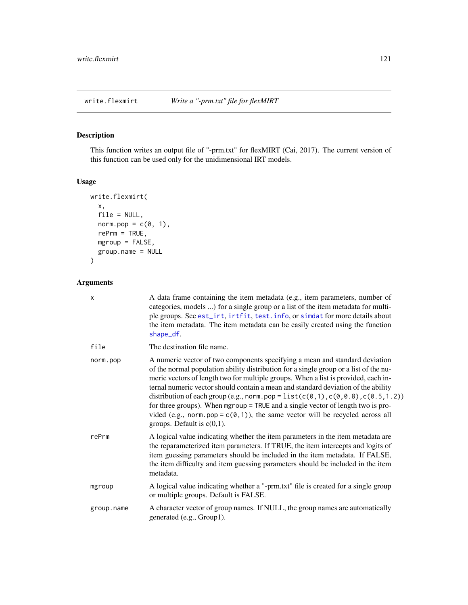# <span id="page-120-0"></span>Description

This function writes an output file of "-prm.txt" for flexMIRT (Cai, 2017). The current version of this function can be used only for the unidimensional IRT models.

## Usage

```
write.flexmirt(
  x,
 file = NULL,
 norm.pop = c(\emptyset, 1),
 refrm = TRUE,mgroup = FALSE,
  group.name = NULL
)
```
# Arguments

| X          | A data frame containing the item metadata (e.g., item parameters, number of<br>categories, models ) for a single group or a list of the item metadata for multi-<br>ple groups. See est_irt, irtfit, test. info, or simdat for more details about<br>the item metadata. The item metadata can be easily created using the function<br>shape_df.                                                                                                                                                                                                                                                                                                                                  |
|------------|----------------------------------------------------------------------------------------------------------------------------------------------------------------------------------------------------------------------------------------------------------------------------------------------------------------------------------------------------------------------------------------------------------------------------------------------------------------------------------------------------------------------------------------------------------------------------------------------------------------------------------------------------------------------------------|
| file       | The destination file name.                                                                                                                                                                                                                                                                                                                                                                                                                                                                                                                                                                                                                                                       |
| norm.pop   | A numeric vector of two components specifying a mean and standard deviation<br>of the normal population ability distribution for a single group or a list of the nu-<br>meric vectors of length two for multiple groups. When a list is provided, each in-<br>ternal numeric vector should contain a mean and standard deviation of the ability<br>distribution of each group (e.g., norm.pop = $list(c(\emptyset, 1), c(\emptyset, \emptyset, 8), c(\emptyset, 5, 1.2))$<br>for three groups). When mgroup = TRUE and a single vector of length two is pro-<br>vided (e.g., norm.pop = $c(0,1)$ ), the same vector will be recycled across all<br>groups. Default is $c(0,1)$ . |
| rePrm      | A logical value indicating whether the item parameters in the item metadata are<br>the reparameterized item parameters. If TRUE, the item intercepts and logits of<br>item guessing parameters should be included in the item metadata. If FALSE,<br>the item difficulty and item guessing parameters should be included in the item<br>metadata.                                                                                                                                                                                                                                                                                                                                |
| mgroup     | A logical value indicating whether a "-prm.txt" file is created for a single group<br>or multiple groups. Default is FALSE.                                                                                                                                                                                                                                                                                                                                                                                                                                                                                                                                                      |
| group.name | A character vector of group names. If NULL, the group names are automatically<br>generated (e.g., Group1).                                                                                                                                                                                                                                                                                                                                                                                                                                                                                                                                                                       |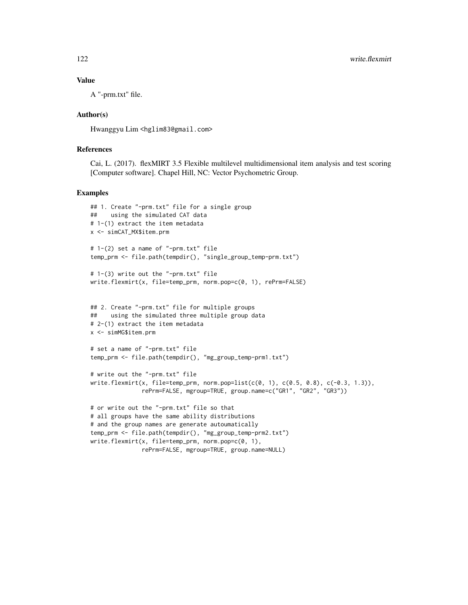## Value

A "-prm.txt" file.

## Author(s)

Hwanggyu Lim <hglim83@gmail.com>

## References

Cai, L. (2017). flexMIRT 3.5 Flexible multilevel multidimensional item analysis and test scoring [Computer software]. Chapel Hill, NC: Vector Psychometric Group.

```
## 1. Create "-prm.txt" file for a single group
## using the simulated CAT data
# 1-(1) extract the item metadata
x <- simCAT_MX$item.prm
# 1-(2) set a name of "-prm.txt" file
temp_prm <- file.path(tempdir(), "single_group_temp-prm.txt")
# 1-(3) write out the "-prm.txt" file
write.flexmirt(x, file=temp_prm, norm.pop=c(0, 1), rePrm=FALSE)
## 2. Create "-prm.txt" file for multiple groups
## using the simulated three multiple group data
# 2-(1) extract the item metadata
x <- simMG$item.prm
# set a name of "-prm.txt" file
temp_prm <- file.path(tempdir(), "mg_group_temp-prm1.txt")
# write out the "-prm.txt" file
write.flexmirt(x, file=temp_prm, norm.pop=list(c(0, 1), c(0.5, 0.8), c(-0.3, 1.3)),
               rePrm=FALSE, mgroup=TRUE, group.name=c("GR1", "GR2", "GR3"))
# or write out the "-prm.txt" file so that
# all groups have the same ability distributions
# and the group names are generate autoumatically
temp_prm <- file.path(tempdir(), "mg_group_temp-prm2.txt")
write.flexmirt(x, file=temp_prm, norm.pop=c(0, 1),
               rePrm=FALSE, mgroup=TRUE, group.name=NULL)
```